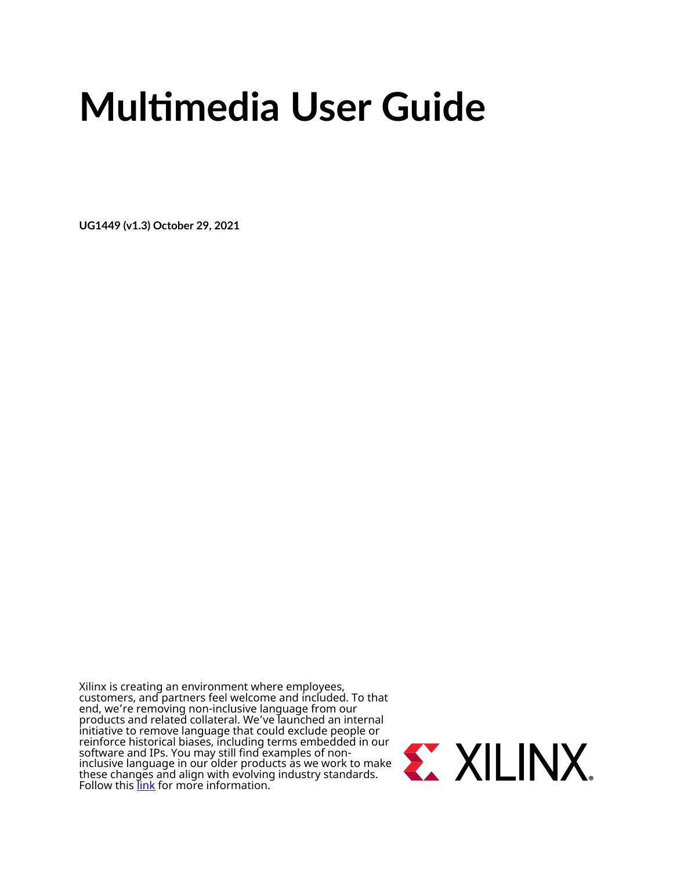# **Multimedia User Guide**

**UG1449 (v1.3) October 29, 2021**

Xilinx is creating an environment where employees, customers, and partners feel welcome and included. To that end, we're removing non-inclusive language from our products and related collateral. We've launched an internal initiative to remove language that could exclude people or reinforce historical biases, including terms embedded in our software and IPs. You may still find examples of noninclusive language in our older products as we work to make these changes and align with evolving industry standards. Follow this <u>[link](https://www.xilinx.com/content/dam/xilinx/publications/about/Inclusive-terminology.pdf)</u> for more information.

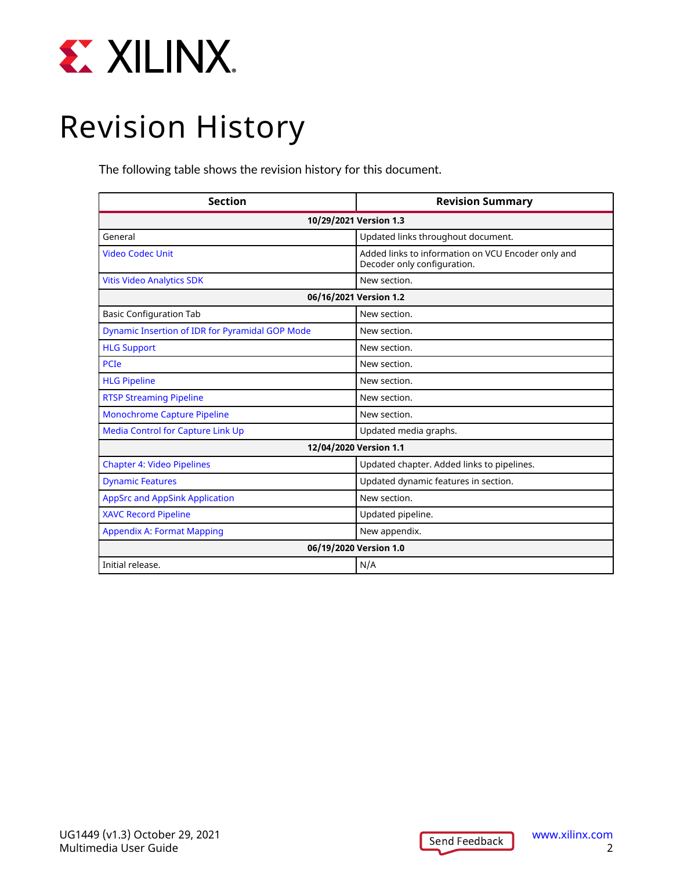<span id="page-1-0"></span>

## Revision History

The following table shows the revision history for this document.

| <b>Section</b>                                         | <b>Revision Summary</b>                                                           |  |  |
|--------------------------------------------------------|-----------------------------------------------------------------------------------|--|--|
| 10/29/2021 Version 1.3                                 |                                                                                   |  |  |
| General                                                | Updated links throughout document.                                                |  |  |
| <b>Video Codec Unit</b>                                | Added links to information on VCU Encoder only and<br>Decoder only configuration. |  |  |
| <b>Vitis Video Analytics SDK</b>                       | New section.                                                                      |  |  |
| 06/16/2021 Version 1.2                                 |                                                                                   |  |  |
| <b>Basic Configuration Tab</b>                         | New section.                                                                      |  |  |
| <b>Dynamic Insertion of IDR for Pyramidal GOP Mode</b> | New section.                                                                      |  |  |
| <b>HLG Support</b>                                     | New section.                                                                      |  |  |
| <b>PCIe</b>                                            | New section.                                                                      |  |  |
| <b>HLG Pipeline</b>                                    | New section.                                                                      |  |  |
| <b>RTSP Streaming Pipeline</b>                         | New section.                                                                      |  |  |
| <b>Monochrome Capture Pipeline</b>                     | New section.                                                                      |  |  |
| <b>Media Control for Capture Link Up</b>               | Updated media graphs.                                                             |  |  |
|                                                        | 12/04/2020 Version 1.1                                                            |  |  |
| <b>Chapter 4: Video Pipelines</b>                      | Updated chapter. Added links to pipelines.                                        |  |  |
| <b>Dynamic Features</b>                                | Updated dynamic features in section.                                              |  |  |
| <b>AppSrc and AppSink Application</b>                  | New section.                                                                      |  |  |
| <b>XAVC Record Pipeline</b>                            | Updated pipeline.                                                                 |  |  |
| <b>Appendix A: Format Mapping</b>                      | New appendix.                                                                     |  |  |
| 06/19/2020 Version 1.0                                 |                                                                                   |  |  |
| Initial release.                                       | N/A                                                                               |  |  |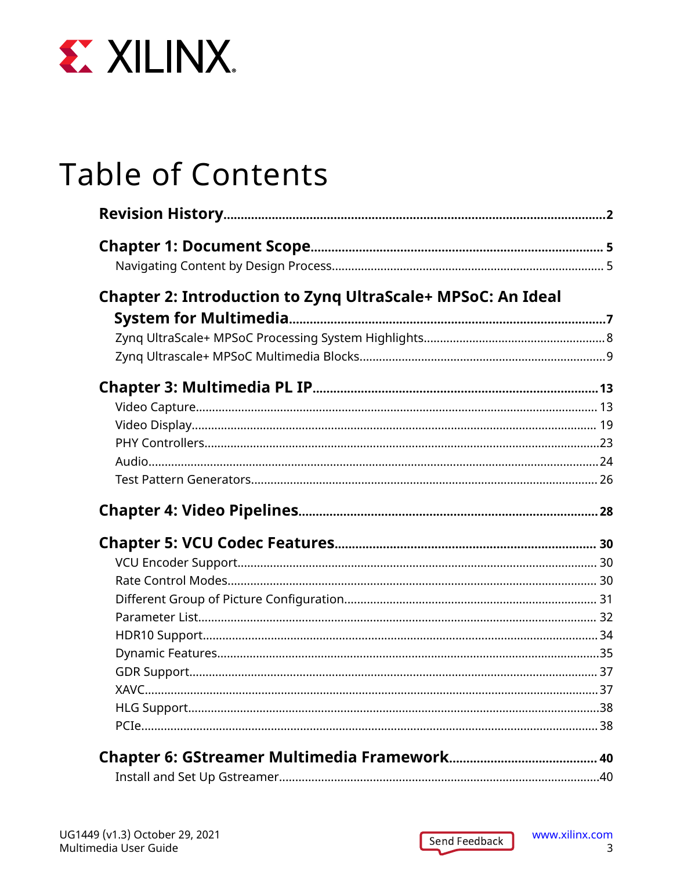

## **Table of Contents**

| Chapter 2: Introduction to Zynq UltraScale+ MPSoC: An Ideal |  |
|-------------------------------------------------------------|--|
|                                                             |  |
|                                                             |  |
|                                                             |  |
|                                                             |  |
|                                                             |  |
|                                                             |  |
|                                                             |  |
|                                                             |  |
|                                                             |  |
|                                                             |  |
|                                                             |  |
|                                                             |  |
|                                                             |  |
|                                                             |  |
|                                                             |  |
|                                                             |  |
|                                                             |  |
|                                                             |  |
|                                                             |  |
|                                                             |  |
|                                                             |  |
|                                                             |  |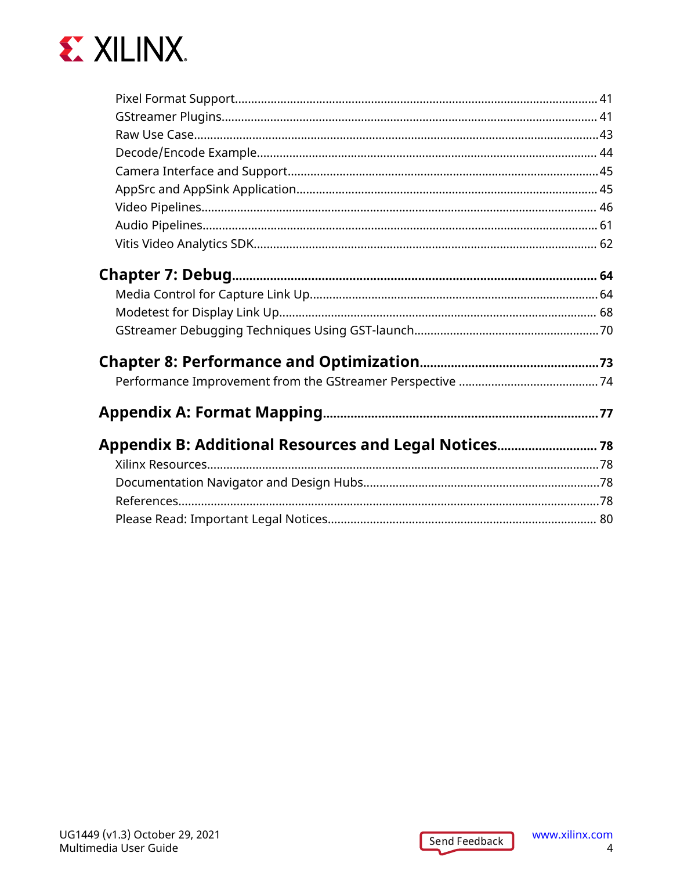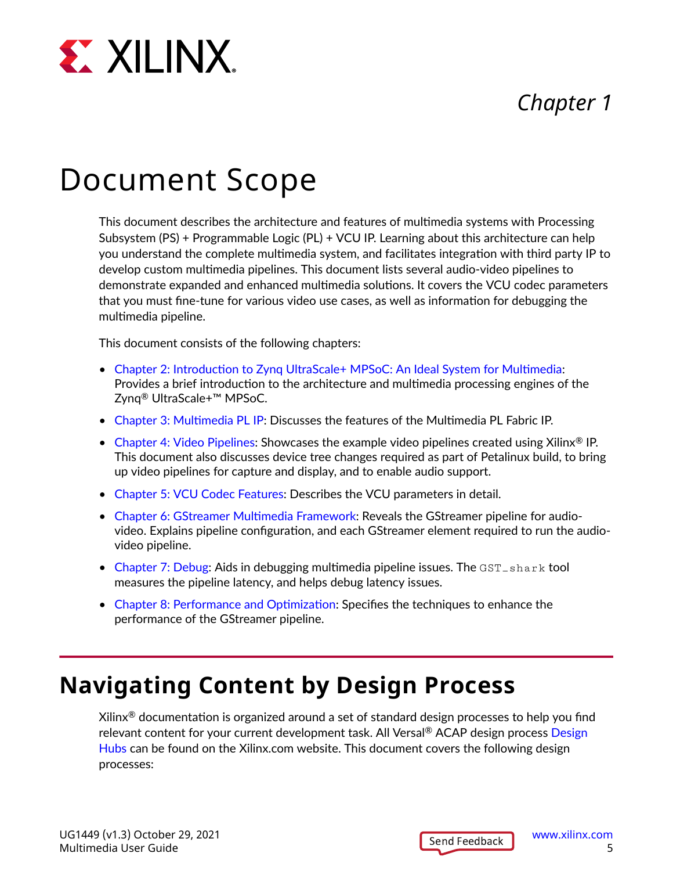<span id="page-4-0"></span>

### *Chapter 1*

## Document Scope

This document describes the architecture and features of multimedia systems with Processing Subsystem (PS) + Programmable Logic (PL) + VCU IP. Learning about this architecture can help you understand the complete multimedia system, and facilitates integration with third party IP to develop custom multimedia pipelines. This document lists several audio-video pipelines to demonstrate expanded and enhanced multimedia solutions. It covers the VCU codec parameters that you must fine-tune for various video use cases, as well as information for debugging the multimedia pipeline.

This document consists of the following chapters:

- [Chapter 2: Introduction to Zynq UltraScale+ MPSoC: An Ideal System for Multimedia:](#page-6-0) Provides a brief introduction to the architecture and multimedia processing engines of the Zynq® UltraScale+™ MPSoC.
- [Chapter 3: Multimedia PL IP](#page-12-0): Discusses the features of the Multimedia PL Fabric IP.
- [Chapter 4: Video Pipelines:](#page-27-0) Showcases the example video pipelines created using Xilinx® IP. This document also discusses device tree changes required as part of Petalinux build, to bring up video pipelines for capture and display, and to enable audio support.
- [Chapter 5: VCU Codec Features](#page-29-0): Describes the VCU parameters in detail.
- [Chapter 6: GStreamer Multimedia Framework](#page-39-0): Reveals the GStreamer pipeline for audiovideo. Explains pipeline configuration, and each GStreamer element required to run the audiovideo pipeline.
- [Chapter 7: Debug:](#page-63-0) Aids in debugging multimedia pipeline issues. The GST\_shark tool measures the pipeline latency, and helps debug latency issues.
- [Chapter 8: Performance and Optimization:](#page-72-0) Specifies the techniques to enhance the performance of the GStreamer pipeline.

### **Navigating Content by Design Process**

Xilinx<sup>®</sup> documentation is organized around a set of standard design processes to help you find relevant content for your current development task. All Versal® ACAP design process [Design](https://www.xilinx.com/support/documentation-navigation/design-hubs.html) [Hubs](https://www.xilinx.com/support/documentation-navigation/design-hubs.html) can be found on the Xilinx.com website. This document covers the following design processes: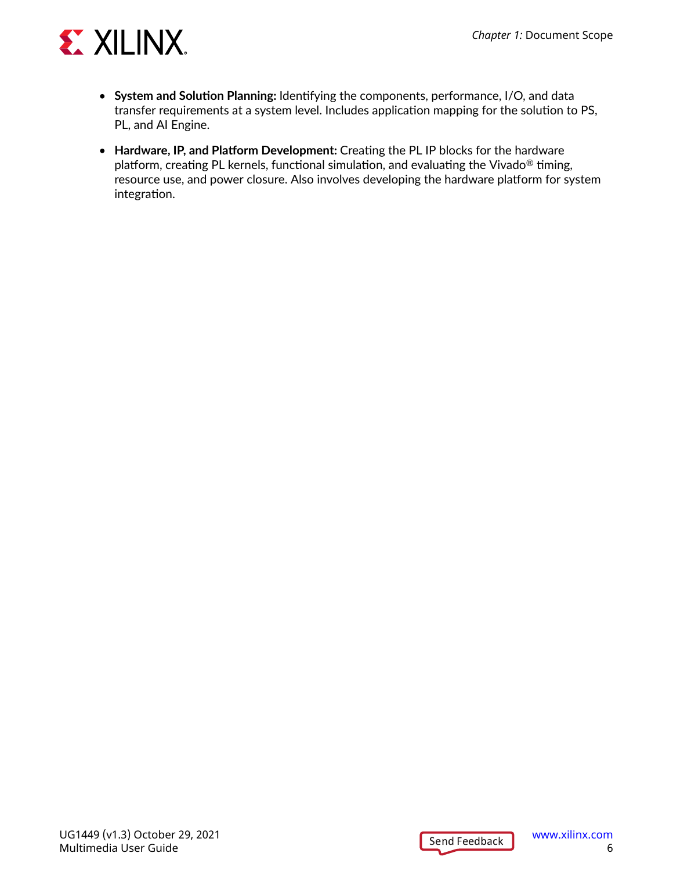

- **System and Solution Planning:** Identifying the components, performance, I/O, and data transfer requirements at a system level. Includes application mapping for the solution to PS, PL, and AI Engine.
- **Hardware, IP, and Platform Development:** Creating the PL IP blocks for the hardware platform, creating PL kernels, functional simulation, and evaluating the Vivado® timing, resource use, and power closure. Also involves developing the hardware platform for system integration.

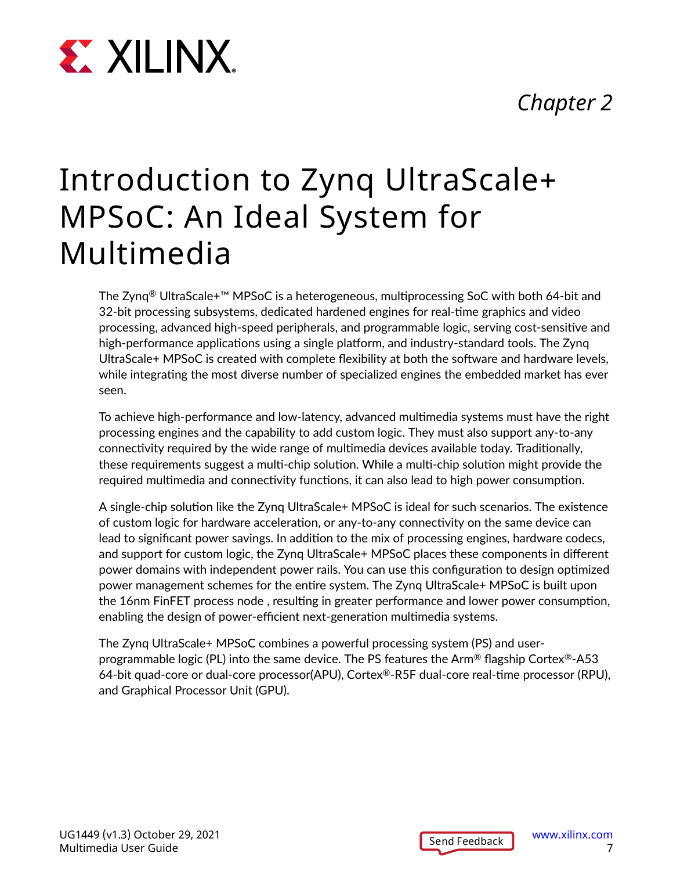### *Chapter 2*

# <span id="page-6-0"></span>**Chapter 2:** International System for Multimedia System for Multimedia System for Multimedia System for Multimedia System for Multimedia System for Multimedia System for Multimedia System for Multimedia System for Multimed

## Introduction to Zynq UltraScale+ MPSoC: An Ideal System for Multimedia

The Zynq® UltraScale+™ MPSoC is a heterogeneous, multiprocessing SoC with both 64-bit and 32-bit processing subsystems, dedicated hardened engines for real-time graphics and video processing, advanced high-speed peripherals, and programmable logic, serving cost-sensitive and high-performance applications using a single platform, and industry-standard tools. The Zynq UltraScale+ MPSoC is created with complete flexibility at both the software and hardware levels, while integrating the most diverse number of specialized engines the embedded market has ever seen.

To achieve high-performance and low-latency, advanced multimedia systems must have the right processing engines and the capability to add custom logic. They must also support any-to-any connectivity required by the wide range of multimedia devices available today. Traditionally, these requirements suggest a multi-chip solution. While a multi-chip solution might provide the required multimedia and connectivity functions, it can also lead to high power consumption.

A single-chip solution like the Zynq UltraScale+ MPSoC is ideal for such scenarios. The existence of custom logic for hardware acceleration, or any-to-any connectivity on the same device can lead to significant power savings. In addition to the mix of processing engines, hardware codecs, and support for custom logic, the Zynq UltraScale+ MPSoC places these components in different power domains with independent power rails. You can use this configuration to design optimized power management schemes for the entire system. The Zynq UltraScale+ MPSoC is built upon the 16nm FinFET process node , resulting in greater performance and lower power consumption, enabling the design of power-efficient next-generation multimedia systems.

The Zynq UltraScale+ MPSoC combines a powerful processing system (PS) and userprogrammable logic (PL) into the same device. The PS features the Arm® flagship Cortex®-A53 64-bit quad-core or dual-core processor(APU), Cortex®-R5F dual-core real-time processor (RPU), and Graphical Processor Unit (GPU).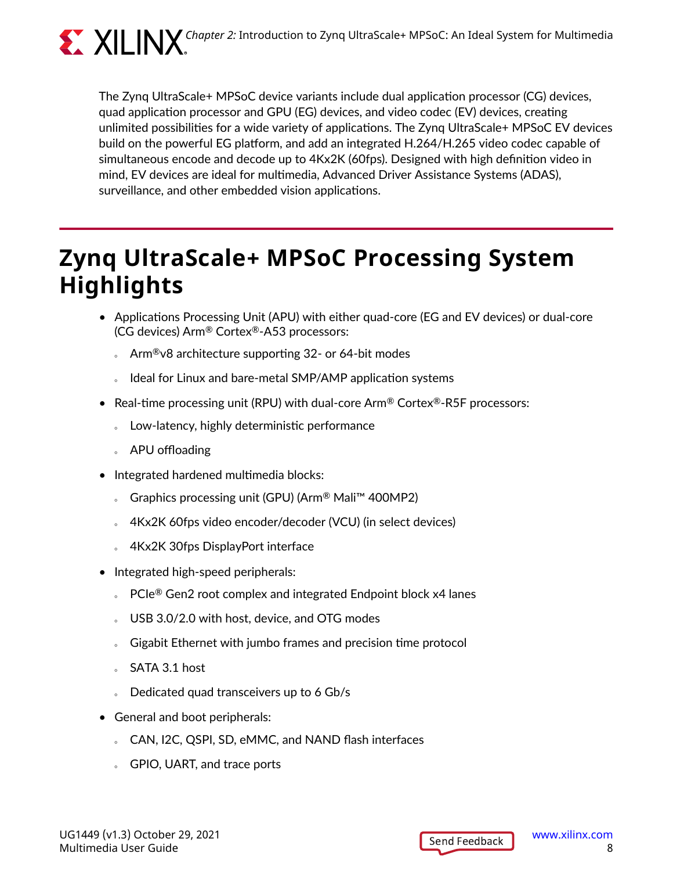<span id="page-7-0"></span>

The Zynq UltraScale+ MPSoC device variants include dual application processor (CG) devices, quad application processor and GPU (EG) devices, and video codec (EV) devices, creating unlimited possibilities for a wide variety of applications. The Zynq UltraScale+ MPSoC EV devices build on the powerful EG platform, and add an integrated H.264/H.265 video codec capable of simultaneous encode and decode up to 4Kx2K (60fps). Designed with high definition video in mind, EV devices are ideal for multimedia, Advanced Driver Assistance Systems (ADAS), surveillance, and other embedded vision applications.

### **Zynq UltraScale+ MPSoC Processing System Highlights**

- Applications Processing Unit (APU) with either quad-core (EG and EV devices) or dual-core (CG devices) Arm® Cortex®-A53 processors:
	- $\delta$  Arm<sup>®</sup>v8 architecture supporting 32- or 64-bit modes
	- Ideal for Linux and bare-metal SMP/AMP application systems
- Real-time processing unit (RPU) with dual-core Arm® Cortex®-R5F processors:
	- o Low-latency, highly deterministic performance
	- **APU** offloading
- Integrated hardened multimedia blocks:
	- © Graphics processing unit (GPU) (Arm<sup>®</sup> Mali™ 400MP2)
	- $\sim$  4Kx2K 60fps video encoder/decoder (VCU) (in select devices)
	- 4Kx2K 30fps DisplayPort interface
- Integrated high-speed peripherals:
	- $\text{P}$ Cle<sup>®</sup> Gen2 root complex and integrated Endpoint block x4 lanes
	- USB 3.0/2.0 with host, device, and OTG modes
	- o Gigabit Ethernet with jumbo frames and precision time protocol
	- **SATA 3.1 host**
	- Dedicated quad transceivers up to 6 Gb/s
- General and boot peripherals:
	- CAN, I2C, QSPI, SD, eMMC, and NAND flash interfaces
	- **GPIO, UART, and trace ports**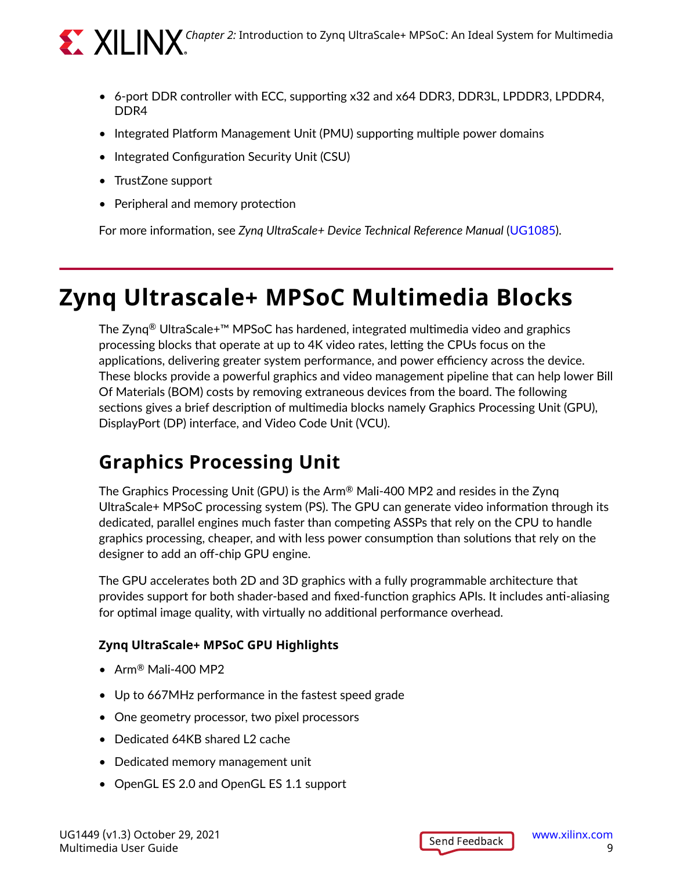

<span id="page-8-0"></span>**COMPTAN Chapter 2: Introduction to Zynq UltraScale+ MPSoC: An Ideal System for Multimedia** 

- 6-port DDR controller with ECC, supporting x32 and x64 DDR3, DDR3L, LPDDR3, LPDDR4, DDR4
- Integrated Platform Management Unit (PMU) supporting multiple power domains
- Integrated Configuration Security Unit (CSU)
- TrustZone support
- Peripheral and memory protection

For more information, see *Zynq UltraScale+ Device Technical Reference Manual* [\(UG1085\)](https://www.xilinx.com/cgi-bin/docs/ndoc?t=user_guides;d=ug1085-zynq-ultrascale-trm.pdf).

### **Zynq Ultrascale+ MPSoC Multimedia Blocks**

The Zynq® UltraScale+™ MPSoC has hardened, integrated multimedia video and graphics processing blocks that operate at up to 4K video rates, letting the CPUs focus on the applications, delivering greater system performance, and power efficiency across the device. These blocks provide a powerful graphics and video management pipeline that can help lower Bill Of Materials (BOM) costs by removing extraneous devices from the board. The following sections gives a brief description of multimedia blocks namely Graphics Processing Unit (GPU), DisplayPort (DP) interface, and Video Code Unit (VCU).

#### **Graphics Processing Unit**

The Graphics Processing Unit (GPU) is the Arm® Mali-400 MP2 and resides in the Zynq UltraScale+ MPSoC processing system (PS). The GPU can generate video information through its dedicated, parallel engines much faster than competing ASSPs that rely on the CPU to handle graphics processing, cheaper, and with less power consumption than solutions that rely on the designer to add an off-chip GPU engine.

The GPU accelerates both 2D and 3D graphics with a fully programmable architecture that provides support for both shader-based and fixed-function graphics APIs. It includes anti-aliasing for optimal image quality, with virtually no additional performance overhead.

#### **Zynq UltraScale+ MPSoC GPU Highlights**

- Arm® Mali-400 MP2
- Up to 667MHz performance in the fastest speed grade
- One geometry processor, two pixel processors
- Dedicated 64KB shared L2 cache
- Dedicated memory management unit
- OpenGL ES 2.0 and OpenGL ES 1.1 support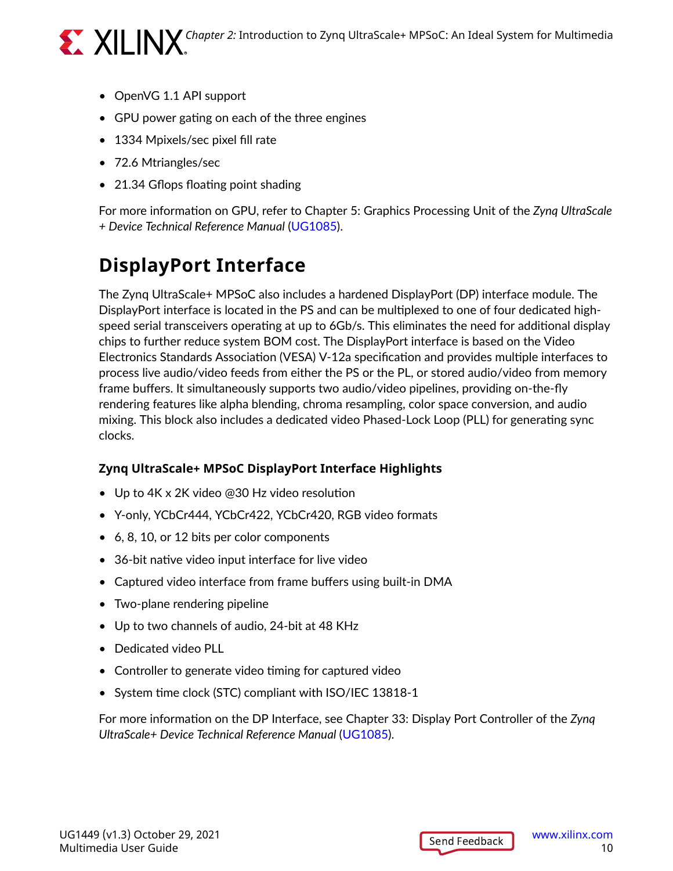

- OpenVG 1.1 API support
- GPU power gating on each of the three engines
- 1334 Mpixels/sec pixel fill rate
- 72.6 Mtriangles/sec
- 21.34 Gflops floating point shading

For more information on GPU, refer to Chapter 5: Graphics Processing Unit of the *Zynq UltraScale + Device Technical Reference Manual* ([UG1085\)](https://www.xilinx.com/cgi-bin/docs/ndoc?t=user_guides;d=ug1085-zynq-ultrascale-trm.pdf).

### **DisplayPort Interface**

The Zynq UltraScale+ MPSoC also includes a hardened DisplayPort (DP) interface module. The DisplayPort interface is located in the PS and can be multiplexed to one of four dedicated highspeed serial transceivers operating at up to 6Gb/s. This eliminates the need for additional display chips to further reduce system BOM cost. The DisplayPort interface is based on the Video Electronics Standards Association (VESA) V-12a specification and provides multiple interfaces to process live audio/video feeds from either the PS or the PL, or stored audio/video from memory frame buffers. It simultaneously supports two audio/video pipelines, providing on-the-fly rendering features like alpha blending, chroma resampling, color space conversion, and audio mixing. This block also includes a dedicated video Phased-Lock Loop (PLL) for generating sync clocks.

#### **Zynq UltraScale+ MPSoC DisplayPort Interface Highlights**

- Up to 4K x 2K video @30 Hz video resolution
- Y-only, YCbCr444, YCbCr422, YCbCr420, RGB video formats
- 6, 8, 10, or 12 bits per color components
- 36-bit native video input interface for live video
- Captured video interface from frame buffers using built-in DMA
- Two-plane rendering pipeline
- Up to two channels of audio, 24-bit at 48 KHz
- Dedicated video PLL
- Controller to generate video timing for captured video
- System time clock (STC) compliant with ISO/IEC 13818-1

For more information on the DP Interface, see Chapter 33: Display Port Controller of the *Zynq UltraScale+ Device Technical Reference Manual* ([UG1085](https://www.xilinx.com/cgi-bin/docs/ndoc?t=user_guides;d=ug1085-zynq-ultrascale-trm.pdf)).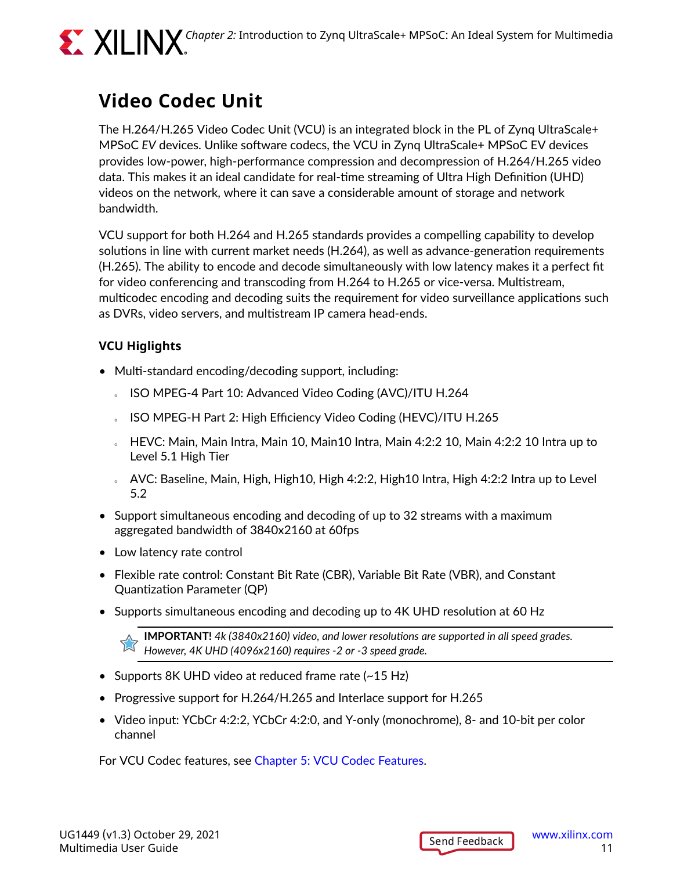<span id="page-10-0"></span>

### **Video Codec Unit**

The H.264/H.265 Video Codec Unit (VCU) is an integrated block in the PL of Zynq UltraScale+ MPSoC *EV* devices. Unlike software codecs, the VCU in Zynq UltraScale+ MPSoC EV devices provides low-power, high-performance compression and decompression of H.264/H.265 video data. This makes it an ideal candidate for real-time streaming of Ultra High Definition (UHD) videos on the network, where it can save a considerable amount of storage and network bandwidth.

VCU support for both H.264 and H.265 standards provides a compelling capability to develop solutions in line with current market needs (H.264), as well as advance-generation requirements (H.265). The ability to encode and decode simultaneously with low latency makes it a perfect fit for video conferencing and transcoding from H.264 to H.265 or vice-versa. Multistream, multicodec encoding and decoding suits the requirement for video surveillance applications such as DVRs, video servers, and multistream IP camera head-ends.

#### **VCU Higlights**

- Multi-standard encoding/decoding support, including:
	- 8 ISO MPEG-4 Part 10: Advanced Video Coding (AVC)/ITU H.264
	- 8 ISO MPEG-H Part 2: High Efficiency Video Coding (HEVC)/ITU H.265
	- $\epsilon$  HEVC: Main, Main Intra, Main 10, Main 10 Intra, Main 4:2:2 10, Main 4:2:2 10 Intra up to Level 5.1 High Tier
	- $\sim$  AVC: Baseline, Main, High, High10, High 4:2:2, High10 Intra, High 4:2:2 Intra up to Level 5.2
- Support simultaneous encoding and decoding of up to 32 streams with a maximum aggregated bandwidth of 3840x2160 at 60fps
- Low latency rate control
- Flexible rate control: Constant Bit Rate (CBR), Variable Bit Rate (VBR), and Constant Quantization Parameter (QP)
- Supports simultaneous encoding and decoding up to 4K UHD resolution at 60 Hz

**IMPORTANT!** *4k (3840x2160) video, and lower resolutions are supported in all speed grades. However, 4K UHD (4096x2160) requires -2 or -3 speed grade.*

- Supports 8K UHD video at reduced frame rate (~15 Hz)
- Progressive support for H.264/H.265 and Interlace support for H.265
- Video input: YCbCr 4:2:2, YCbCr 4:2:0, and Y-only (monochrome), 8- and 10-bit per color channel

For VCU Codec features, see [Chapter 5: VCU Codec Features.](#page-29-0)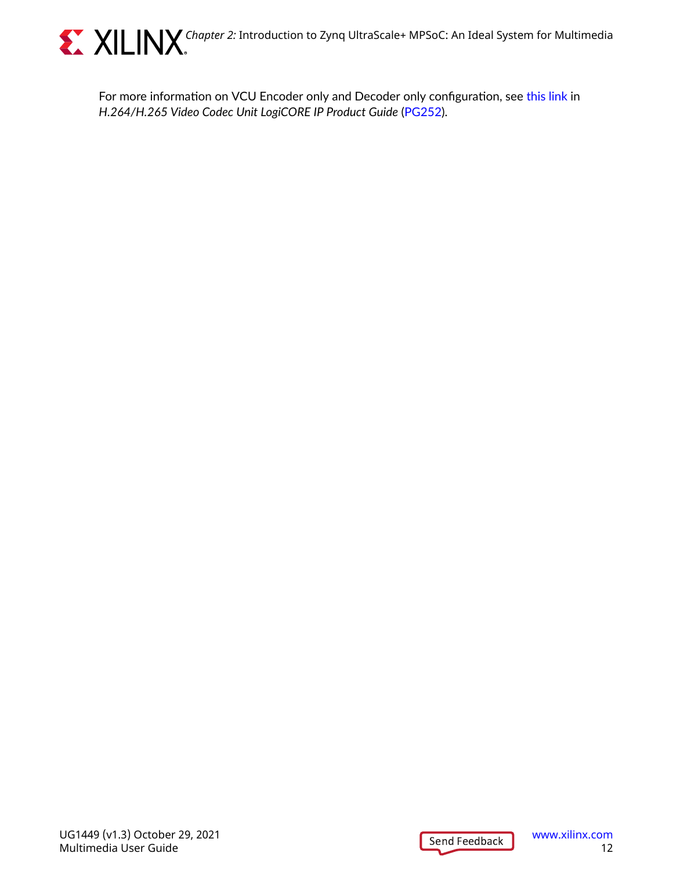

**CONDUM SET AND Chapter 2: Introduction to Zynq UltraScale+ MPSoC: An Ideal System for Multimedia** 

For more information on VCU Encoder only and Decoder only configuration, see [this link](https://www.xilinx.com/cgi-bin/docs/ipdoc?c=vcu;v=latest;d=pg252-vcu.pdf;a=xVCUDesignFlowSteps) in *H.264/H.265 Video Codec Unit LogiCORE IP Product Guide* [\(PG252\)](https://www.xilinx.com/cgi-bin/docs/rdoc?v=latest;d=pg252-vcu.pdf).

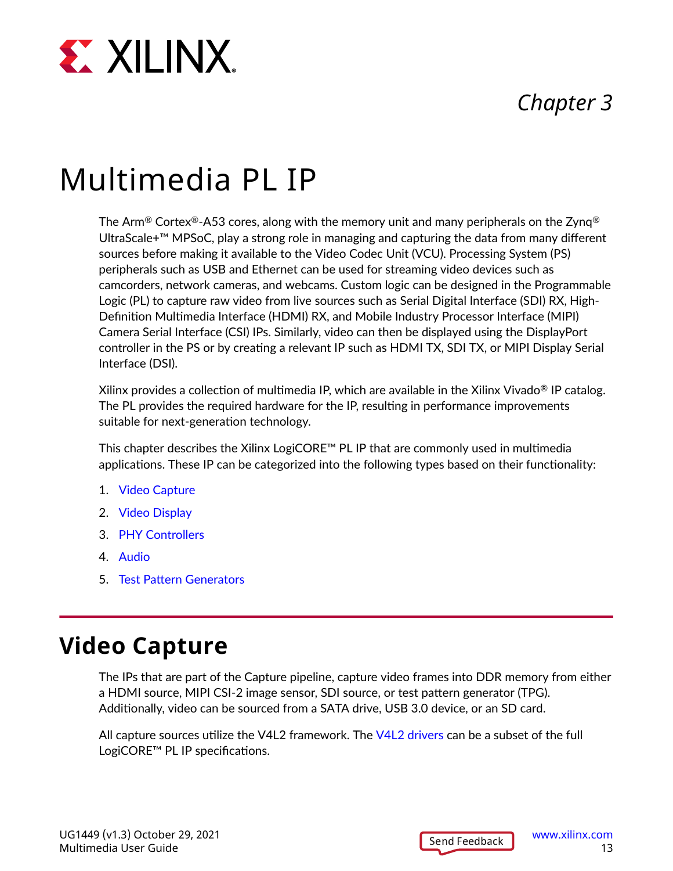<span id="page-12-0"></span>

### *Chapter 3*

## Multimedia PL IP

The Arm® Cortex®-A53 cores, along with the memory unit and many peripherals on the Zynq® UltraScale+™ MPSoC, play a strong role in managing and capturing the data from many different sources before making it available to the Video Codec Unit (VCU). Processing System (PS) peripherals such as USB and Ethernet can be used for streaming video devices such as camcorders, network cameras, and webcams. Custom logic can be designed in the Programmable Logic (PL) to capture raw video from live sources such as Serial Digital Interface (SDI) RX, High-Definition Multimedia Interface (HDMI) RX, and Mobile Industry Processor Interface (MIPI) Camera Serial Interface (CSI) IPs. Similarly, video can then be displayed using the DisplayPort controller in the PS or by creating a relevant IP such as HDMI TX, SDI TX, or MIPI Display Serial Interface (DSI).

Xilinx provides a collection of multimedia IP, which are available in the Xilinx Vivado<sup>®</sup> IP catalog. The PL provides the required hardware for the IP, resulting in performance improvements suitable for next-generation technology.

This chapter describes the Xilinx LogiCORE™ PL IP that are commonly used in multimedia applications. These IP can be categorized into the following types based on their functionality:

- 1. Video Capture
- 2. [Video Display](#page-18-0)
- 3. [PHY Controllers](#page-22-0)
- 4. [Audio](#page-23-0)
- 5. [Test Pattern Generators](#page-25-0)

### **Video Capture**

The IPs that are part of the Capture pipeline, capture video frames into DDR memory from either a HDMI source, MIPI CSI-2 image sensor, SDI source, or test pattern generator (TPG). Additionally, video can be sourced from a SATA drive, USB 3.0 device, or an SD card.

All capture sources utilize the V4L2 framework. The [V4L2 drivers](https://xilinx-wiki.atlassian.net/wiki/spaces/A/pages/18841767/Xilinx+V4L2+driver) can be a subset of the full LogiCORE™ PL IP specifications.

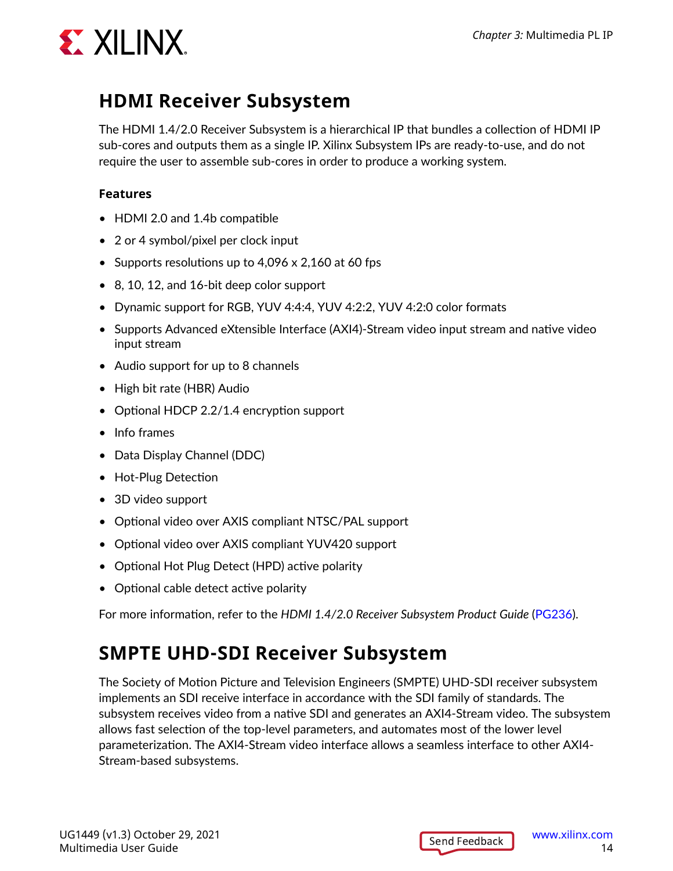

#### **HDMI Receiver Subsystem**

The HDMI 1.4/2.0 Receiver Subsystem is a hierarchical IP that bundles a collection of HDMI IP sub-cores and outputs them as a single IP. Xilinx Subsystem IPs are ready-to-use, and do not require the user to assemble sub-cores in order to produce a working system.

#### **Features**

- HDMI 2.0 and 1.4b compatible
- 2 or 4 symbol/pixel per clock input
- Supports resolutions up to 4,096 x 2,160 at 60 fps
- 8, 10, 12, and 16-bit deep color support
- Dynamic support for RGB, YUV 4:4:4, YUV 4:2:2, YUV 4:2:0 color formats
- Supports Advanced eXtensible Interface (AXI4)-Stream video input stream and native video input stream
- Audio support for up to 8 channels
- High bit rate (HBR) Audio
- Optional HDCP 2.2/1.4 encryption support
- Info frames
- Data Display Channel (DDC)
- Hot-Plug Detection
- 3D video support
- Optional video over AXIS compliant NTSC/PAL support
- Optional video over AXIS compliant YUV420 support
- Optional Hot Plug Detect (HPD) active polarity
- Optional cable detect active polarity

For more information, refer to the *HDMI 1.4/2.0 Receiver Subsystem Product Guide* [\(PG236\)](https://www.xilinx.com/cgi-bin/docs/ipdoc?c=v_hdmi_rx_ss;v=latest;d=pg236-v-hdmi-rx-ss.pdf).

#### **SMPTE UHD-SDI Receiver Subsystem**

The Society of Motion Picture and Television Engineers (SMPTE) UHD-SDI receiver subsystem implements an SDI receive interface in accordance with the SDI family of standards. The subsystem receives video from a native SDI and generates an AXI4-Stream video. The subsystem allows fast selection of the top-level parameters, and automates most of the lower level parameterization. The AXI4-Stream video interface allows a seamless interface to other AXI4- Stream-based subsystems.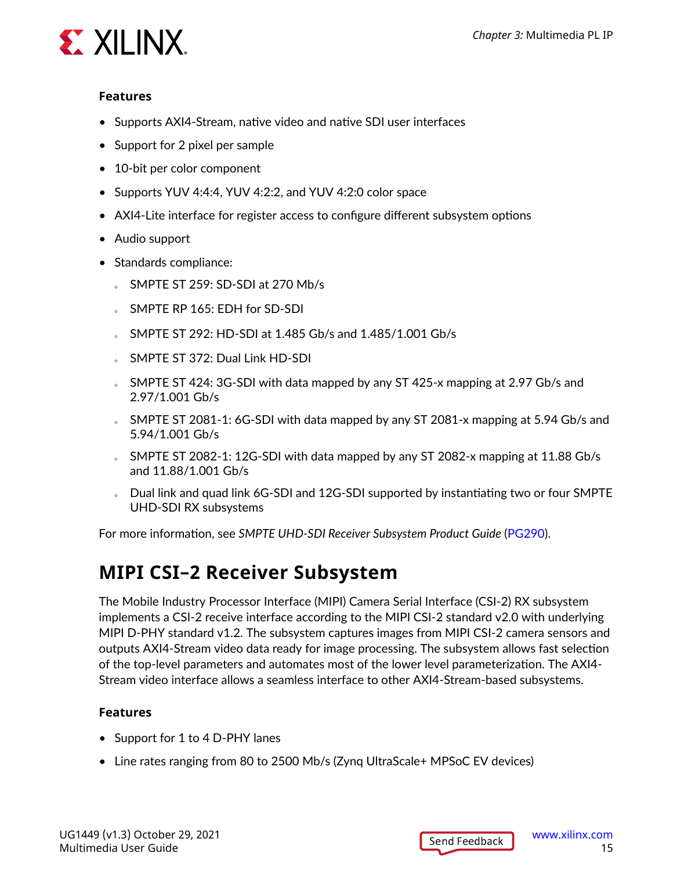

#### **Features**

- Supports AXI4-Stream, native video and native SDI user interfaces
- Support for 2 pixel per sample
- 10-bit per color component
- Supports YUV 4:4:4, YUV 4:2:2, and YUV 4:2:0 color space
- AXI4-Lite interface for register access to configure different subsystem options
- Audio support
- Standards compliance:
	- $S$  SMPTE ST 259: SD-SDI at 270 Mb/s
	- SMPTE RP 165: EDH for SD-SDI
	- 5 SMPTE ST 292: HD-SDI at 1.485 Gb/s and 1.485/1.001 Gb/s
	- SMPTE ST 372: Dual Link HD-SDI
	- SMPTE ST 424: 3G-SDI with data mapped by any ST 425-x mapping at 2.97 Gb/s and 2.97/1.001 Gb/s
	- SMPTE ST 2081-1: 6G-SDI with data mapped by any ST 2081-x mapping at 5.94 Gb/s and 5.94/1.001 Gb/s
	- $\overline{S}$  SMPTE ST 2082-1: 12G-SDI with data mapped by any ST 2082-x mapping at 11.88 Gb/s and 11.88/1.001 Gb/s
	- Dual link and quad link 6G-SDI and 12G-SDI supported by instantiating two or four SMPTE UHD-SDI RX subsystems

For more information, see *SMPTE UHD-SDI Receiver Subsystem Product Guide* ([PG290\)](https://www.xilinx.com/cgi-bin/docs/ipdoc?c=v_smpte_uhdsdi_rx_ss;v=latest;d=pg290-v-smpte-uhdsdi-rx-ss.pdf).

#### **MIPI CSI–2 Receiver Subsystem**

The Mobile Industry Processor Interface (MIPI) Camera Serial Interface (CSI-2) RX subsystem implements a CSI-2 receive interface according to the MIPI CSI-2 standard v2.0 with underlying MIPI D-PHY standard v1.2. The subsystem captures images from MIPI CSI-2 camera sensors and outputs AXI4-Stream video data ready for image processing. The subsystem allows fast selection of the top-level parameters and automates most of the lower level parameterization. The AXI4- Stream video interface allows a seamless interface to other AXI4-Stream-based subsystems.

- Support for 1 to 4 D-PHY lanes
- Line rates ranging from 80 to 2500 Mb/s (Zynq UltraScale+ MPSoC EV devices)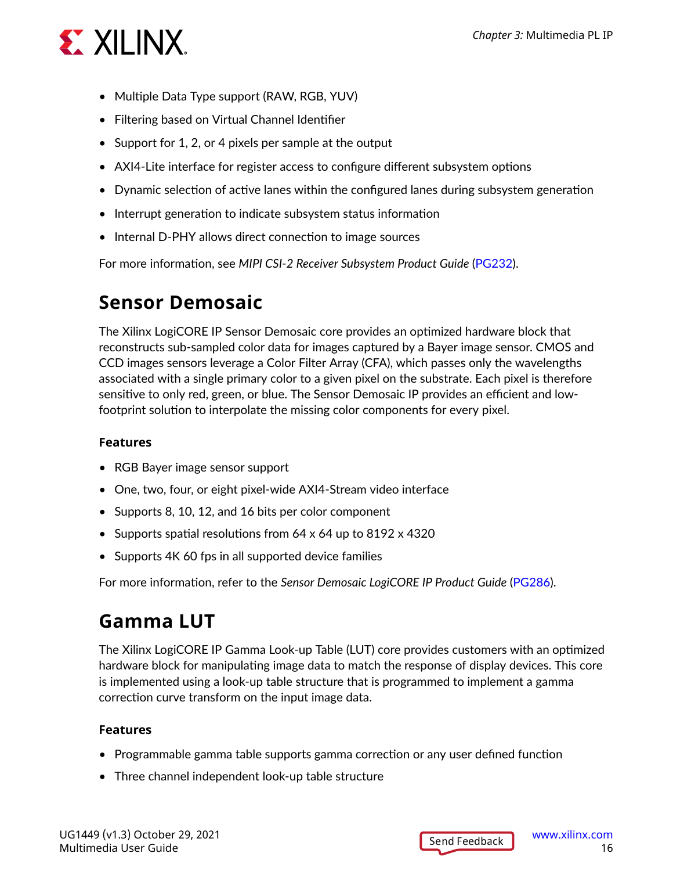

- Multiple Data Type support (RAW, RGB, YUV)
- Filtering based on Virtual Channel Identifier
- Support for 1, 2, or 4 pixels per sample at the output
- AXI4-Lite interface for register access to configure different subsystem options
- Dynamic selection of active lanes within the configured lanes during subsystem generation
- Interrupt generation to indicate subsystem status information
- Internal D-PHY allows direct connection to image sources

For more information, see *MIPI CSI-2 Receiver Subsystem Product Guide* ([PG232](https://www.xilinx.com/cgi-bin/docs/ipdoc?c=mipi_csi2_rx_subsystem;v=latest;d=pg232-mipi-csi2-rx.pdf)).

#### **Sensor Demosaic**

The Xilinx LogiCORE IP Sensor Demosaic core provides an optimized hardware block that reconstructs sub-sampled color data for images captured by a Bayer image sensor. CMOS and CCD images sensors leverage a Color Filter Array (CFA), which passes only the wavelengths associated with a single primary color to a given pixel on the substrate. Each pixel is therefore sensitive to only red, green, or blue. The Sensor Demosaic IP provides an efficient and lowfootprint solution to interpolate the missing color components for every pixel.

#### **Features**

- RGB Bayer image sensor support
- One, two, four, or eight pixel-wide AXI4-Stream video interface
- Supports 8, 10, 12, and 16 bits per color component
- Supports spatial resolutions from 64 x 64 up to 8192 x 4320
- Supports 4K 60 fps in all supported device families

For more information, refer to the *Sensor Demosaic LogiCORE IP Product Guide* ([PG286\)](https://www.xilinx.com/cgi-bin/docs/ipdoc?c=v_demosaic;v=latest;d=pg286-v-demosaic.pdf).

#### **Gamma LUT**

The Xilinx LogiCORE IP Gamma Look-up Table (LUT) core provides customers with an optimized hardware block for manipulating image data to match the response of display devices. This core is implemented using a look-up table structure that is programmed to implement a gamma correction curve transform on the input image data.

- Programmable gamma table supports gamma correction or any user defined function
- Three channel independent look-up table structure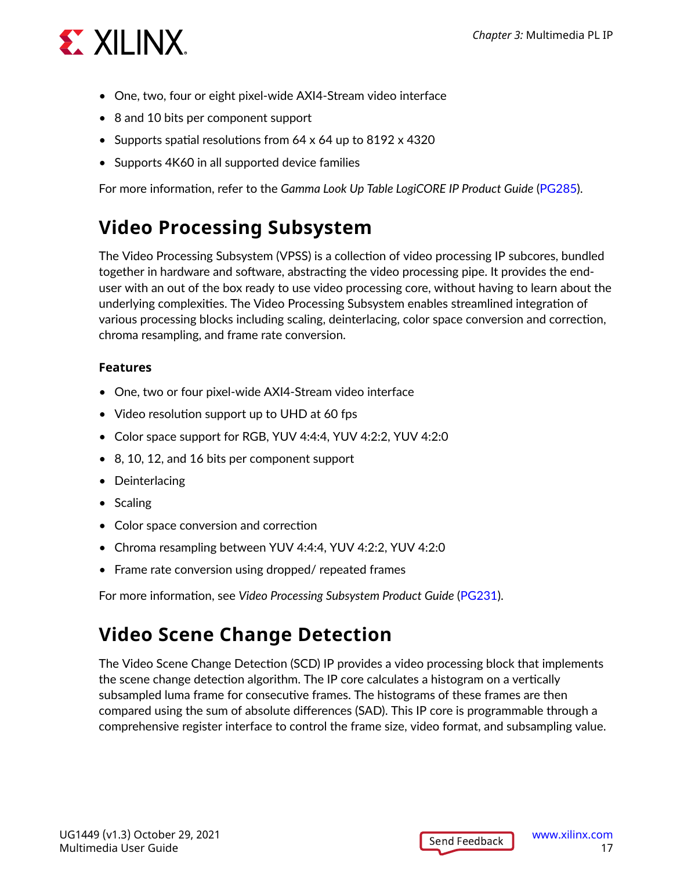

- One, two, four or eight pixel-wide AXI4-Stream video interface
- 8 and 10 bits per component support
- Supports spatial resolutions from 64 x 64 up to 8192 x 4320
- Supports 4K60 in all supported device families

For more information, refer to the *Gamma Look Up Table LogiCORE IP Product Guide* [\(PG285](https://www.xilinx.com/cgi-bin/docs/ipdoc?c=v_gamma_lut;v=latest;d=pg285-v-gamma-lut.pdf)).

#### **Video Processing Subsystem**

The Video Processing Subsystem (VPSS) is a collection of video processing IP subcores, bundled together in hardware and software, abstracting the video processing pipe. It provides the enduser with an out of the box ready to use video processing core, without having to learn about the underlying complexities. The Video Processing Subsystem enables streamlined integration of various processing blocks including scaling, deinterlacing, color space conversion and correction, chroma resampling, and frame rate conversion.

#### **Features**

- One, two or four pixel-wide AXI4-Stream video interface
- Video resolution support up to UHD at 60 fps
- Color space support for RGB, YUV 4:4:4, YUV 4:2:2, YUV 4:2:0
- 8, 10, 12, and 16 bits per component support
- Deinterlacing
- Scaling
- Color space conversion and correction
- Chroma resampling between YUV 4:4:4, YUV 4:2:2, YUV 4:2:0
- Frame rate conversion using dropped/ repeated frames

For more information, see *Video Processing Subsystem Product Guide* ([PG231\)](https://www.xilinx.com/cgi-bin/docs/ipdoc?c=v_proc_ss;v=latest;d=pg231-v-proc-ss.pdf).

### **Video Scene Change Detection**

The Video Scene Change Detection (SCD) IP provides a video processing block that implements the scene change detection algorithm. The IP core calculates a histogram on a vertically subsampled luma frame for consecutive frames. The histograms of these frames are then compared using the sum of absolute differences (SAD). This IP core is programmable through a comprehensive register interface to control the frame size, video format, and subsampling value.

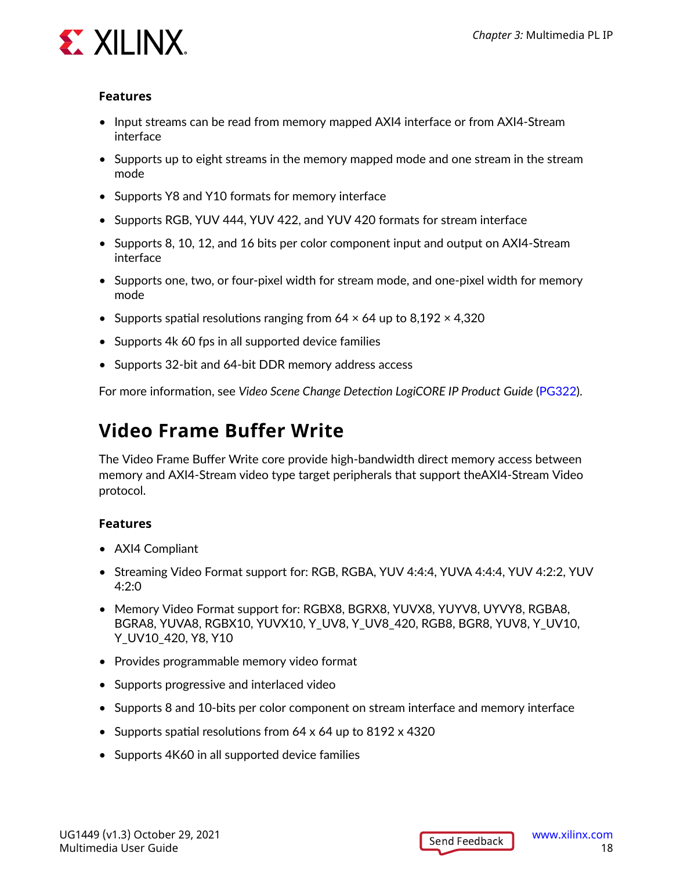

#### **Features**

- Input streams can be read from memory mapped AXI4 interface or from AXI4-Stream interface
- Supports up to eight streams in the memory mapped mode and one stream in the stream mode
- Supports Y8 and Y10 formats for memory interface
- Supports RGB, YUV 444, YUV 422, and YUV 420 formats for stream interface
- Supports 8, 10, 12, and 16 bits per color component input and output on AXI4-Stream interface
- Supports one, two, or four-pixel width for stream mode, and one-pixel width for memory mode
- Supports spatial resolutions ranging from  $64 \times 64$  up to  $8,192 \times 4,320$
- Supports 4k 60 fps in all supported device families
- Supports 32-bit and 64-bit DDR memory address access

For more information, see *Video Scene Change Detection LogiCORE IP Product Guide* ([PG322\)](https://www.xilinx.com/cgi-bin/docs/ipdoc?c=v_scenechange;v=latest;d=pg322-v-scenechange-detect.pdf).

#### **Video Frame Buffer Write**

The Video Frame Buffer Write core provide high-bandwidth direct memory access between memory and AXI4-Stream video type target peripherals that support theAXI4-Stream Video protocol.

- AXI4 Compliant
- Streaming Video Format support for: RGB, RGBA, YUV 4:4:4, YUVA 4:4:4, YUV 4:2:2, YUV 4:2:0
- Memory Video Format support for: RGBX8, BGRX8, YUVX8, YUYV8, UYVY8, RGBA8, BGRA8, YUVA8, RGBX10, YUVX10, Y\_UV8, Y\_UV8\_420, RGB8, BGR8, YUV8, Y\_UV10, Y\_UV10\_420, Y8, Y10
- Provides programmable memory video format
- Supports progressive and interlaced video
- Supports 8 and 10-bits per color component on stream interface and memory interface
- Supports spatial resolutions from 64 x 64 up to 8192 x 4320
- Supports 4K60 in all supported device families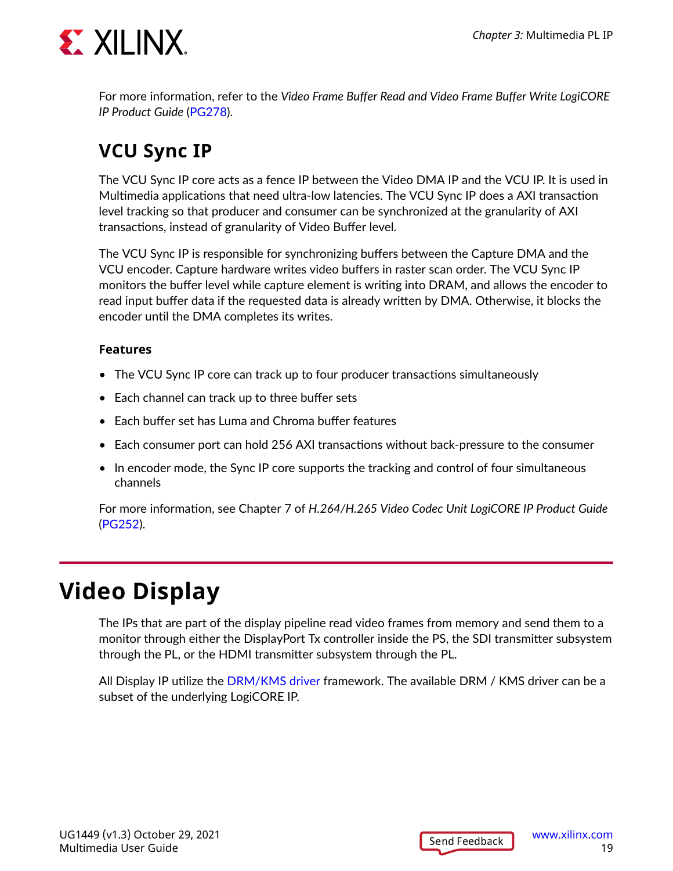<span id="page-18-0"></span>

For more information, refer to the *Video Frame Buffer Read and Video Frame Buffer Write LogiCORE IP Product Guide* ([PG278\)](https://www.xilinx.com/cgi-bin/docs/ipdoc?c=v_frmbuf;v=latest;d=pg278-v-frmbuf.pdf).

### **VCU Sync IP**

The VCU Sync IP core acts as a fence IP between the Video DMA IP and the VCU IP. It is used in Multimedia applications that need ultra-low latencies. The VCU Sync IP does a AXI transaction level tracking so that producer and consumer can be synchronized at the granularity of AXI transactions, instead of granularity of Video Buffer level.

The VCU Sync IP is responsible for synchronizing buffers between the Capture DMA and the VCU encoder. Capture hardware writes video buffers in raster scan order. The VCU Sync IP monitors the buffer level while capture element is writing into DRAM, and allows the encoder to read input buffer data if the requested data is already written by DMA. Otherwise, it blocks the encoder until the DMA completes its writes.

#### **Features**

- The VCU Sync IP core can track up to four producer transactions simultaneously
- Each channel can track up to three buffer sets
- Each buffer set has Luma and Chroma buffer features
- Each consumer port can hold 256 AXI transactions without back-pressure to the consumer
- In encoder mode, the Sync IP core supports the tracking and control of four simultaneous channels

For more information, see Chapter 7 of *H.264/H.265 Video Codec Unit LogiCORE IP Product Guide* ([PG252\)](https://www.xilinx.com/cgi-bin/docs/rdoc?v=latest;d=pg252-vcu.pdf).

### **Video Display**

The IPs that are part of the display pipeline read video frames from memory and send them to a monitor through either the DisplayPort Tx controller inside the PS, the SDI transmitter subsystem through the PL, or the HDMI transmitter subsystem through the PL.

All Display IP utilize the [DRM/KMS driver](https://xilinx-wiki.atlassian.net/wiki/spaces/A/pages/18842520/Xilinx+DRM+KMS+driver) framework. The available DRM / KMS driver can be a subset of the underlying LogiCORE IP.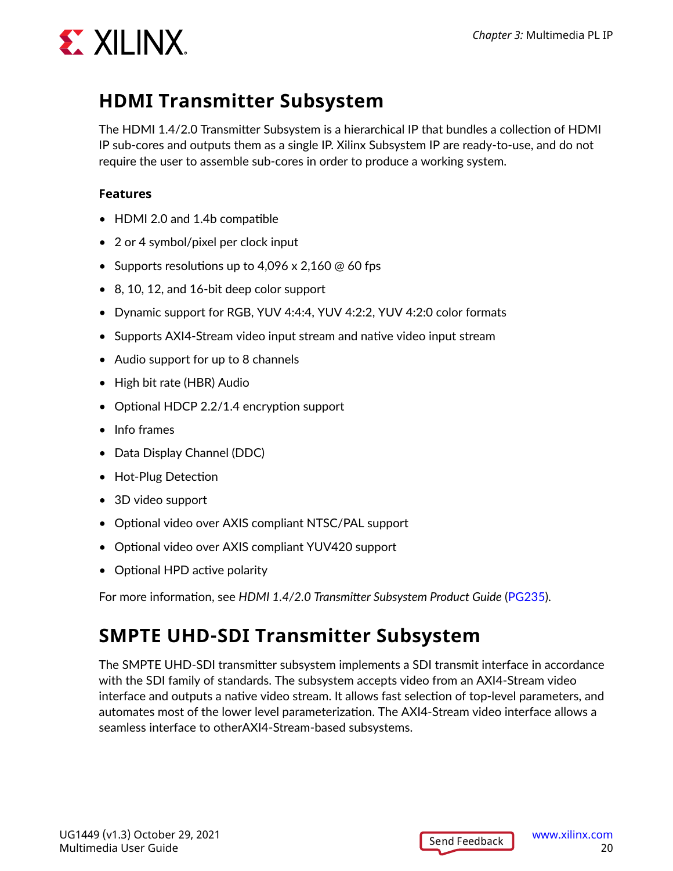

#### **HDMI Transmitter Subsystem**

The HDMI 1.4/2.0 Transmitter Subsystem is a hierarchical IP that bundles a collection of HDMI IP sub-cores and outputs them as a single IP. Xilinx Subsystem IP are ready-to-use, and do not require the user to assemble sub-cores in order to produce a working system.

#### **Features**

- HDMI 2.0 and 1.4b compatible
- 2 or 4 symbol/pixel per clock input
- Supports resolutions up to  $4,096 \times 2,160 \text{ }$  60 fps
- 8, 10, 12, and 16-bit deep color support
- Dynamic support for RGB, YUV 4:4:4, YUV 4:2:2, YUV 4:2:0 color formats
- Supports AXI4-Stream video input stream and native video input stream
- Audio support for up to 8 channels
- High bit rate (HBR) Audio
- Optional HDCP 2.2/1.4 encryption support
- Info frames
- Data Display Channel (DDC)
- Hot-Plug Detection
- 3D video support
- Optional video over AXIS compliant NTSC/PAL support
- Optional video over AXIS compliant YUV420 support
- Optional HPD active polarity

For more information, see *HDMI 1.4/2.0 Transmitter Subsystem Product Guide* [\(PG235](https://www.xilinx.com/cgi-bin/docs/ipdoc?c=v_hdmi_tx_ss;v=latest;d=pg235-v-hdmi-tx-ss.pdf)).

#### **SMPTE UHD-SDI Transmitter Subsystem**

The SMPTE UHD-SDI transmitter subsystem implements a SDI transmit interface in accordance with the SDI family of standards. The subsystem accepts video from an AXI4-Stream video interface and outputs a native video stream. It allows fast selection of top-level parameters, and automates most of the lower level parameterization. The AXI4-Stream video interface allows a seamless interface to otherAXI4-Stream-based subsystems.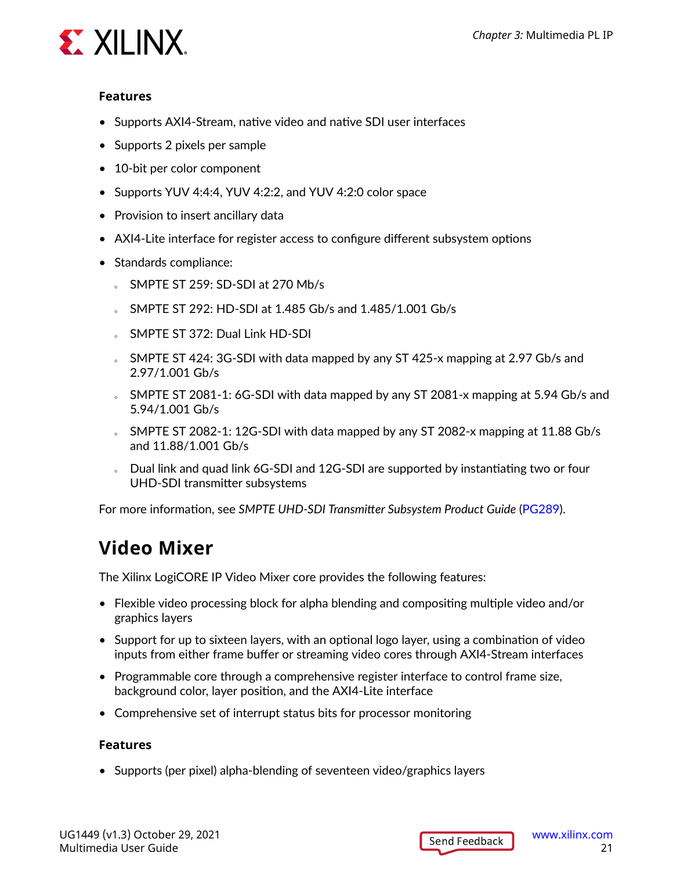

#### **Features**

- Supports AXI4-Stream, native video and native SDI user interfaces
- Supports 2 pixels per sample
- 10-bit per color component
- Supports YUV 4:4:4, YUV 4:2:2, and YUV 4:2:0 color space
- Provision to insert ancillary data
- AXI4-Lite interface for register access to configure different subsystem options
- Standards compliance:
	- $S$  SMPTE ST 259: SD-SDI at 270 Mb/s
	- SMPTE ST 292: HD-SDI at 1.485 Gb/s and 1.485/1.001 Gb/s
	- **SMPTE ST 372: Dual Link HD-SDI**
	- SMPTE ST 424: 3G-SDI with data mapped by any ST 425-x mapping at 2.97 Gb/s and 2.97/1.001 Gb/s
	- SMPTE ST 2081-1: 6G-SDI with data mapped by any ST 2081-x mapping at 5.94 Gb/s and 5.94/1.001 Gb/s
	- SMPTE ST 2082-1: 12G-SDI with data mapped by any ST 2082-x mapping at 11.88 Gb/s and 11.88/1.001 Gb/s
	- o Dual link and quad link 6G-SDI and 12G-SDI are supported by instantiating two or four UHD-SDI transmitter subsystems

For more information, see *SMPTE UHD-SDI Transmitter Subsystem Product Guide* [\(PG289](https://www.xilinx.com/cgi-bin/docs/ipdoc?c=v_smpte_uhdsdi_tx_ss;v=latest;d=pg289-v-smpte-uhdsdi-tx-ss.pdf)).

#### **Video Mixer**

The Xilinx LogiCORE IP Video Mixer core provides the following features:

- Flexible video processing block for alpha blending and compositing multiple video and/or graphics layers
- Support for up to sixteen layers, with an optional logo layer, using a combination of video inputs from either frame buffer or streaming video cores through AXI4-Stream interfaces
- Programmable core through a comprehensive register interface to control frame size, background color, layer position, and the AXI4-Lite interface
- Comprehensive set of interrupt status bits for processor monitoring

#### **Features**

• Supports (per pixel) alpha-blending of seventeen video/graphics layers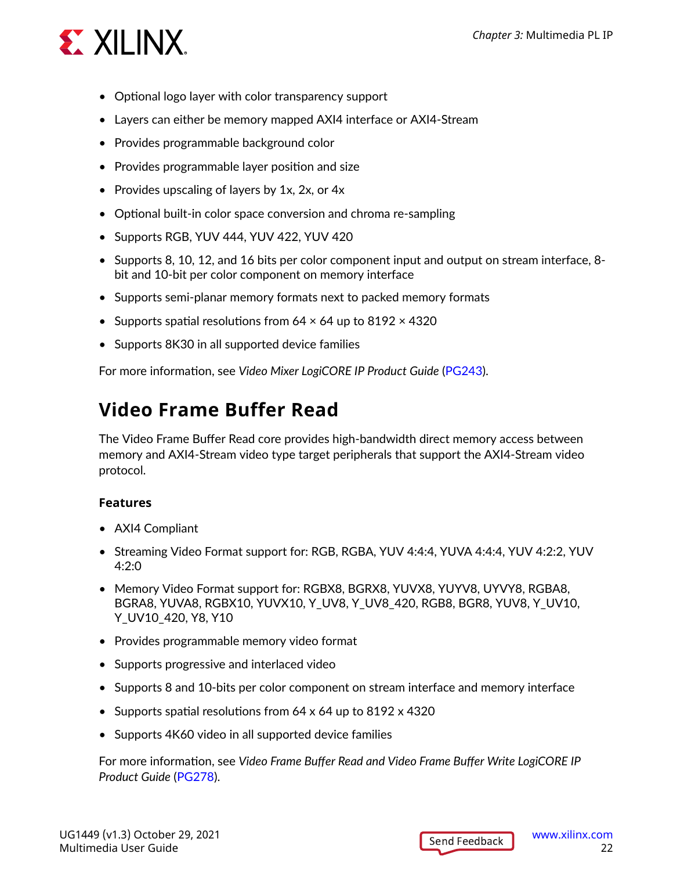

- Optional logo layer with color transparency support
- Layers can either be memory mapped AXI4 interface or AXI4-Stream
- Provides programmable background color
- Provides programmable layer position and size
- Provides upscaling of layers by 1x, 2x, or 4x
- Optional built-in color space conversion and chroma re-sampling
- Supports RGB, YUV 444, YUV 422, YUV 420
- Supports 8, 10, 12, and 16 bits per color component input and output on stream interface, 8 bit and 10-bit per color component on memory interface
- Supports semi-planar memory formats next to packed memory formats
- Supports spatial resolutions from  $64 \times 64$  up to  $8192 \times 4320$
- Supports 8K30 in all supported device families

For more information, see *Video Mixer LogiCORE IP Product Guide* [\(PG243](https://www.xilinx.com/cgi-bin/docs/ipdoc?c=v_mix;v=latest;d=pg243-v-mix.pdf)).

#### **Video Frame Buffer Read**

The Video Frame Buffer Read core provides high-bandwidth direct memory access between memory and AXI4-Stream video type target peripherals that support the AXI4-Stream video protocol.

#### **Features**

- AXI4 Compliant
- Streaming Video Format support for: RGB, RGBA, YUV 4:4:4, YUVA 4:4:4, YUV 4:2:2, YUV 4:2:0
- Memory Video Format support for: RGBX8, BGRX8, YUVX8, YUYV8, UYVY8, RGBA8, BGRA8, YUVA8, RGBX10, YUVX10, Y\_UV8, Y\_UV8\_420, RGB8, BGR8, YUV8, Y\_UV10, Y\_UV10\_420, Y8, Y10
- Provides programmable memory video format
- Supports progressive and interlaced video
- Supports 8 and 10-bits per color component on stream interface and memory interface
- Supports spatial resolutions from 64 x 64 up to 8192 x 4320
- Supports 4K60 video in all supported device families

For more information, see *Video Frame Buffer Read and Video Frame Buffer Write LogiCORE IP Product Guide* [\(PG278\)](https://www.xilinx.com/cgi-bin/docs/ipdoc?c=v_frmbuf;v=latest;d=pg278-v-frmbuf.pdf).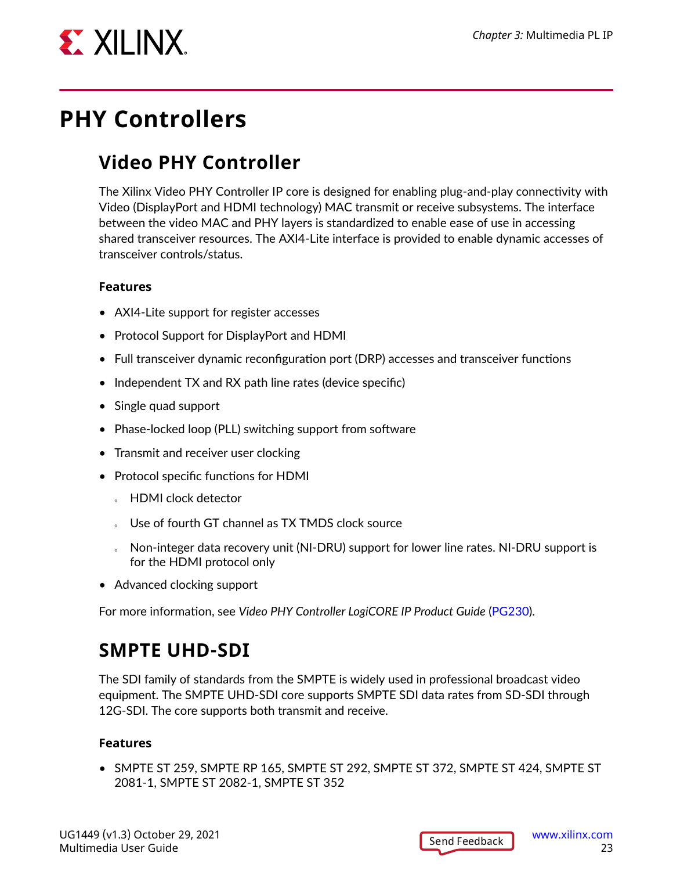<span id="page-22-0"></span>

### **PHY Controllers**

### **Video PHY Controller**

The Xilinx Video PHY Controller IP core is designed for enabling plug-and-play connectivity with Video (DisplayPort and HDMI technology) MAC transmit or receive subsystems. The interface between the video MAC and PHY layers is standardized to enable ease of use in accessing shared transceiver resources. The AXI4-Lite interface is provided to enable dynamic accesses of transceiver controls/status.

#### **Features**

- AXI4-Lite support for register accesses
- Protocol Support for DisplayPort and HDMI
- Full transceiver dynamic reconfiguration port (DRP) accesses and transceiver functions
- Independent TX and RX path line rates (device specific)
- Single quad support
- Phase-locked loop (PLL) switching support from software
- Transmit and receiver user clocking
- Protocol specific functions for HDMI
	- **E** HDMI clock detector
	- Use of fourth GT channel as TX TMDS clock source
	- o Non-integer data recovery unit (NI-DRU) support for lower line rates. NI-DRU support is for the HDMI protocol only
- Advanced clocking support

For more information, see *Video PHY Controller LogiCORE IP Product Guide* ([PG230\)](https://www.xilinx.com/cgi-bin/docs/ipdoc?c=vid_phy_controller;v=latest;d=pg230-vid-phy-controller.pdf).

### **SMPTE UHD-SDI**

The SDI family of standards from the SMPTE is widely used in professional broadcast video equipment. The SMPTE UHD-SDI core supports SMPTE SDI data rates from SD-SDI through 12G-SDI. The core supports both transmit and receive.

#### **Features**

• SMPTE ST 259, SMPTE RP 165, SMPTE ST 292, SMPTE ST 372, SMPTE ST 424, SMPTE ST 2081-1, SMPTE ST 2082-1, SMPTE ST 352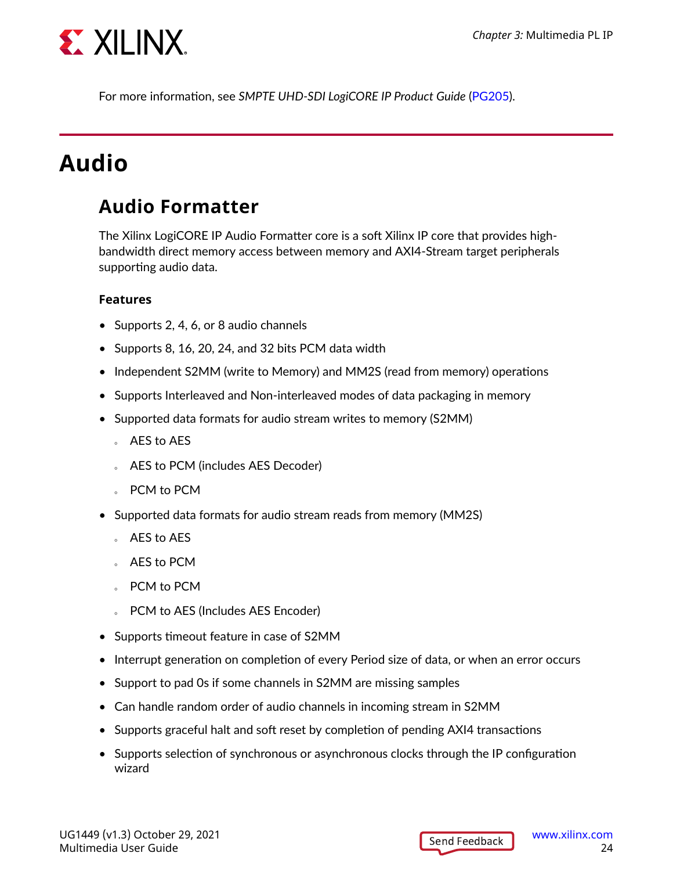<span id="page-23-0"></span>

For more information, see *SMPTE UHD-SDI LogiCORE IP Product Guide* ([PG205](https://www.xilinx.com/cgi-bin/docs/ipdoc?c=v_smpte_uhdsdi;v=latest;d=pg205-v-smpte-uhdsdi.pdf)).

### **Audio**

#### **Audio Formatter**

The Xilinx LogiCORE IP Audio Formatter core is a soft Xilinx IP core that provides highbandwidth direct memory access between memory and AXI4-Stream target peripherals supporting audio data.

- Supports 2, 4, 6, or 8 audio channels
- Supports 8, 16, 20, 24, and 32 bits PCM data width
- Independent S2MM (write to Memory) and MM2S (read from memory) operations
- Supports Interleaved and Non-interleaved modes of data packaging in memory
- Supported data formats for audio stream writes to memory (S2MM)
	- **AES to AES**
	- **EXELGE ALSA TECH CONCEY ARES Decoder)**
	- **PCM** to PCM
- Supported data formats for audio stream reads from memory (MM2S)
	- **AES to AES**
	- **AES to PCM**
	- **PCM** to PCM
	- **PCM to AES (Includes AES Encoder)**
- Supports timeout feature in case of S2MM
- Interrupt generation on completion of every Period size of data, or when an error occurs
- Support to pad 0s if some channels in S2MM are missing samples
- Can handle random order of audio channels in incoming stream in S2MM
- Supports graceful halt and soft reset by completion of pending AXI4 transactions
- Supports selection of synchronous or asynchronous clocks through the IP configuration wizard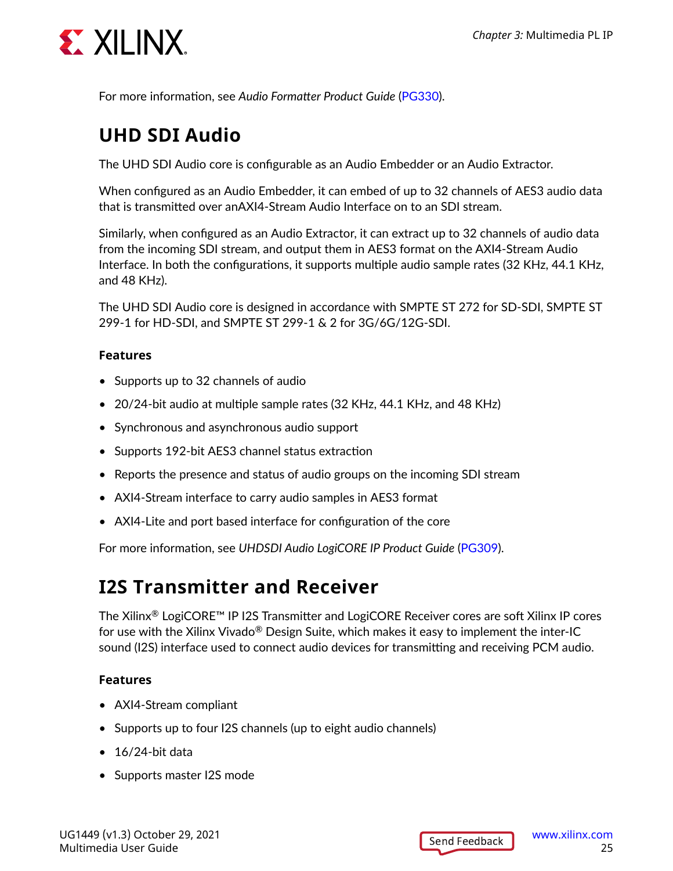

For more information, see *Audio Formatter Product Guide* ([PG330](https://www.xilinx.com/cgi-bin/docs/ipdoc?c=audio_formatter;v=latest;d=pg330-audio-formatter.pdf)).

#### **UHD SDI Audio**

The UHD SDI Audio core is configurable as an Audio Embedder or an Audio Extractor.

When configured as an Audio Embedder, it can embed of up to 32 channels of AES3 audio data that is transmitted over anAXI4-Stream Audio Interface on to an SDI stream.

Similarly, when configured as an Audio Extractor, it can extract up to 32 channels of audio data from the incoming SDI stream, and output them in AES3 format on the AXI4-Stream Audio Interface. In both the configurations, it supports multiple audio sample rates (32 KHz, 44.1 KHz, and 48 KHz).

The UHD SDI Audio core is designed in accordance with SMPTE ST 272 for SD-SDI, SMPTE ST 299-1 for HD-SDI, and SMPTE ST 299-1 & 2 for 3G/6G/12G-SDI.

#### **Features**

- Supports up to 32 channels of audio
- 20/24-bit audio at multiple sample rates (32 KHz, 44.1 KHz, and 48 KHz)
- Synchronous and asynchronous audio support
- Supports 192-bit AES3 channel status extraction
- Reports the presence and status of audio groups on the incoming SDI stream
- AXI4-Stream interface to carry audio samples in AES3 format
- AXI4-Lite and port based interface for configuration of the core

For more information, see *UHDSDI Audio LogiCORE IP Product Guide* [\(PG309](https://www.xilinx.com/cgi-bin/docs/ipdoc?c=uhdsdi_audio;v=latest;d=pg309-uhdsdi-audio.pdf)).

#### **I2S Transmitter and Receiver**

The Xilinx® LogiCORE™ IP I2S Transmitter and LogiCORE Receiver cores are soft Xilinx IP cores for use with the Xilinx Vivado<sup>®</sup> Design Suite, which makes it easy to implement the inter-IC sound (I2S) interface used to connect audio devices for transmitting and receiving PCM audio.

- AXI4-Stream compliant
- Supports up to four I2S channels (up to eight audio channels)
- $\bullet$  16/24-bit data
- Supports master I2S mode

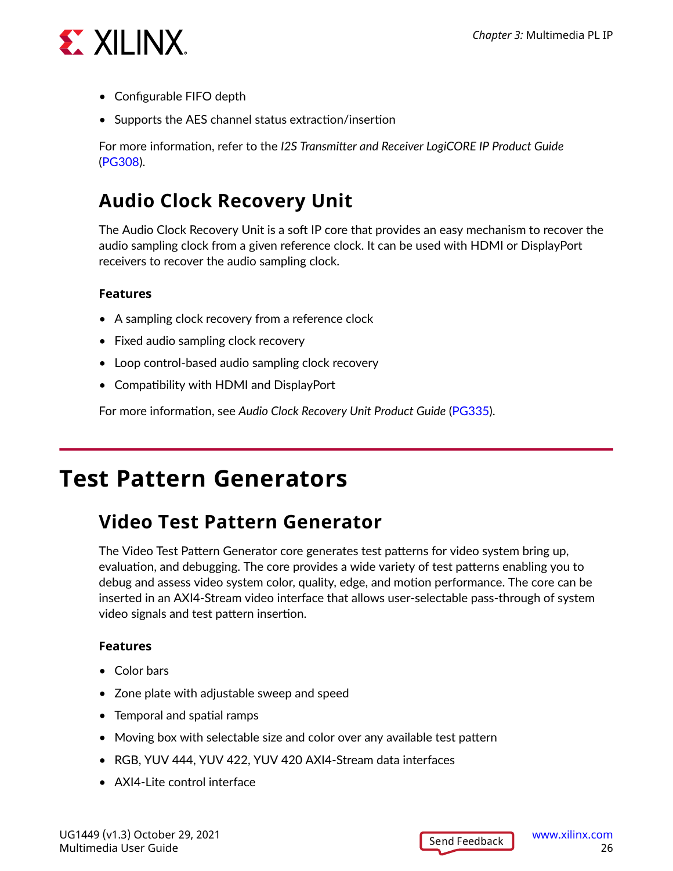<span id="page-25-0"></span>

- Configurable FIFO depth
- Supports the AES channel status extraction/insertion

For more information, refer to the *I2S Transmitter and Receiver LogiCORE IP Product Guide* ([PG308\)](https://www.xilinx.com/cgi-bin/docs/ipdoc?c=i2s_receiver;v=latest;d=pg308-i2s.pdf).

#### **Audio Clock Recovery Unit**

The Audio Clock Recovery Unit is a soft IP core that provides an easy mechanism to recover the audio sampling clock from a given reference clock. It can be used with HDMI or DisplayPort receivers to recover the audio sampling clock.

#### **Features**

- A sampling clock recovery from a reference clock
- Fixed audio sampling clock recovery
- Loop control-based audio sampling clock recovery
- Compatibility with HDMI and DisplayPort

For more information, see *Audio Clock Recovery Unit Product Guide* ([PG335](https://www.xilinx.com/cgi-bin/docs/ipdoc?c=audio_clock_recovery_unit;v=v1_0;d=pg335-acr-unit.pdf)).

### **Test Pattern Generators**

#### **Video Test Pattern Generator**

The Video Test Pattern Generator core generates test patterns for video system bring up, evaluation, and debugging. The core provides a wide variety of test patterns enabling you to debug and assess video system color, quality, edge, and motion performance. The core can be inserted in an AXI4-Stream video interface that allows user-selectable pass-through of system video signals and test pattern insertion.

- Color bars
- Zone plate with adjustable sweep and speed
- Temporal and spatial ramps
- Moving box with selectable size and color over any available test pattern
- RGB, YUV 444, YUV 422, YUV 420 AXI4-Stream data interfaces
- AXI4-Lite control interface

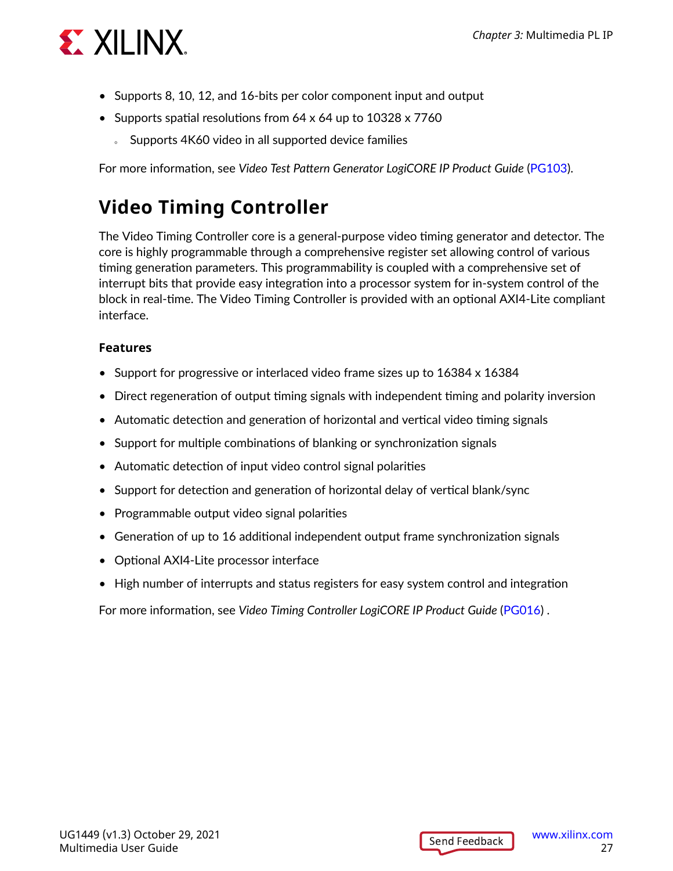

- Supports 8, 10, 12, and 16-bits per color component input and output
- Supports spatial resolutions from 64 x 64 up to 10328 x 7760
	- o Supports 4K60 video in all supported device families

For more information, see *Video Test Pattern Generator LogiCORE IP Product Guide* [\(PG103](https://www.xilinx.com/cgi-bin/docs/ipdoc?c=v_tpg;v=latest;d=pg103-v-tpg.pdf)).

#### **Video Timing Controller**

The Video Timing Controller core is a general-purpose video timing generator and detector. The core is highly programmable through a comprehensive register set allowing control of various timing generation parameters. This programmability is coupled with a comprehensive set of interrupt bits that provide easy integration into a processor system for in-system control of the block in real-time. The Video Timing Controller is provided with an optional AXI4-Lite compliant interface.

#### **Features**

- Support for progressive or interlaced video frame sizes up to 16384 x 16384
- Direct regeneration of output timing signals with independent timing and polarity inversion
- Automatic detection and generation of horizontal and vertical video timing signals
- Support for multiple combinations of blanking or synchronization signals
- Automatic detection of input video control signal polarities
- Support for detection and generation of horizontal delay of vertical blank/sync
- Programmable output video signal polarities
- Generation of up to 16 additional independent output frame synchronization signals
- Optional AXI4-Lite processor interface
- High number of interrupts and status registers for easy system control and integration

For more information, see *Video Timing Controller LogiCORE IP Product Guide* [\(PG016\)](https://www.xilinx.com/cgi-bin/docs/ipdoc?c=v_tc;v=latest;d=pg016_v_tc.pdf) .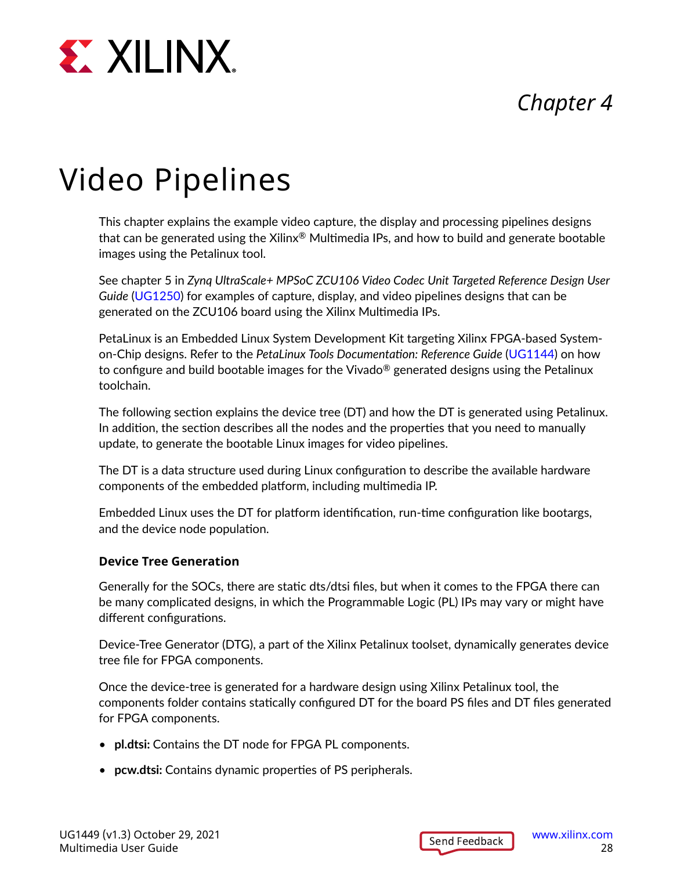<span id="page-27-0"></span>

### *Chapter 4*

## Video Pipelines

This chapter explains the example video capture, the display and processing pipelines designs that can be generated using the Xilinx<sup>®</sup> Multimedia IPs, and how to build and generate bootable images using the Petalinux tool.

See chapter 5 in *Zynq UltraScale+ MPSoC ZCU106 Video Codec Unit Targeted Reference Design User Guide* ([UG1250](https://www.xilinx.com/cgi-bin/docs/bkdoc?k=zcu106;v=latest;d=ug1250-zcu106-vcu-trd.pdf)) for examples of capture, display, and video pipelines designs that can be generated on the ZCU106 board using the Xilinx Multimedia IPs.

PetaLinux is an Embedded Linux System Development Kit targeting Xilinx FPGA-based Systemon-Chip designs. Refer to the *PetaLinux Tools Documentation: Reference Guide* ([UG1144\)](https://www.xilinx.com/cgi-bin/docs/rdoc?v=latest;d=ug1144-petalinux-tools-reference-guide.pdf) on how to configure and build bootable images for the Vivado® generated designs using the Petalinux toolchain.

The following section explains the device tree (DT) and how the DT is generated using Petalinux. In addition, the section describes all the nodes and the properties that you need to manually update, to generate the bootable Linux images for video pipelines.

The DT is a data structure used during Linux configuration to describe the available hardware components of the embedded platform, including multimedia IP.

Embedded Linux uses the DT for platform identification, run-time configuration like bootargs, and the device node population.

#### **Device Tree Generation**

Generally for the SOCs, there are static dts/dtsi files, but when it comes to the FPGA there can be many complicated designs, in which the Programmable Logic (PL) IPs may vary or might have different configurations.

Device-Tree Generator (DTG), a part of the Xilinx Petalinux toolset, dynamically generates device tree file for FPGA components.

Once the device-tree is generated for a hardware design using Xilinx Petalinux tool, the components folder contains statically configured DT for the board PS files and DT files generated for FPGA components.

- **pl.dtsi:** Contains the DT node for FPGA PL components.
- **pcw.dtsi:** Contains dynamic properties of PS peripherals.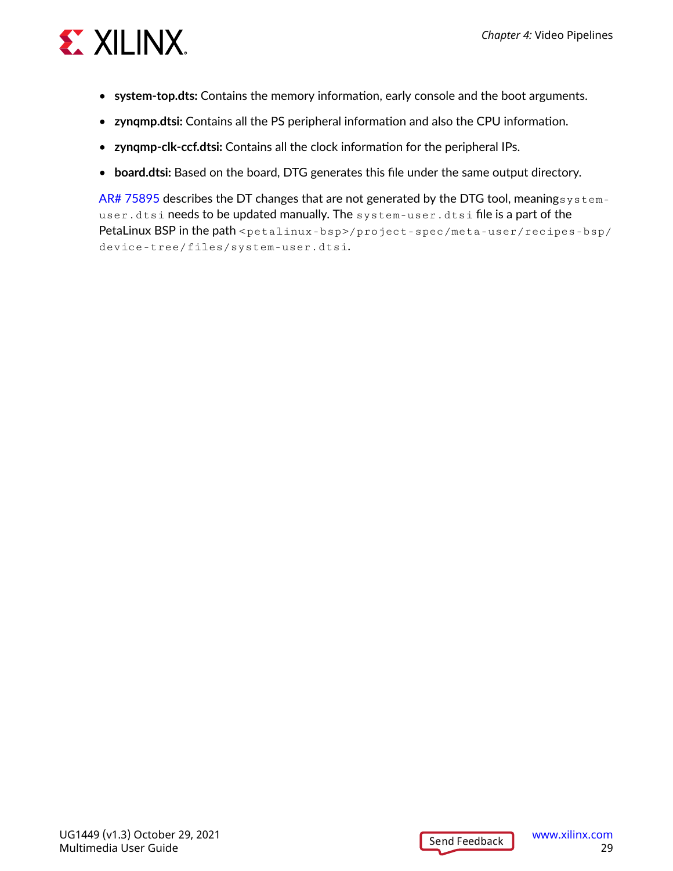

- **system-top.dts:** Contains the memory information, early console and the boot arguments.
- **zynqmp.dtsi:** Contains all the PS peripheral information and also the CPU information.
- **zynqmp-clk-ccf.dtsi:** Contains all the clock information for the peripheral IPs.
- **board.dtsi:** Based on the board, DTG generates this file under the same output directory.

[AR# 75895](https://www.xilinx.com/support/answers/75895.html) describes the DT changes that are not generated by the DTG tool, meanings  $y$  stemuser.dtsi needs to be updated manually. The system-user.dtsi file is a part of the PetaLinux BSP in the path <petalinux-bsp>/project-spec/meta-user/recipes-bsp/ device-tree/files/system-user.dtsi.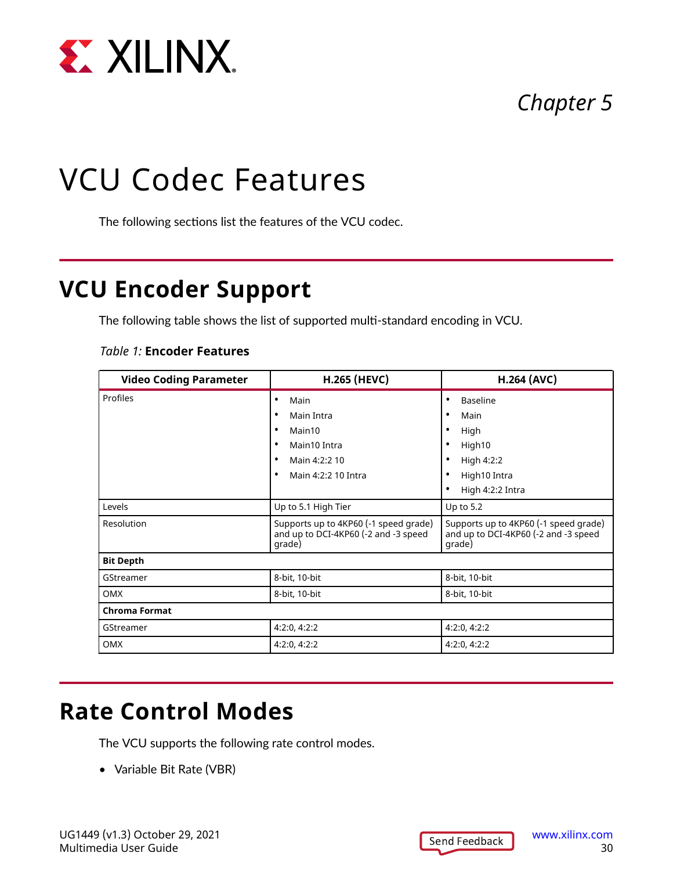<span id="page-29-0"></span>

### *Chapter 5*

## VCU Codec Features

The following sections list the features of the VCU codec.

### **VCU Encoder Support**

The following table shows the list of supported multi-standard encoding in VCU.

#### *Table 1:* **Encoder Features**

| <b>Video Coding Parameter</b> | <b>H.265 (HEVC)</b>                                                                     | <b>H.264 (AVC)</b>                                                                      |
|-------------------------------|-----------------------------------------------------------------------------------------|-----------------------------------------------------------------------------------------|
| Profiles                      | Main<br>٠                                                                               | <b>Baseline</b>                                                                         |
|                               | Main Intra                                                                              | Main                                                                                    |
|                               | Main10                                                                                  | High                                                                                    |
|                               | Main10 Intra                                                                            | High10                                                                                  |
|                               | Main 4:2:2 10                                                                           | High 4:2:2                                                                              |
|                               | Main 4:2:2 10 Intra<br>٠                                                                | High10 Intra                                                                            |
|                               |                                                                                         | High 4:2:2 Intra                                                                        |
| Levels                        | Up to 5.1 High Tier                                                                     | Up to $5.2$                                                                             |
| Resolution                    | Supports up to 4KP60 (-1 speed grade)<br>and up to DCI-4KP60 (-2 and -3 speed<br>grade) | Supports up to 4KP60 (-1 speed grade)<br>and up to DCI-4KP60 (-2 and -3 speed<br>grade) |
| <b>Bit Depth</b>              |                                                                                         |                                                                                         |
| GStreamer                     | 8-bit, 10-bit                                                                           | 8-bit, 10-bit                                                                           |
| OMX                           | 8-bit, 10-bit                                                                           | 8-bit, 10-bit                                                                           |
| <b>Chroma Format</b>          |                                                                                         |                                                                                         |
| GStreamer                     | 4:2:0, 4:2:2                                                                            | 4:2:0, 4:2:2                                                                            |
| <b>OMX</b>                    | 4:2:0, 4:2:2                                                                            | 4:2:0, 4:2:2                                                                            |

### **Rate Control Modes**

The VCU supports the following rate control modes.

• Variable Bit Rate (VBR)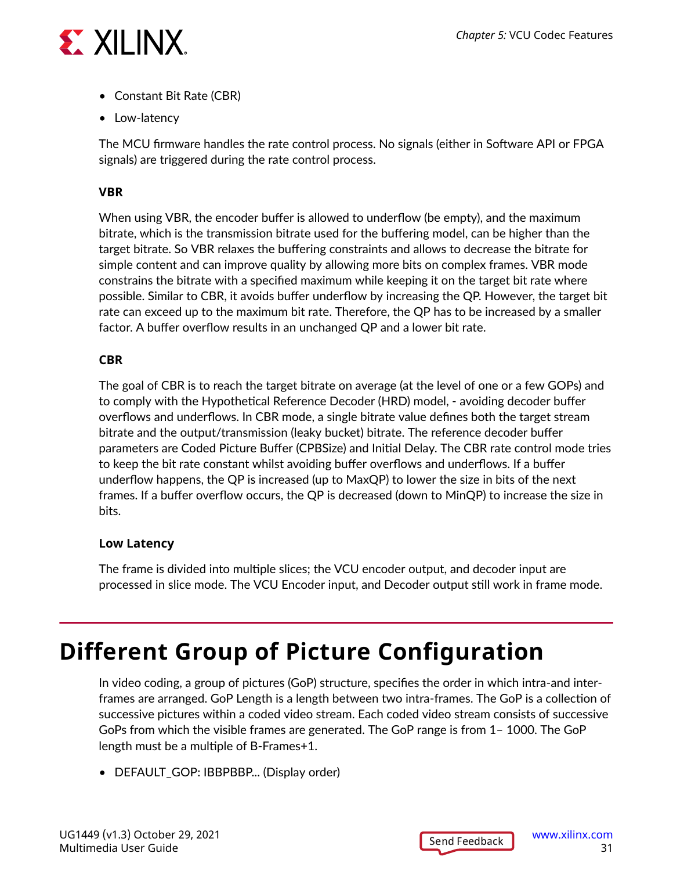<span id="page-30-0"></span>

- Constant Bit Rate (CBR)
- Low-latency

The MCU firmware handles the rate control process. No signals (either in Software API or FPGA signals) are triggered during the rate control process.

#### **VBR**

When using VBR, the encoder buffer is allowed to underflow (be empty), and the maximum bitrate, which is the transmission bitrate used for the buffering model, can be higher than the target bitrate. So VBR relaxes the buffering constraints and allows to decrease the bitrate for simple content and can improve quality by allowing more bits on complex frames. VBR mode constrains the bitrate with a specified maximum while keeping it on the target bit rate where possible. Similar to CBR, it avoids buffer underflow by increasing the QP. However, the target bit rate can exceed up to the maximum bit rate. Therefore, the QP has to be increased by a smaller factor. A buffer overflow results in an unchanged QP and a lower bit rate.

#### **CBR**

The goal of CBR is to reach the target bitrate on average (at the level of one or a few GOPs) and to comply with the Hypothetical Reference Decoder (HRD) model, - avoiding decoder buffer overflows and underflows. In CBR mode, a single bitrate value defines both the target stream bitrate and the output/transmission (leaky bucket) bitrate. The reference decoder buffer parameters are Coded Picture Buffer (CPBSize) and Initial Delay. The CBR rate control mode tries to keep the bit rate constant whilst avoiding buffer overflows and underflows. If a buffer underflow happens, the QP is increased (up to MaxQP) to lower the size in bits of the next frames. If a buffer overflow occurs, the QP is decreased (down to MinQP) to increase the size in bits.

#### **Low Latency**

The frame is divided into multiple slices; the VCU encoder output, and decoder input are processed in slice mode. The VCU Encoder input, and Decoder output still work in frame mode.

### **Different Group of Picture Configuration**

In video coding, a group of pictures (GoP) structure, specifies the order in which intra-and interframes are arranged. GoP Length is a length between two intra-frames. The GoP is a collection of successive pictures within a coded video stream. Each coded video stream consists of successive GoPs from which the visible frames are generated. The GoP range is from 1– 1000. The GoP length must be a multiple of B-Frames+1.

• DEFAULT\_GOP: IBBPBBP... (Display order)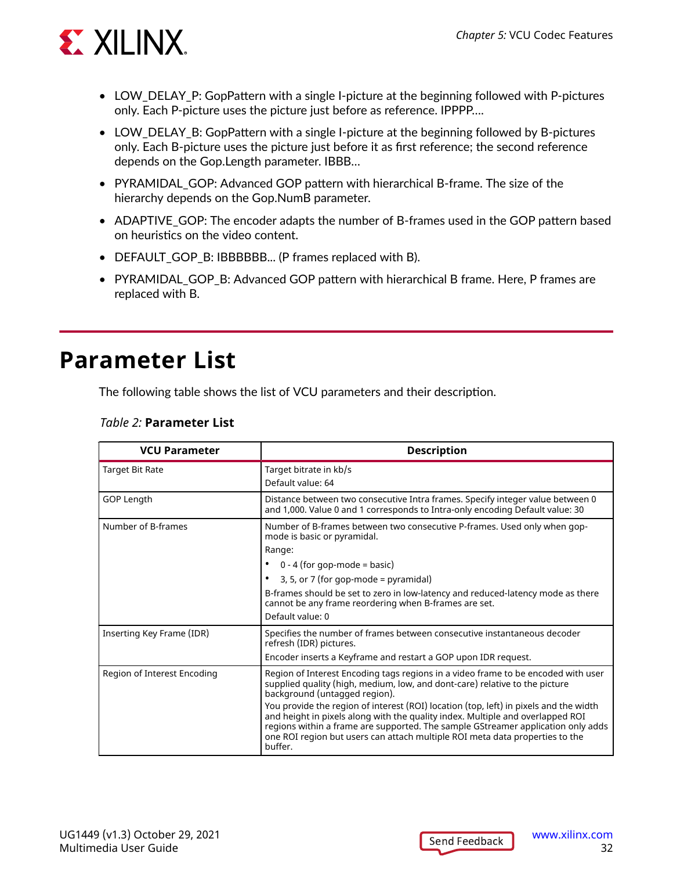<span id="page-31-0"></span>

- LOW\_DELAY\_P: GopPattern with a single I-picture at the beginning followed with P-pictures only. Each P-picture uses the picture just before as reference. IPPPP….
- LOW\_DELAY\_B: GopPattern with a single I-picture at the beginning followed by B-pictures only. Each B-picture uses the picture just before it as first reference; the second reference depends on the Gop.Length parameter. IBBB…
- PYRAMIDAL\_GOP: Advanced GOP pattern with hierarchical B-frame. The size of the hierarchy depends on the Gop.NumB parameter.
- ADAPTIVE GOP: The encoder adapts the number of B-frames used in the GOP pattern based on heuristics on the video content.
- DEFAULT\_GOP\_B: IBBBBBB... (P frames replaced with B).
- PYRAMIDAL\_GOP\_B: Advanced GOP pattern with hierarchical B frame. Here, P frames are replaced with B.

### **Parameter List**

The following table shows the list of VCU parameters and their description.

| <b>VCU Parameter</b>        | <b>Description</b>                                                                                                                                                                                                                                                                                                                                                                                                                                                                                                                                          |
|-----------------------------|-------------------------------------------------------------------------------------------------------------------------------------------------------------------------------------------------------------------------------------------------------------------------------------------------------------------------------------------------------------------------------------------------------------------------------------------------------------------------------------------------------------------------------------------------------------|
| <b>Target Bit Rate</b>      | Target bitrate in kb/s<br>Default value: 64                                                                                                                                                                                                                                                                                                                                                                                                                                                                                                                 |
| GOP Length                  | Distance between two consecutive Intra frames. Specify integer value between 0<br>and 1,000. Value 0 and 1 corresponds to Intra-only encoding Default value: 30                                                                                                                                                                                                                                                                                                                                                                                             |
| Number of B-frames          | Number of B-frames between two consecutive P-frames. Used only when gop-<br>mode is basic or pyramidal.<br>Range:<br>$0 - 4$ (for gop-mode = basic)<br>3, 5, or 7 (for gop-mode = $pyramidal)$<br>٠<br>B-frames should be set to zero in low-latency and reduced-latency mode as there<br>cannot be any frame reordering when B-frames are set.<br>Default value: 0                                                                                                                                                                                         |
| Inserting Key Frame (IDR)   | Specifies the number of frames between consecutive instantaneous decoder<br>refresh (IDR) pictures.<br>Encoder inserts a Keyframe and restart a GOP upon IDR request.                                                                                                                                                                                                                                                                                                                                                                                       |
| Region of Interest Encoding | Region of Interest Encoding tags regions in a video frame to be encoded with user<br>supplied quality (high, medium, low, and dont-care) relative to the picture<br>background (untagged region).<br>You provide the region of interest (ROI) location (top, left) in pixels and the width<br>and height in pixels along with the quality index. Multiple and overlapped ROI<br>regions within a frame are supported. The sample GStreamer application only adds<br>one ROI region but users can attach multiple ROI meta data properties to the<br>buffer. |

#### *Table 2:* **Parameter List**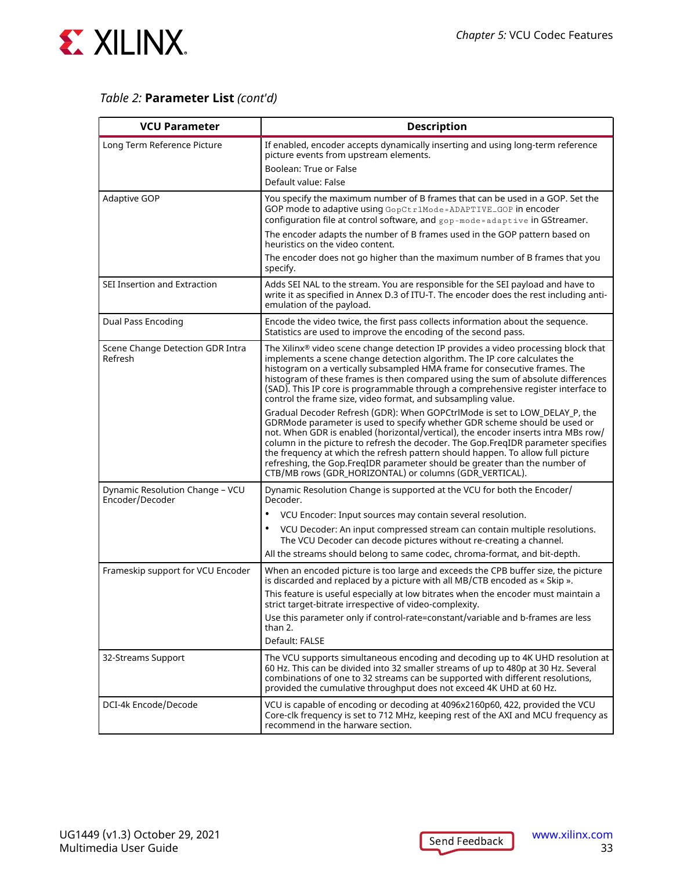

#### *Table 2:* **Parameter List** *(cont'd)*

| <b>VCU Parameter</b>                               | <b>Description</b>                                                                                                                                                                                                                                                                                                                                                                                                                                                                                                                                             |
|----------------------------------------------------|----------------------------------------------------------------------------------------------------------------------------------------------------------------------------------------------------------------------------------------------------------------------------------------------------------------------------------------------------------------------------------------------------------------------------------------------------------------------------------------------------------------------------------------------------------------|
| Long Term Reference Picture                        | If enabled, encoder accepts dynamically inserting and using long-term reference<br>picture events from upstream elements.<br>Boolean: True or False<br>Default value: False                                                                                                                                                                                                                                                                                                                                                                                    |
|                                                    |                                                                                                                                                                                                                                                                                                                                                                                                                                                                                                                                                                |
| <b>Adaptive GOP</b>                                | You specify the maximum number of B frames that can be used in a GOP. Set the<br>GOP mode to adaptive using GopCtr1Mode=ADAPTIVE_GOP in encoder<br>configuration file at control software, and gop-mode=adaptive in GStreamer.                                                                                                                                                                                                                                                                                                                                 |
|                                                    | The encoder adapts the number of B frames used in the GOP pattern based on<br>heuristics on the video content.                                                                                                                                                                                                                                                                                                                                                                                                                                                 |
|                                                    | The encoder does not go higher than the maximum number of B frames that you<br>specify.                                                                                                                                                                                                                                                                                                                                                                                                                                                                        |
| SEI Insertion and Extraction                       | Adds SEI NAL to the stream. You are responsible for the SEI payload and have to<br>write it as specified in Annex D.3 of ITU-T. The encoder does the rest including anti-<br>emulation of the payload.                                                                                                                                                                                                                                                                                                                                                         |
| Dual Pass Encoding                                 | Encode the video twice, the first pass collects information about the sequence.<br>Statistics are used to improve the encoding of the second pass.                                                                                                                                                                                                                                                                                                                                                                                                             |
| Scene Change Detection GDR Intra<br>Refresh        | The Xilinx® video scene change detection IP provides a video processing block that<br>implements a scene change detection algorithm. The IP core calculates the<br>histogram on a vertically subsampled HMA frame for consecutive frames. The<br>histogram of these frames is then compared using the sum of absolute differences<br>(SAD). This IP core is programmable through a comprehensive register interface to<br>control the frame size, video format, and subsampling value.                                                                         |
|                                                    | Gradual Decoder Refresh (GDR): When GOPCtrlMode is set to LOW_DELAY_P, the<br>GDRMode parameter is used to specify whether GDR scheme should be used or<br>not. When GDR is enabled (horizontal/vertical), the encoder inserts intra MBs row/<br>column in the picture to refresh the decoder. The Gop.FregIDR parameter specifies<br>the frequency at which the refresh pattern should happen. To allow full picture<br>refreshing, the Gop.FreqIDR parameter should be greater than the number of<br>CTB/MB rows (GDR_HORIZONTAL) or columns (GDR_VERTICAL). |
| Dynamic Resolution Change - VCU<br>Encoder/Decoder | Dynamic Resolution Change is supported at the VCU for both the Encoder/<br>Decoder.                                                                                                                                                                                                                                                                                                                                                                                                                                                                            |
|                                                    | $\bullet$<br>VCU Encoder: Input sources may contain several resolution.                                                                                                                                                                                                                                                                                                                                                                                                                                                                                        |
|                                                    | VCU Decoder: An input compressed stream can contain multiple resolutions.<br>٠<br>The VCU Decoder can decode pictures without re-creating a channel.                                                                                                                                                                                                                                                                                                                                                                                                           |
|                                                    | All the streams should belong to same codec, chroma-format, and bit-depth.                                                                                                                                                                                                                                                                                                                                                                                                                                                                                     |
| Frameskip support for VCU Encoder                  | When an encoded picture is too large and exceeds the CPB buffer size, the picture<br>is discarded and replaced by a picture with all MB/CTB encoded as « Skip ».                                                                                                                                                                                                                                                                                                                                                                                               |
|                                                    | This feature is useful especially at low bitrates when the encoder must maintain a<br>strict target-bitrate irrespective of video-complexity.                                                                                                                                                                                                                                                                                                                                                                                                                  |
|                                                    | Use this parameter only if control-rate=constant/variable and b-frames are less<br>than 2.                                                                                                                                                                                                                                                                                                                                                                                                                                                                     |
|                                                    | Default: FALSE                                                                                                                                                                                                                                                                                                                                                                                                                                                                                                                                                 |
| 32-Streams Support                                 | The VCU supports simultaneous encoding and decoding up to 4K UHD resolution at<br>60 Hz. This can be divided into 32 smaller streams of up to 480p at 30 Hz. Several<br>combinations of one to 32 streams can be supported with different resolutions,<br>provided the cumulative throughput does not exceed 4K UHD at 60 Hz.                                                                                                                                                                                                                                  |
| DCI-4k Encode/Decode                               | VCU is capable of encoding or decoding at 4096x2160p60, 422, provided the VCU<br>Core-clk frequency is set to 712 MHz, keeping rest of the AXI and MCU frequency as<br>recommend in the harware section.                                                                                                                                                                                                                                                                                                                                                       |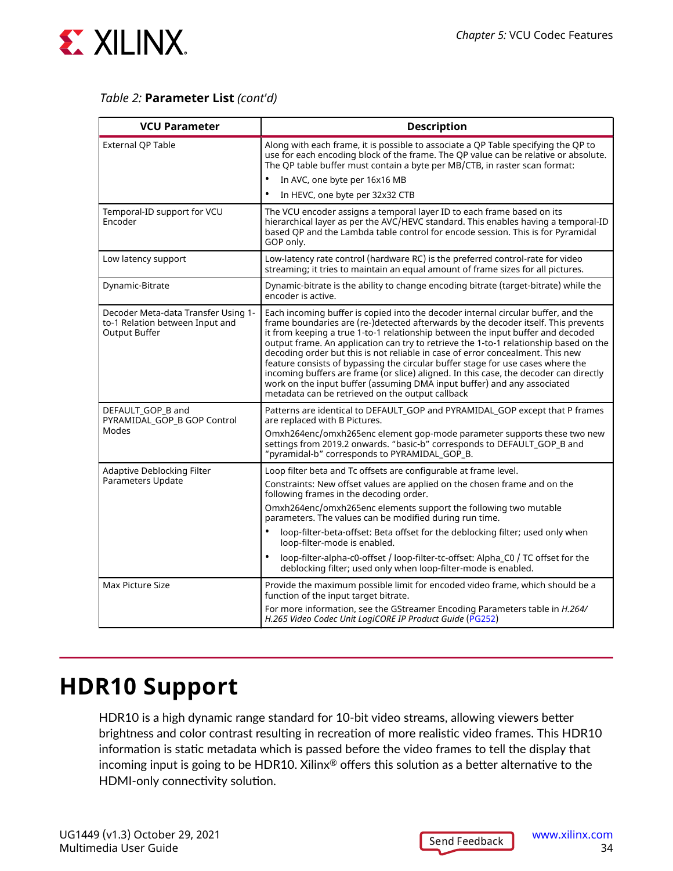<span id="page-33-0"></span>

#### *Table 2:* **Parameter List** *(cont'd)*

| <b>VCU Parameter</b>                                                                           | <b>Description</b>                                                                                                                                                                                                                                                                                                                                                                                                                                                                                                                                                                                                                                                                                                                               |
|------------------------------------------------------------------------------------------------|--------------------------------------------------------------------------------------------------------------------------------------------------------------------------------------------------------------------------------------------------------------------------------------------------------------------------------------------------------------------------------------------------------------------------------------------------------------------------------------------------------------------------------------------------------------------------------------------------------------------------------------------------------------------------------------------------------------------------------------------------|
| External QP Table                                                                              | Along with each frame, it is possible to associate a QP Table specifying the QP to<br>use for each encoding block of the frame. The QP value can be relative or absolute.<br>The QP table buffer must contain a byte per MB/CTB, in raster scan format:                                                                                                                                                                                                                                                                                                                                                                                                                                                                                          |
|                                                                                                | In AVC, one byte per 16x16 MB                                                                                                                                                                                                                                                                                                                                                                                                                                                                                                                                                                                                                                                                                                                    |
|                                                                                                | $\bullet$<br>In HEVC, one byte per 32x32 CTB                                                                                                                                                                                                                                                                                                                                                                                                                                                                                                                                                                                                                                                                                                     |
| Temporal-ID support for VCU<br>Encoder                                                         | The VCU encoder assigns a temporal layer ID to each frame based on its<br>hierarchical layer as per the AVC/HEVC standard. This enables having a temporal-ID<br>based QP and the Lambda table control for encode session. This is for Pyramidal<br>GOP only.                                                                                                                                                                                                                                                                                                                                                                                                                                                                                     |
| Low latency support                                                                            | Low-latency rate control (hardware RC) is the preferred control-rate for video<br>streaming; it tries to maintain an equal amount of frame sizes for all pictures.                                                                                                                                                                                                                                                                                                                                                                                                                                                                                                                                                                               |
| Dynamic-Bitrate                                                                                | Dynamic-bitrate is the ability to change encoding bitrate (target-bitrate) while the<br>encoder is active.                                                                                                                                                                                                                                                                                                                                                                                                                                                                                                                                                                                                                                       |
| Decoder Meta-data Transfer Using 1-<br>to-1 Relation between Input and<br><b>Output Buffer</b> | Each incoming buffer is copied into the decoder internal circular buffer, and the<br>frame boundaries are (re-)detected afterwards by the decoder itself. This prevents<br>it from keeping a true 1-to-1 relationship between the input buffer and decoded<br>output frame. An application can try to retrieve the 1-to-1 relationship based on the<br>decoding order but this is not reliable in case of error concealment. This new<br>feature consists of bypassing the circular buffer stage for use cases where the<br>incoming buffers are frame (or slice) aligned. In this case, the decoder can directly<br>work on the input buffer (assuming DMA input buffer) and any associated<br>metadata can be retrieved on the output callback |
| DEFAULT_GOP_B and<br>PYRAMIDAL_GOP_B GOP Control<br>Modes                                      | Patterns are identical to DEFAULT_GOP and PYRAMIDAL_GOP except that P frames<br>are replaced with B Pictures.<br>Omxh264enc/omxh265enc element gop-mode parameter supports these two new<br>settings from 2019.2 onwards. "basic-b" corresponds to DEFAULT_GOP_B and<br>"pyramidal-b" corresponds to PYRAMIDAL_GOP_B.                                                                                                                                                                                                                                                                                                                                                                                                                            |
| Adaptive Deblocking Filter<br>Parameters Update                                                | Loop filter beta and Tc offsets are configurable at frame level.<br>Constraints: New offset values are applied on the chosen frame and on the<br>following frames in the decoding order.<br>Omxh264enc/omxh265enc elements support the following two mutable<br>parameters. The values can be modified during run time.<br>$\bullet$<br>loop-filter-beta-offset: Beta offset for the deblocking filter; used only when<br>loop-filter-mode is enabled.<br>$\bullet$<br>loop-filter-alpha-c0-offset / loop-filter-tc-offset: Alpha C0 / TC offset for the<br>deblocking filter; used only when loop-filter-mode is enabled.                                                                                                                       |
| Max Picture Size                                                                               | Provide the maximum possible limit for encoded video frame, which should be a<br>function of the input target bitrate.                                                                                                                                                                                                                                                                                                                                                                                                                                                                                                                                                                                                                           |
|                                                                                                | For more information, see the GStreamer Encoding Parameters table in H.264/<br>H.265 Video Codec Unit LogiCORE IP Product Guide (PG252)                                                                                                                                                                                                                                                                                                                                                                                                                                                                                                                                                                                                          |

### **HDR10 Support**

HDR10 is a high dynamic range standard for 10-bit video streams, allowing viewers better brightness and color contrast resulting in recreation of more realistic video frames. This HDR10 information is static metadata which is passed before the video frames to tell the display that incoming input is going to be HDR10. Xilinx® offers this solution as a better alternative to the HDMI-only connectivity solution.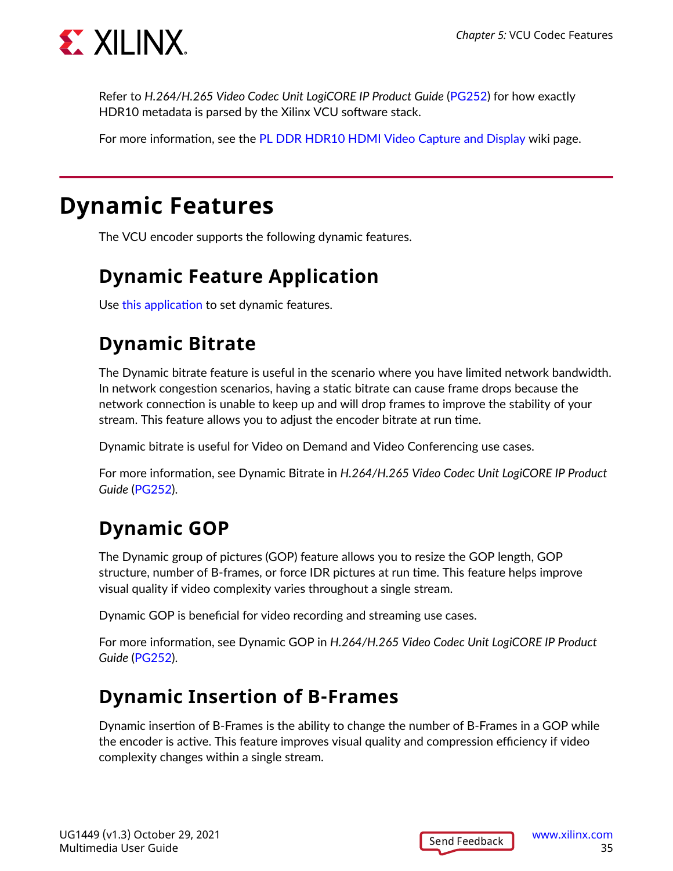<span id="page-34-0"></span>

Refer to *H.264/H.265 Video Codec Unit LogiCORE IP Product Guide* ([PG252](https://www.xilinx.com/cgi-bin/docs/rdoc?v=latest;d=pg252-vcu.pdf)) for how exactly HDR10 metadata is parsed by the Xilinx VCU software stack.

For more information, see the [PL DDR HDR10 HDMI Video Capture and Display](https://xilinx-wiki.atlassian.net/wiki/spaces/A/pages/2153742341) wiki page.

### **Dynamic Features**

The VCU encoder supports the following dynamic features.

### **Dynamic Feature Application**

Use [this application](https://github.com/Xilinx/gst-omx/blob/release-2020.2/examples/zynqultrascaleplus/test-vcu-encode.c) to set dynamic features.

### **Dynamic Bitrate**

The Dynamic bitrate feature is useful in the scenario where you have limited network bandwidth. In network congestion scenarios, having a static bitrate can cause frame drops because the network connection is unable to keep up and will drop frames to improve the stability of your stream. This feature allows you to adjust the encoder bitrate at run time.

Dynamic bitrate is useful for Video on Demand and Video Conferencing use cases.

For more information, see Dynamic Bitrate in *H.264/H.265 Video Codec Unit LogiCORE IP Product Guide* ([PG252](https://www.xilinx.com/cgi-bin/docs/rdoc?v=latest;d=pg252-vcu.pdf)).

### **Dynamic GOP**

The Dynamic group of pictures (GOP) feature allows you to resize the GOP length, GOP structure, number of B-frames, or force IDR pictures at run time. This feature helps improve visual quality if video complexity varies throughout a single stream.

Dynamic GOP is beneficial for video recording and streaming use cases.

For more information, see Dynamic GOP in *H.264/H.265 Video Codec Unit LogiCORE IP Product Guide* ([PG252](https://www.xilinx.com/cgi-bin/docs/rdoc?v=latest;d=pg252-vcu.pdf)).

#### **Dynamic Insertion of B-Frames**

Dynamic insertion of B-Frames is the ability to change the number of B-Frames in a GOP while the encoder is active. This feature improves visual quality and compression efficiency if video complexity changes within a single stream.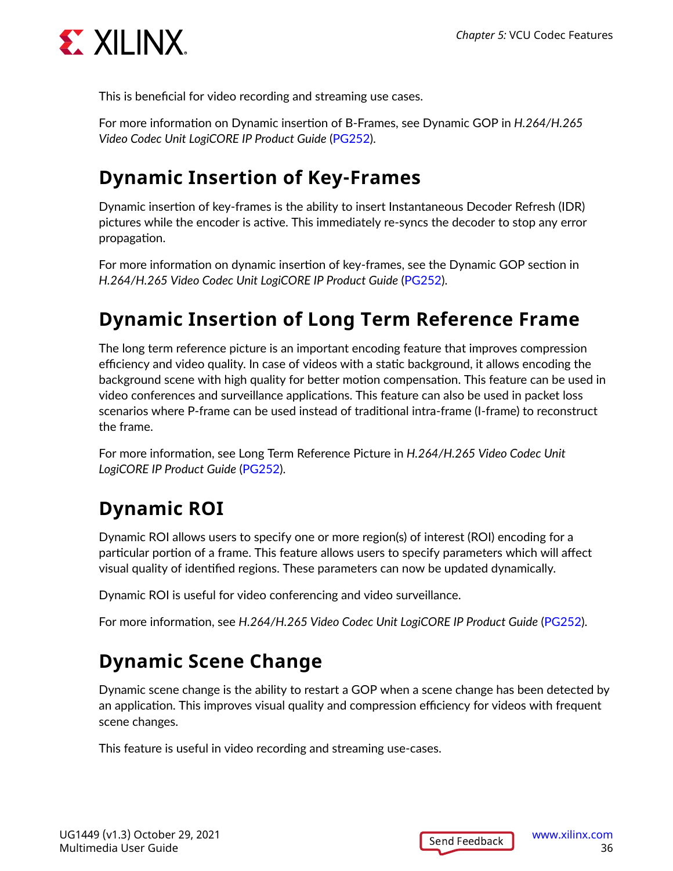

This is beneficial for video recording and streaming use cases.

For more information on Dynamic insertion of B-Frames, see Dynamic GOP in *H.264/H.265 Video Codec Unit LogiCORE IP Product Guide* ([PG252\)](https://www.xilinx.com/cgi-bin/docs/rdoc?v=latest;d=pg252-vcu.pdf).

### **Dynamic Insertion of Key-Frames**

Dynamic insertion of key-frames is the ability to insert Instantaneous Decoder Refresh (IDR) pictures while the encoder is active. This immediately re-syncs the decoder to stop any error propagation.

For more information on dynamic insertion of key-frames, see the Dynamic GOP section in *H.264/H.265 Video Codec Unit LogiCORE IP Product Guide* [\(PG252\)](https://www.xilinx.com/cgi-bin/docs/rdoc?v=latest;d=pg252-vcu.pdf).

### **Dynamic Insertion of Long Term Reference Frame**

The long term reference picture is an important encoding feature that improves compression efficiency and video quality. In case of videos with a static background, it allows encoding the background scene with high quality for better motion compensation. This feature can be used in video conferences and surveillance applications. This feature can also be used in packet loss scenarios where P-frame can be used instead of traditional intra-frame (I-frame) to reconstruct the frame.

For more information, see Long Term Reference Picture in *H.264/H.265 Video Codec Unit LogiCORE IP Product Guide* ([PG252\)](https://www.xilinx.com/cgi-bin/docs/rdoc?v=latest;d=pg252-vcu.pdf).

### **Dynamic ROI**

Dynamic ROI allows users to specify one or more region(s) of interest (ROI) encoding for a particular portion of a frame. This feature allows users to specify parameters which will affect visual quality of identified regions. These parameters can now be updated dynamically.

Dynamic ROI is useful for video conferencing and video surveillance.

For more information, see *H.264/H.265 Video Codec Unit LogiCORE IP Product Guide* [\(PG252](https://www.xilinx.com/cgi-bin/docs/rdoc?v=latest;d=pg252-vcu.pdf)).

### **Dynamic Scene Change**

Dynamic scene change is the ability to restart a GOP when a scene change has been detected by an application. This improves visual quality and compression efficiency for videos with frequent scene changes.

This feature is useful in video recording and streaming use-cases.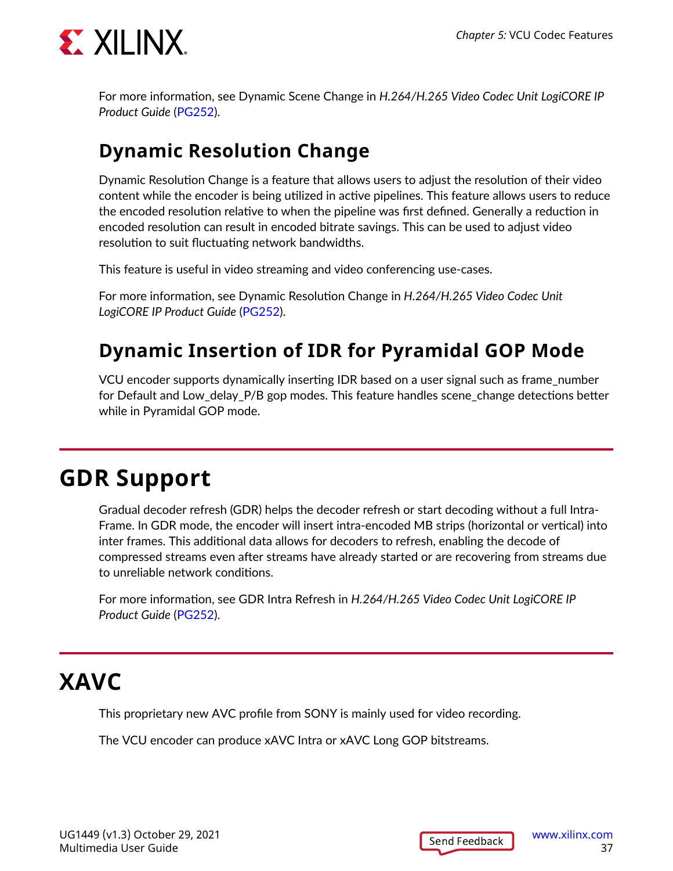

For more information, see Dynamic Scene Change in *H.264/H.265 Video Codec Unit LogiCORE IP Product Guide* [\(PG252\)](https://www.xilinx.com/cgi-bin/docs/rdoc?v=latest;d=pg252-vcu.pdf).

## **Dynamic Resolution Change**

Dynamic Resolution Change is a feature that allows users to adjust the resolution of their video content while the encoder is being utilized in active pipelines. This feature allows users to reduce the encoded resolution relative to when the pipeline was first defined. Generally a reduction in encoded resolution can result in encoded bitrate savings. This can be used to adjust video resolution to suit fluctuating network bandwidths.

This feature is useful in video streaming and video conferencing use-cases.

For more information, see Dynamic Resolution Change in *H.264/H.265 Video Codec Unit LogiCORE IP Product Guide* ([PG252\)](https://www.xilinx.com/cgi-bin/docs/rdoc?v=latest;d=pg252-vcu.pdf).

## **Dynamic Insertion of IDR for Pyramidal GOP Mode**

VCU encoder supports dynamically inserting IDR based on a user signal such as frame\_number for Default and Low delay P/B gop modes. This feature handles scene change detections better while in Pyramidal GOP mode.

## **GDR Support**

Gradual decoder refresh (GDR) helps the decoder refresh or start decoding without a full Intra-Frame. In GDR mode, the encoder will insert intra-encoded MB strips (horizontal or vertical) into inter frames. This additional data allows for decoders to refresh, enabling the decode of compressed streams even after streams have already started or are recovering from streams due to unreliable network conditions.

For more information, see GDR Intra Refresh in *H.264/H.265 Video Codec Unit LogiCORE IP Product Guide* [\(PG252\)](https://www.xilinx.com/cgi-bin/docs/rdoc?v=latest;d=pg252-vcu.pdf).

## **XAVC**

This proprietary new AVC profile from SONY is mainly used for video recording.

The VCU encoder can produce xAVC Intra or xAVC Long GOP bitstreams.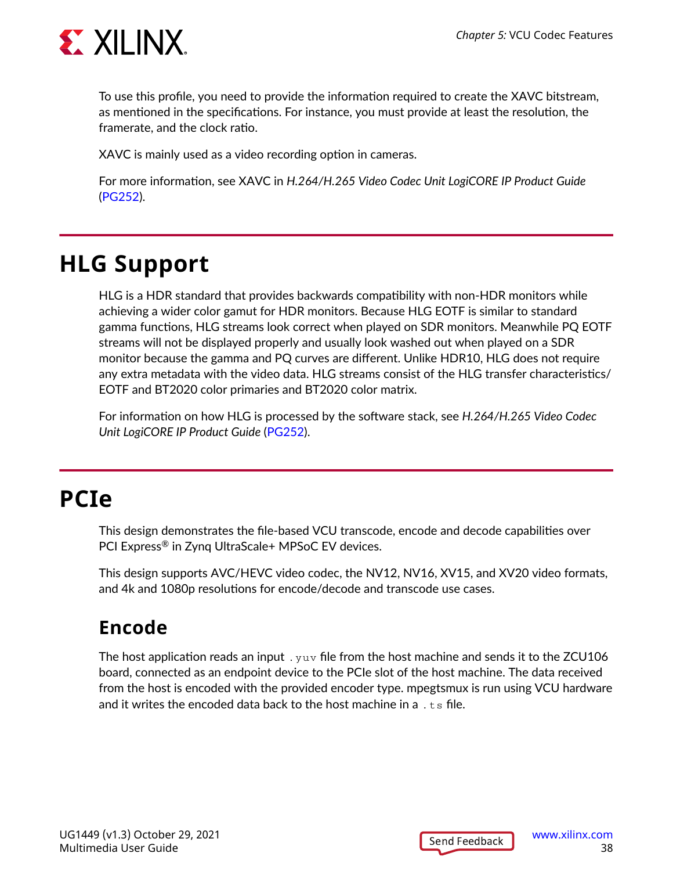

To use this profile, you need to provide the information required to create the XAVC bitstream, as mentioned in the specifications. For instance, you must provide at least the resolution, the framerate, and the clock ratio.

XAVC is mainly used as a video recording option in cameras.

For more information, see XAVC in *H.264/H.265 Video Codec Unit LogiCORE IP Product Guide* ([PG252\)](https://www.xilinx.com/cgi-bin/docs/rdoc?v=latest;d=pg252-vcu.pdf).

## **HLG Support**

HLG is a HDR standard that provides backwards compatibility with non-HDR monitors while achieving a wider color gamut for HDR monitors. Because HLG EOTF is similar to standard gamma functions, HLG streams look correct when played on SDR monitors. Meanwhile PQ EOTF streams will not be displayed properly and usually look washed out when played on a SDR monitor because the gamma and PQ curves are different. Unlike HDR10, HLG does not require any extra metadata with the video data. HLG streams consist of the HLG transfer characteristics/ EOTF and BT2020 color primaries and BT2020 color matrix.

For information on how HLG is processed by the software stack, see *H.264/H.265 Video Codec Unit LogiCORE IP Product Guide* [\(PG252\)](https://www.xilinx.com/cgi-bin/docs/rdoc?v=latest;d=pg252-vcu.pdf).

## **PCIe**

This design demonstrates the file-based VCU transcode, encode and decode capabilities over PCI Express® in Zynq UltraScale+ MPSoC EV devices.

This design supports AVC/HEVC video codec, the NV12, NV16, XV15, and XV20 video formats, and 4k and 1080p resolutions for encode/decode and transcode use cases.

## **Encode**

The host application reads an input  $\ldots$  yuv file from the host machine and sends it to the ZCU106 board, connected as an endpoint device to the PCIe slot of the host machine. The data received from the host is encoded with the provided encoder type. mpegtsmux is run using VCU hardware and it writes the encoded data back to the host machine in a  $.55$  file.

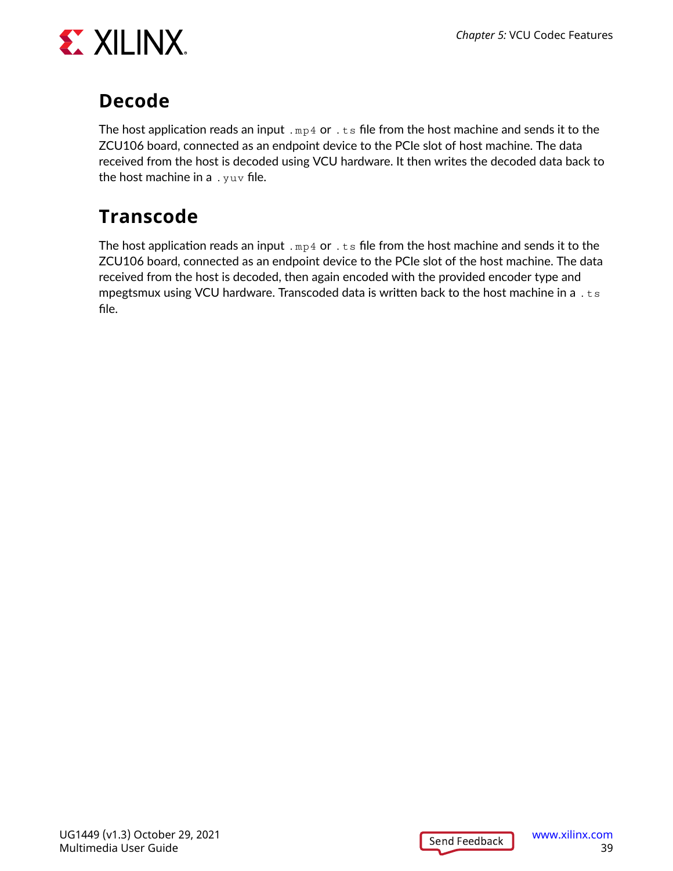

## **Decode**

The host application reads an input .  $mp4$  or . ts file from the host machine and sends it to the ZCU106 board, connected as an endpoint device to the PCIe slot of host machine. The data received from the host is decoded using VCU hardware. It then writes the decoded data back to the host machine in a  $.$  yuv file.

## **Transcode**

The host application reads an input  $\lceil \text{mp4 or} \rceil$  is file from the host machine and sends it to the ZCU106 board, connected as an endpoint device to the PCIe slot of the host machine. The data received from the host is decoded, then again encoded with the provided encoder type and mpegtsmux using VCU hardware. Transcoded data is written back to the host machine in a  $\pm$  ts file.

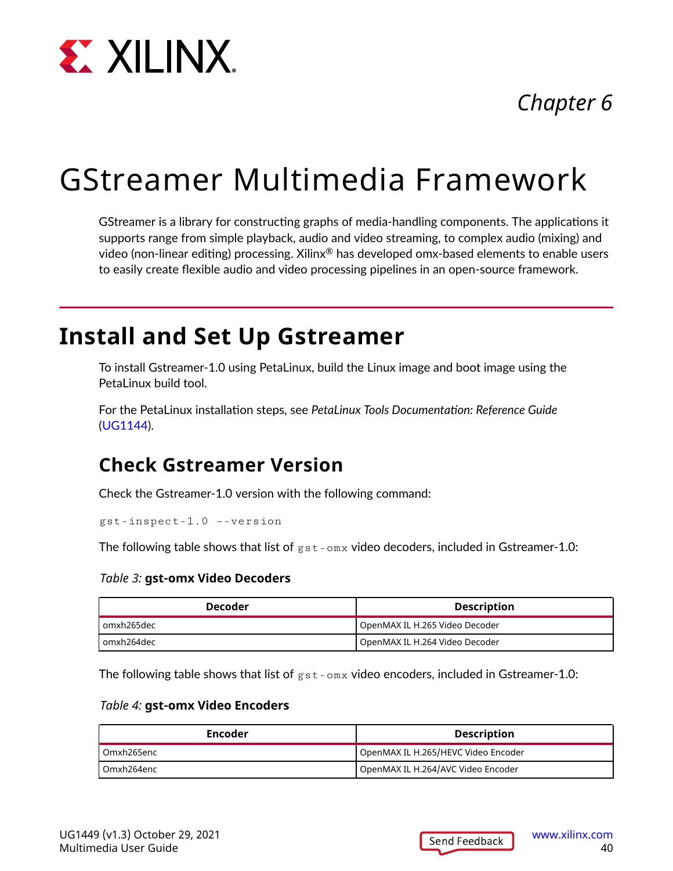

## *Chapter 6*

# GStreamer Multimedia Framework

GStreamer is a library for constructing graphs of media-handling components. The applications it supports range from simple playback, audio and video streaming, to complex audio (mixing) and video (non-linear editing) processing. Xilinx® has developed omx-based elements to enable users to easily create flexible audio and video processing pipelines in an open-source framework.

## **Install and Set Up Gstreamer**

To install Gstreamer-1.0 using PetaLinux, build the Linux image and boot image using the PetaLinux build tool.

For the PetaLinux installation steps, see *PetaLinux Tools Documentation: Reference Guide* ([UG1144\)](https://www.xilinx.com/cgi-bin/docs/rdoc?v=latest;d=ug1144-petalinux-tools-reference-guide.pdf).

## **Check Gstreamer Version**

Check the Gstreamer-1.0 version with the following command:

gst-inspect-1.0 –-version

The following table shows that list of  $gst-\text{om}x$  video decoders, included in Gstreamer-1.0:

#### *Table 3:* **gst-omx Video Decoders**

| <b>Decoder</b> | <b>Description</b>             |  |  |
|----------------|--------------------------------|--|--|
| l omxh265dec   | OpenMAX IL H.265 Video Decoder |  |  |
| l omxh264dec   | OpenMAX IL H.264 Video Decoder |  |  |

The following table shows that list of  $gst-omx$  video encoders, included in Gstreamer-1.0:

#### *Table 4:* **gst-omx Video Encoders**

| Encoder      | <b>Description</b>                  |  |  |
|--------------|-------------------------------------|--|--|
| l Omxh265enc | OpenMAX IL H.265/HEVC Video Encoder |  |  |
| l Omxh264enc | OpenMAX IL H.264/AVC Video Encoder  |  |  |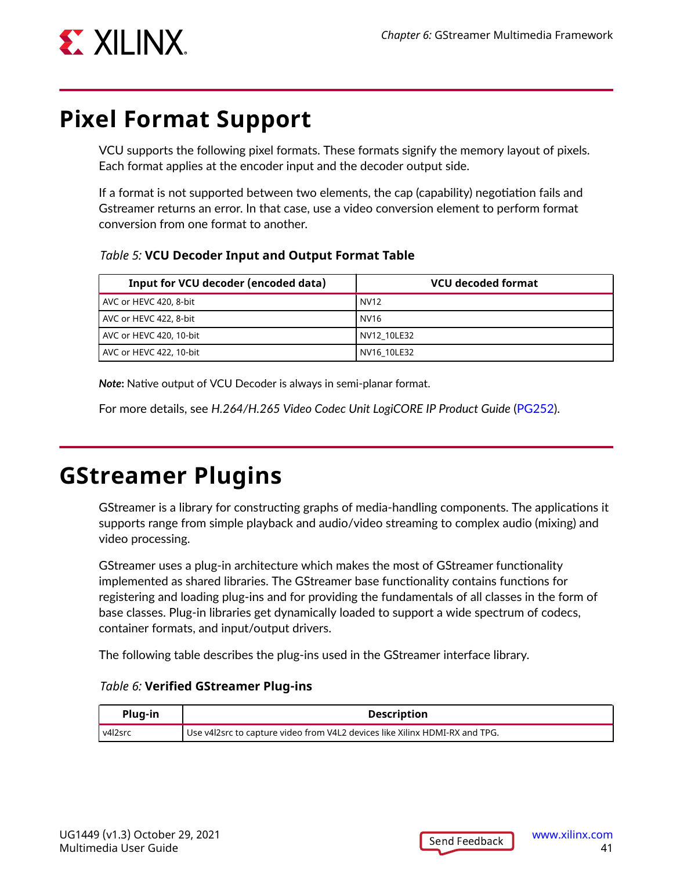

## **Pixel Format Support**

VCU supports the following pixel formats. These formats signify the memory layout of pixels. Each format applies at the encoder input and the decoder output side.

If a format is not supported between two elements, the cap (capability) negotiation fails and Gstreamer returns an error. In that case, use a video conversion element to perform format conversion from one format to another.

*Table 5:* **VCU Decoder Input and Output Format Table**

| Input for VCU decoder (encoded data) | <b>VCU decoded format</b> |
|--------------------------------------|---------------------------|
| AVC or HEVC 420, 8-bit               | <b>NV12</b>               |
| AVC or HEVC 422, 8-bit               | NV16                      |
| AVC or HEVC 420, 10-bit              | NV12 10LE32               |
| AVC or HEVC 422, 10-bit              | NV16 10LE32               |

*Note***:** Native output of VCU Decoder is always in semi-planar format.

For more details, see *H.264/H.265 Video Codec Unit LogiCORE IP Product Guide* [\(PG252](https://www.xilinx.com/cgi-bin/docs/rdoc?v=latest;d=pg252-vcu.pdf)).

## **GStreamer Plugins**

GStreamer is a library for constructing graphs of media-handling components. The applications it supports range from simple playback and audio/video streaming to complex audio (mixing) and video processing.

GStreamer uses a plug-in architecture which makes the most of GStreamer functionality implemented as shared libraries. The GStreamer base functionality contains functions for registering and loading plug-ins and for providing the fundamentals of all classes in the form of base classes. Plug-in libraries get dynamically loaded to support a wide spectrum of codecs, container formats, and input/output drivers.

The following table describes the plug-ins used in the GStreamer interface library.

| Plug-in   | <b>Description</b>                                                          |
|-----------|-----------------------------------------------------------------------------|
| l v4l2src | Use v4l2src to capture video from V4L2 devices like Xilinx HDMI-RX and TPG. |

#### *Table 6:* **Verified GStreamer Plug-ins**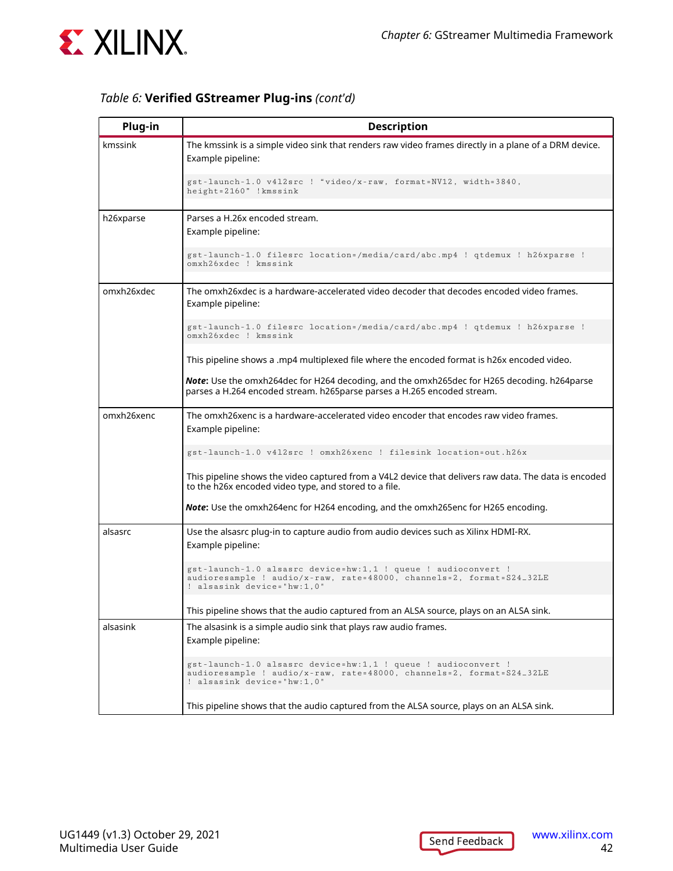

#### *Table 6:* **Verified GStreamer Plug-ins** *(cont'd)*

| Plug-in    | <b>Description</b>                                                                                                                                                     |  |  |  |
|------------|------------------------------------------------------------------------------------------------------------------------------------------------------------------------|--|--|--|
| kmssink    | The kmssink is a simple video sink that renders raw video frames directly in a plane of a DRM device.<br>Example pipeline:                                             |  |  |  |
|            | gst-launch-1.0 v412src ! "video/x-raw, format=NV12, width=3840,<br>height=2160" !kmssink                                                                               |  |  |  |
| h26xparse  | Parses a H.26x encoded stream.<br>Example pipeline:                                                                                                                    |  |  |  |
|            | gst-launch-1.0 filesrc location=/media/card/abc.mp4 ! qtdemux ! h26xparse !<br>omxh26xdec ! kmssink                                                                    |  |  |  |
| omxh26xdec | The omxh26xdec is a hardware-accelerated video decoder that decodes encoded video frames.<br>Example pipeline:                                                         |  |  |  |
|            | gst-launch-1.0 filesrc location=/media/card/abc.mp4 ! qtdemux ! h26xparse !<br>omxh26xdec ! kmssink                                                                    |  |  |  |
|            | This pipeline shows a .mp4 multiplexed file where the encoded format is h26x encoded video.                                                                            |  |  |  |
|            | Note: Use the omxh264dec for H264 decoding, and the omxh265dec for H265 decoding. h264parse<br>parses a H.264 encoded stream. h265parse parses a H.265 encoded stream. |  |  |  |
| omxh26xenc | The omxh26xenc is a hardware-accelerated video encoder that encodes raw video frames.<br>Example pipeline:                                                             |  |  |  |
|            | gst-launch-1.0 v412src ! omxh26xenc ! filesink location=out.h26x                                                                                                       |  |  |  |
|            | This pipeline shows the video captured from a V4L2 device that delivers raw data. The data is encoded<br>to the h26x encoded video type, and stored to a file.         |  |  |  |
|            | <b>Note:</b> Use the omxh264enc for H264 encoding, and the omxh265enc for H265 encoding.                                                                               |  |  |  |
| alsasrc    | Use the alsasrc plug-in to capture audio from audio devices such as Xilinx HDMI-RX.<br>Example pipeline:                                                               |  |  |  |
|            | gst-launch-1.0 alsasrc device=hw:1,1 ! queue ! audioconvert !<br>audioresample ! audio/x-raw, rate=48000, channels=2, format=S24_32LE<br>! alsasink device="hw:1,0"    |  |  |  |
|            | This pipeline shows that the audio captured from an ALSA source, plays on an ALSA sink.                                                                                |  |  |  |
| alsasink   | The alsasink is a simple audio sink that plays raw audio frames.<br>Example pipeline:                                                                                  |  |  |  |
|            | gst-launch-1.0 alsasrc device=hw:1,1 ! queue ! audioconvert !<br>audioresample ! audio/x-raw, rate=48000, channels=2, format=S24_32LE<br>! alsasink device="hw:1,0"    |  |  |  |
|            | This pipeline shows that the audio captured from the ALSA source, plays on an ALSA sink.                                                                               |  |  |  |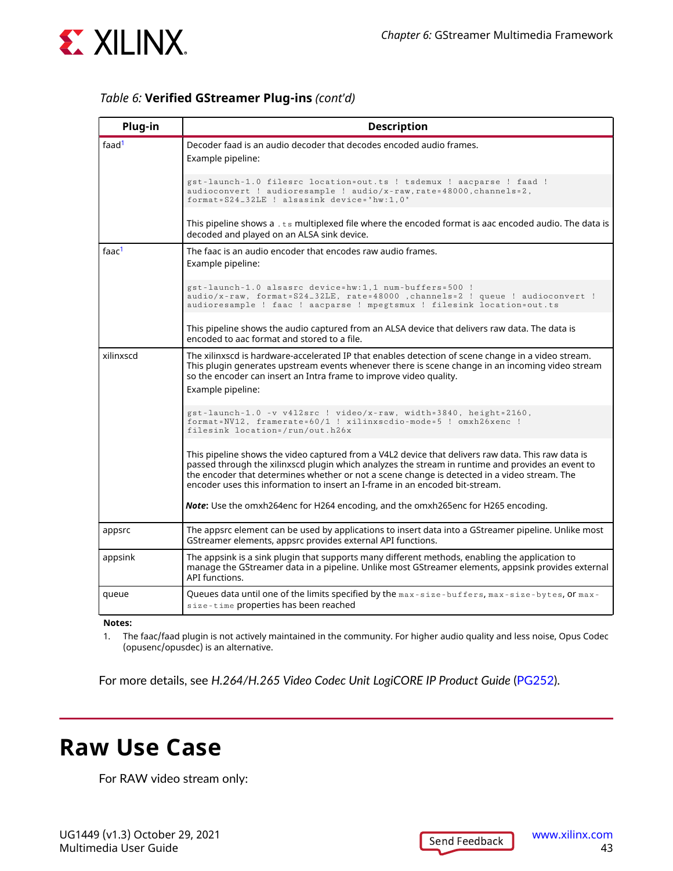

#### *Table 6:* **Verified GStreamer Plug-ins** *(cont'd)*

| Plug-in           | <b>Description</b>                                                                                                                                                                                                                                                                                                                                                                      |
|-------------------|-----------------------------------------------------------------------------------------------------------------------------------------------------------------------------------------------------------------------------------------------------------------------------------------------------------------------------------------------------------------------------------------|
| faad <sup>1</sup> | Decoder faad is an audio decoder that decodes encoded audio frames.<br>Example pipeline:                                                                                                                                                                                                                                                                                                |
|                   | gst-launch-1.0 filesrc location=out.ts ! tsdemux ! aacparse ! faad !<br>audioconvert ! audioresample ! audio/x-raw, rate=48000, channels=2,<br>format=S24_32LE ! alsasink device="hw:1,0"                                                                                                                                                                                               |
|                   | This pipeline shows $a \cdot ts$ multiplexed file where the encoded format is aac encoded audio. The data is<br>decoded and played on an ALSA sink device.                                                                                                                                                                                                                              |
| faac <sup>1</sup> | The faac is an audio encoder that encodes raw audio frames.<br>Example pipeline:                                                                                                                                                                                                                                                                                                        |
|                   | gst-launch-1.0 alsasrc device=hw:1,1 num-buffers=500 !<br>audio/x-raw, format=S24_32LE, rate=48000, channels=2 ! queue ! audioconvert !<br>audioresample ! faac ! aacparse ! mpegtsmux ! filesink location=out.ts                                                                                                                                                                       |
|                   | This pipeline shows the audio captured from an ALSA device that delivers raw data. The data is<br>encoded to aac format and stored to a file.                                                                                                                                                                                                                                           |
| xilinxscd         | The xilinxscd is hardware-accelerated IP that enables detection of scene change in a video stream.<br>This plugin generates upstream events whenever there is scene change in an incoming video stream<br>so the encoder can insert an Intra frame to improve video quality.<br>Example pipeline:                                                                                       |
|                   | gst-launch-1.0 -v v412src ! video/x-raw, width=3840, height=2160,<br>format=NV12, framerate=60/1 ! xilinxscdio-mode=5 ! omxh26xenc !<br>filesink location=/run/out.h26x                                                                                                                                                                                                                 |
|                   | This pipeline shows the video captured from a V4L2 device that delivers raw data. This raw data is<br>passed through the xilinxscd plugin which analyzes the stream in runtime and provides an event to<br>the encoder that determines whether or not a scene change is detected in a video stream. The<br>encoder uses this information to insert an I-frame in an encoded bit-stream. |
|                   | <b>Note:</b> Use the omxh264enc for H264 encoding, and the omxh265enc for H265 encoding.                                                                                                                                                                                                                                                                                                |
| appsrc            | The appsrc element can be used by applications to insert data into a GStreamer pipeline. Unlike most<br>GStreamer elements, appsrc provides external API functions.                                                                                                                                                                                                                     |
| appsink           | The appsink is a sink plugin that supports many different methods, enabling the application to<br>manage the GStreamer data in a pipeline. Unlike most GStreamer elements, appsink provides external<br>API functions.                                                                                                                                                                  |
| queue             | Queues data until one of the limits specified by the max-size-buffers, max-size-bytes, or max-<br>size-time properties has been reached                                                                                                                                                                                                                                                 |

**Notes:**

1. The faac/faad plugin is not actively maintained in the community. For higher audio quality and less noise, Opus Codec (opusenc/opusdec) is an alternative.

For more details, see *H.264/H.265 Video Codec Unit LogiCORE IP Product Guide* [\(PG252](https://www.xilinx.com/cgi-bin/docs/rdoc?v=latest;d=pg252-vcu.pdf)).

## **Raw Use Case**

For RAW video stream only: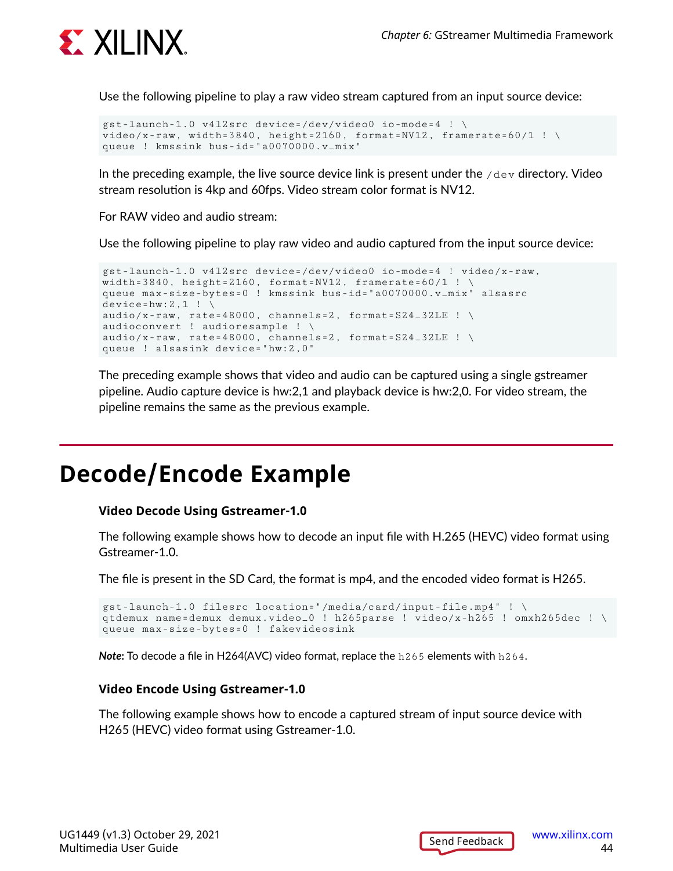

Use the following pipeline to play a raw video stream captured from an input source device:

```
gst-launch-1.0 v4l2src device=/dev/video0 io-mode=4 ! \
video/x-raw, width=3840, height=2160, format=NV12, framerate=60/1 ! \
queue ! kmssink bus-id="a0070000.v_mix"
```
In the preceding example, the live source device link is present under the  $/\text{dev}$  directory. Video stream resolution is 4kp and 60fps. Video stream color format is NV12.

For RAW video and audio stream:

Use the following pipeline to play raw video and audio captured from the input source device:

```
gst-launch-1.0 v4l2src device=/dev/video0 io-mode=4 ! video/x-raw, 
width=3840, height=2160, format=NV12, framerate=60/1 ! \setminusqueue max-size-bytes=0 ! kmssink bus-id="a0070000.v_mix" alsasrc 
device=hw:2,1 ! \
audio/x-raw, rate=48000, channels=2, format=S24_32LE ! \setminusaudioconvert ! audioresample ! \
audio/x-raw, rate=48000, channels=2, format=S24_32LE ! \setminusqueue ! alsasink device="hw:2,0"
```
The preceding example shows that video and audio can be captured using a single gstreamer pipeline. Audio capture device is hw:2,1 and playback device is hw:2,0. For video stream, the pipeline remains the same as the previous example.

## **Decode/Encode Example**

#### **Video Decode Using Gstreamer-1.0**

The following example shows how to decode an input file with H.265 (HEVC) video format using Gstreamer-1.0.

The file is present in the SD Card, the format is mp4, and the encoded video format is H265.

```
gst-launch-1.0 filesrc location="/media/card/input-file.mp4" ! \
qtdemux name=demux demux.video_0 ! h265parse ! video/x-h265 ! omxh265dec ! \
queue max-size-bytes=0 ! fakevideosink
```
*Note***:** To decode a file in H264(AVC) video format, replace the h265 elements with h264.

#### **Video Encode Using Gstreamer-1.0**

The following example shows how to encode a captured stream of input source device with H265 (HEVC) video format using Gstreamer-1.0.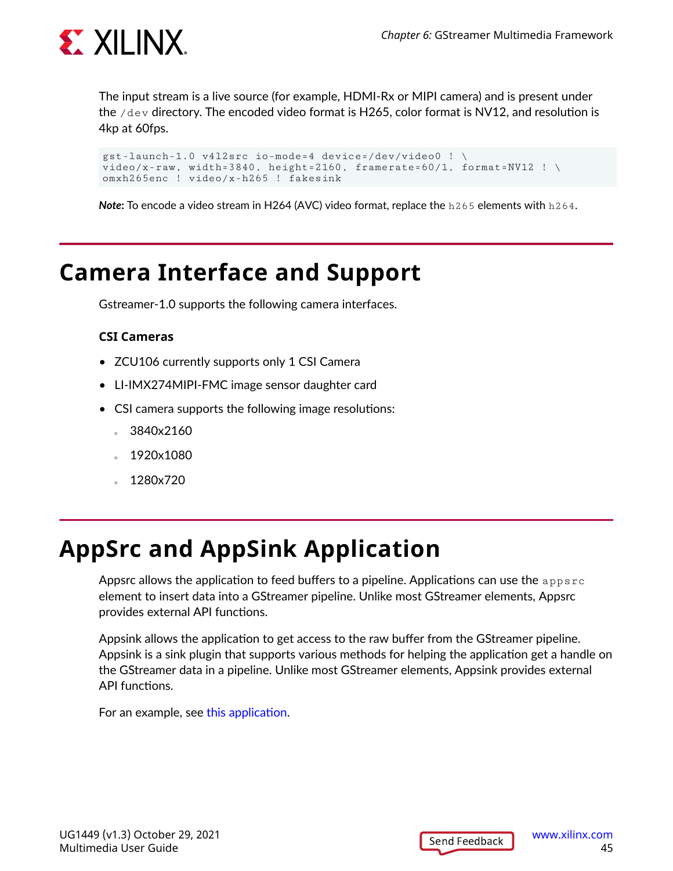

The input stream is a live source (for example, HDMI-Rx or MIPI camera) and is present under the  $/$ dev directory. The encoded video format is H265, color format is NV12, and resolution is 4kp at 60fps.

```
gst-launch-1.0 v4l2src io-mode=4 device=/dev/video0 ! \
video/x-raw, width=3840, height=2160, framerate=60/1, format=NV12 ! \
omxh265enc ! video/x-h265 ! fakesink
```
*Note***:** To encode a video stream in H264 (AVC) video format, replace the h265 elements with h264.

## **Camera Interface and Support**

Gstreamer-1.0 supports the following camera interfaces.

#### **CSI Cameras**

- ZCU106 currently supports only 1 CSI Camera
- LI-IMX274MIPI-FMC image sensor daughter card
- CSI camera supports the following image resolutions:
	- 3840x2160
	- 1920x1080
	- 1280x720

## **AppSrc and AppSink Application**

Appsrc allows the application to feed buffers to a pipeline. Applications can use the  $\mathtt{appsrc}$ element to insert data into a GStreamer pipeline. Unlike most GStreamer elements, Appsrc provides external API functions.

Appsink allows the application to get access to the raw buffer from the GStreamer pipeline. Appsink is a sink plugin that supports various methods for helping the application get a handle on the GStreamer data in a pipeline. Unlike most GStreamer elements, Appsink provides external API functions.

For an example, see [this application](https://github.com/Xilinx/gst-omx/blob/release-2020.2/examples/zynqultrascaleplus/zynqmp_appsrc_appsink_transcode.c).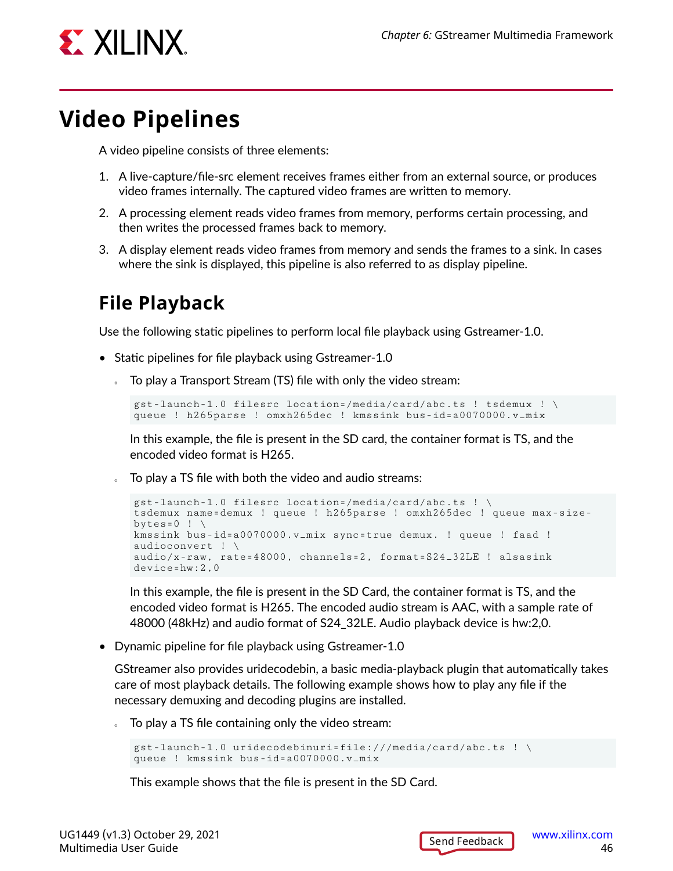

## **Video Pipelines**

A video pipeline consists of three elements:

- 1. A live-capture/file-src element receives frames either from an external source, or produces video frames internally. The captured video frames are written to memory.
- 2. A processing element reads video frames from memory, performs certain processing, and then writes the processed frames back to memory.
- 3. A display element reads video frames from memory and sends the frames to a sink. In cases where the sink is displayed, this pipeline is also referred to as display pipeline.

## **File Playback**

Use the following static pipelines to perform local file playback using Gstreamer-1.0.

- Static pipelines for file playback using Gstreamer-1.0
	- To play a Transport Stream (TS) file with only the video stream:

```
gst-launch-1.0 filesrc location=/media/card/abc.ts ! tsdemux ! \
queue ! h265parse ! omxh265dec ! kmssink bus-id=a0070000.v_mix
```
In this example, the file is present in the SD card, the container format is TS, and the encoded video format is H265.

To play a TS file with both the video and audio streams:

```
gst-launch-1.0 filesrc location=/media/card/abc.ts ! \
tsdemux name=demux ! queue ! h265parse ! omxh265dec ! queue max-size-
bytes=0 ! \setminuskmssink bus-id=a0070000.v_mix sync=true demux. ! queue ! faad ! 
audioconvert ! \
audio/x-raw, rate=48000, channels=2, format=S24_32LE ! alsasink 
device=hw:2,0
```
In this example, the file is present in the SD Card, the container format is TS, and the encoded video format is H265. The encoded audio stream is AAC, with a sample rate of 48000 (48kHz) and audio format of S24\_32LE. Audio playback device is hw:2,0.

• Dynamic pipeline for file playback using Gstreamer-1.0

GStreamer also provides uridecodebin, a basic media-playback plugin that automatically takes care of most playback details. The following example shows how to play any file if the necessary demuxing and decoding plugins are installed.

To play a TS file containing only the video stream:

```
gst-launch-1.0 uridecodebinuri=file:///media/card/abc.ts ! \
queue ! kmssink bus-id=a0070000.v_mix
```
This example shows that the file is present in the SD Card.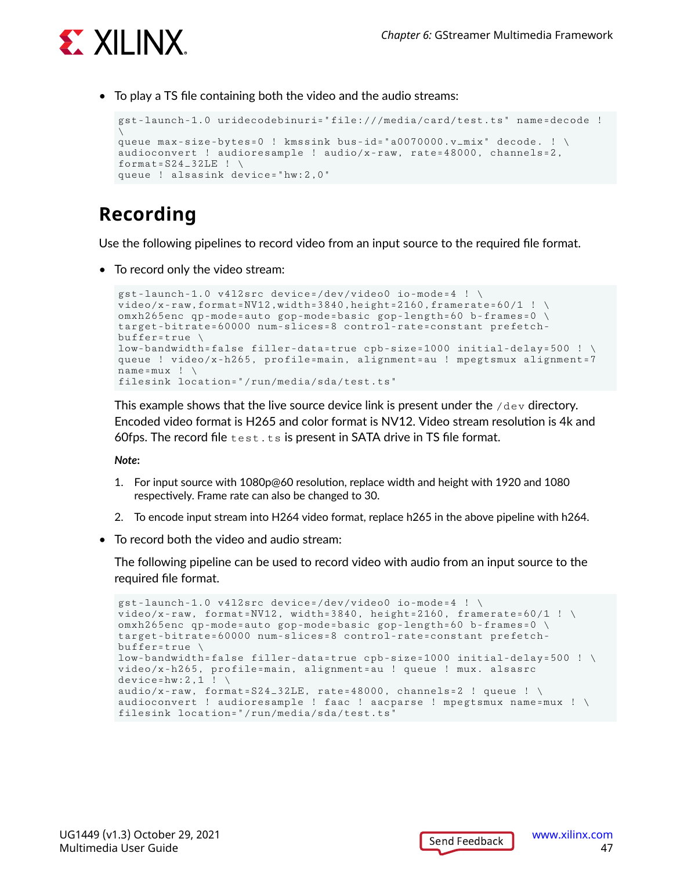

• To play a TS file containing both the video and the audio streams:

```
gst-launch-1.0 uridecodebinuri="file:///media/card/test.ts" name=decode ! 
\backslashqueue max-size-bytes=0 ! kmssink bus-id="a0070000.v_mix" decode. ! \
audioconvert ! audioresample ! audio/x-raw, rate=48000, channels=2, 
format=S24-32LE ! \
queue ! alsasink device="hw:2,0"
```
## **Recording**

Use the following pipelines to record video from an input source to the required file format.

• To record only the video stream:

```
gst-launch-1.0 v4l2src device=/dev/video0 io-mode=4 ! \
video/x-raw,format=NV12,width=3840,height=2160,framerate=60/1 ! \
omxh265enc qp-mode=auto gop-mode=basic gop-length=60 b-frames=0 \
target-bitrate=60000 num-slices=8 control-rate=constant prefetch-
buffer = true \ \ \ \ \ \low-bandwidth=false filler-data=true cpb-size=1000 initial-delay=500 ! \
queue ! video/x-h265, profile=main, alignment=au ! mpegtsmux alignment=7 
name=mux ! \
filesink location="/run/media/sda/test.ts"
```
This example shows that the live source device link is present under the  $/$ dev directory. Encoded video format is H265 and color format is NV12. Video stream resolution is 4k and 60fps. The record file  $test.ts$  is present in SATA drive in TS file format.

*Note***:**

- 1. For input source with 1080p@60 resolution, replace width and height with 1920 and 1080 respectively. Frame rate can also be changed to 30.
- 2. To encode input stream into H264 video format, replace h265 in the above pipeline with h264.
- To record both the video and audio stream:

The following pipeline can be used to record video with audio from an input source to the required file format.

```
gst-launch-1.0 v4l2src device=/dev/video0 io-mode=4 ! \
video/x-raw, format=NV12, width=3840, height=2160, framerate=60/1 ! \
omxh265enc qp-mode=auto gop-mode=basic gop-length=60 b-frames=0 \
target-bitrate=60000 num-slices=8 control-rate=constant prefetch-
buffer=true \
low-bandwidth=false filler-data=true cpb-size=1000 initial-delay=500 ! \
video/x-h265, profile=main, alignment=au ! queue ! mux. alsasrc 
device=hw:2,1 ! \setminusaudio/x-raw, format=S24_32LE, rate=48000, channels=2 ! queue ! \setminusaudioconvert ! audioresample ! faac ! aacparse ! mpegtsmux name=mux ! \
filesink location="/run/media/sda/test.ts"
```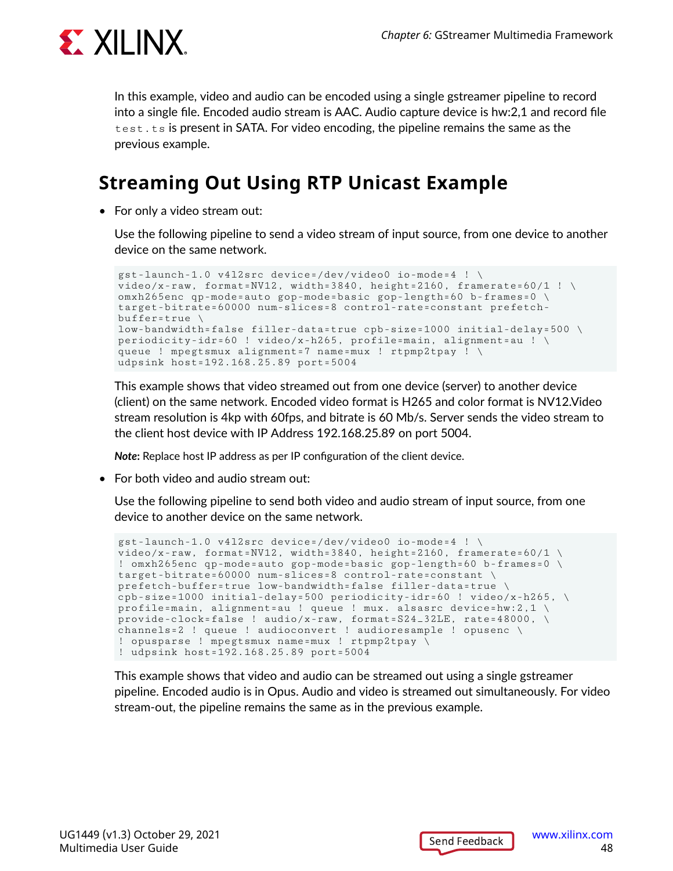

In this example, video and audio can be encoded using a single gstreamer pipeline to record into a single file. Encoded audio stream is AAC. Audio capture device is hw:2,1 and record file test.ts is present in SATA. For video encoding, the pipeline remains the same as the previous example.

## **Streaming Out Using RTP Unicast Example**

• For only a video stream out:

Use the following pipeline to send a video stream of input source, from one device to another device on the same network.

```
gst-launch-1.0 v4l2src device=/dev/video0 io-mode=4 ! \
video/x-raw, format=NV12, width=3840, height=2160, framerate=60/1 ! \
omxh265enc qp-mode=auto gop-mode=basic gop-length=60 b-frames=0 \
target-bitrate=60000 num-slices=8 control-rate=constant prefetch-
buffer = true \ \ \ \ \ \low-bandwidth=false filler-data=true cpb-size=1000 initial-delay=500 \
periodicity-idr=60 ! video/x-h265, profile=main, alignment=au ! \
queue ! mpegtsmux alignment=7 name=mux ! rtpmp2tpay ! \
udpsink host=192.168.25.89 port=5004
```
This example shows that video streamed out from one device (server) to another device (client) on the same network. Encoded video format is H265 and color format is NV12.Video stream resolution is 4kp with 60fps, and bitrate is 60 Mb/s. Server sends the video stream to the client host device with IP Address 192.168.25.89 on port 5004.

*Note***:** Replace host IP address as per IP configuration of the client device.

• For both video and audio stream out:

Use the following pipeline to send both video and audio stream of input source, from one device to another device on the same network.

```
gst-launch-1.0 v4l2src device=/dev/video0 io-mode=4 ! \
video/x-raw, format=NV12, width=3840, height=2160, framerate=60/1 \setminus! omxh265enc qp-mode=auto gop-mode=basic gop-length=60 b-frames=0 \
target-bitrate=60000 num-slices=8 control-rate=constant \
prefetch-buffer=true low-bandwidth=false filler-data=true \
cpb-size=1000 initial-delay=500 periodicity-idr=60 ! video/x-h265, \
profile=main, alignment=au ! queue ! mux. alsasrc device=hw:2,1 \
provide-clock=false ! audio/x-raw, format=S24_32LE, rate=48000, \
channels=2 ! queue ! audioconvert ! audioresample ! opusenc \
! opusparse ! mpegtsmux name=mux ! rtpmp2tpay \
! udpsink host=192.168.25.89 port=5004
```
This example shows that video and audio can be streamed out using a single gstreamer pipeline. Encoded audio is in Opus. Audio and video is streamed out simultaneously. For video stream-out, the pipeline remains the same as in the previous example.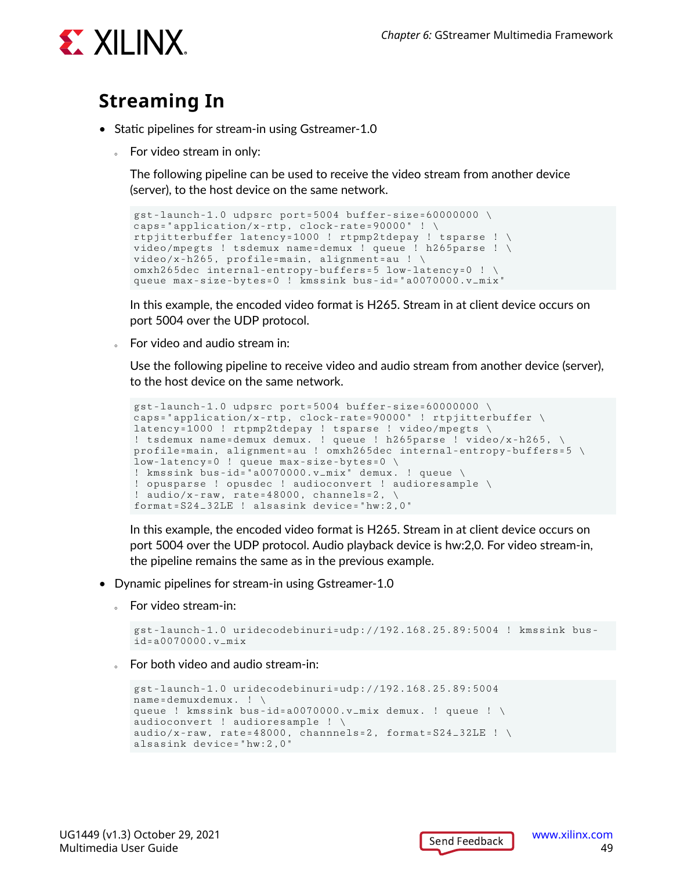

### **Streaming In**

- Static pipelines for stream-in using Gstreamer-1.0
	- For video stream in only:

The following pipeline can be used to receive the video stream from another device (server), to the host device on the same network.

```
gst-launch-1.0 udpsrc port=5004 buffer-size=60000000 \
caps="application/x-rtp, clock-rate=90000" ! \setminusrtpjitterbuffer latency=1000 ! rtpmp2tdepay ! tsparse ! \
video/mpegts ! tsdemux name=demux ! queue ! h265parse ! \
video/x-h265, profile=main, alignment=au ! \
omxh265dec internal-entropy-buffers=5 low-latency=0 ! \
queue max-size-bytes=0 ! kmssink bus-id="a0070000.v_mix"
```
In this example, the encoded video format is H265. Stream in at client device occurs on port 5004 over the UDP protocol.

For video and audio stream in:

Use the following pipeline to receive video and audio stream from another device (server), to the host device on the same network.

```
gst-launch-1.0 udpsrc port=5004 buffer-size=60000000 \
caps="application/x-rtp, clock-rate=90000" ! rtpjitterbuffer \
latency=1000 ! rtpmp2tdepay ! tsparse ! video/mpegts \
! tsdemux name=demux demux. ! queue ! h265parse ! video/x-h265, \
profile=main, alignment=au ! omxh265dec internal-entropy-buffers=5 \
low-latency=0 ! queue max-size-bytes=0 \
! kmssink bus-id="a0070000.v_mix" demux. ! queue \
! opusparse ! opusdec ! audioconvert ! audioresample \
! audio/x-raw, rate=48000, channels=2, \setminusformat=S24_32LE ! alsasink device="hw:2,0"
```
In this example, the encoded video format is H265. Stream in at client device occurs on port 5004 over the UDP protocol. Audio playback device is hw:2,0. For video stream-in, the pipeline remains the same as in the previous example.

- Dynamic pipelines for stream-in using Gstreamer-1.0
	- For video stream-in:

```
gst-launch-1.0 uridecodebinuri=udp://192.168.25.89:5004 ! kmssink bus-
id=a0070000.v_mix
```
For both video and audio stream-in:

```
gst-launch-1.0 uridecodebinuri=udp://192.168.25.89:5004 
name=demuxdemux. ! \
queue ! kmssink bus-id=a0070000.v_mix demux. ! queue ! \
audioconvert ! audioresample ! \
audio/x-raw, rate=48000, channnels=2, format=S24_32LE ! \setminusalsasink device="hw:2,0"
```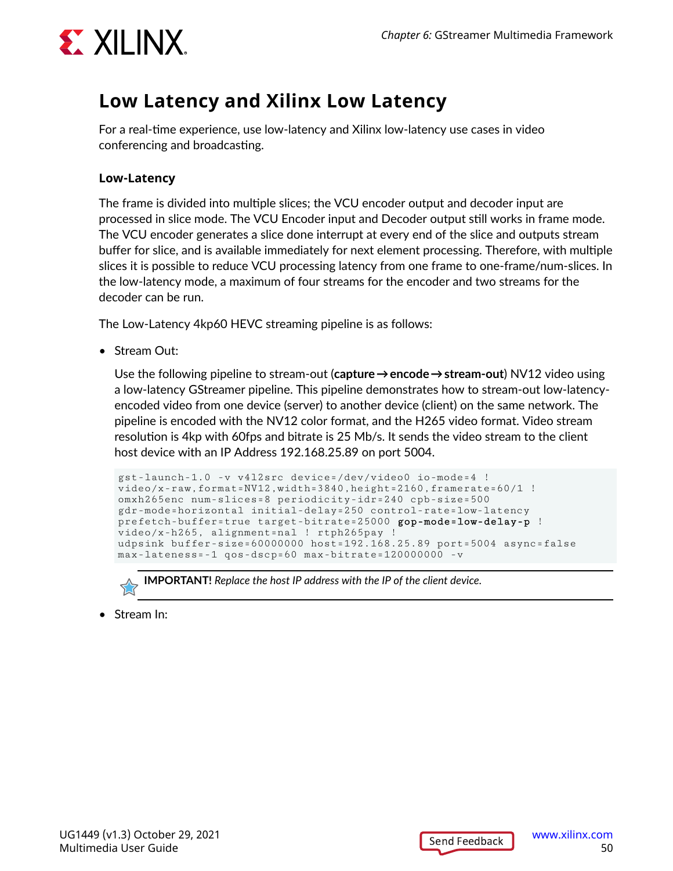

### **Low Latency and Xilinx Low Latency**

For a real-time experience, use low-latency and Xilinx low-latency use cases in video conferencing and broadcasting.

#### **Low-Latency**

The frame is divided into multiple slices; the VCU encoder output and decoder input are processed in slice mode. The VCU Encoder input and Decoder output still works in frame mode. The VCU encoder generates a slice done interrupt at every end of the slice and outputs stream buffer for slice, and is available immediately for next element processing. Therefore, with multiple slices it is possible to reduce VCU processing latency from one frame to one-frame/num-slices. In the low-latency mode, a maximum of four streams for the encoder and two streams for the decoder can be run.

The Low-Latency 4kp60 HEVC streaming pipeline is as follows:

• Stream Out:

Use the following pipeline to stream-out (**capture → encode → stream-out**) NV12 video using a low-latency GStreamer pipeline. This pipeline demonstrates how to stream-out low-latencyencoded video from one device (server) to another device (client) on the same network. The pipeline is encoded with the NV12 color format, and the H265 video format. Video stream resolution is 4kp with 60fps and bitrate is 25 Mb/s. It sends the video stream to the client host device with an IP Address 192.168.25.89 on port 5004.

```
gst-launch-1.0 -v v4l2src device=/dev/video0 io-mode=4 ! 
video/x-raw,format=NV12,width=3840,height=2160,framerate=60/1 !
omxh265enc num-slices=8 periodicity-idr=240 cpb-size=500 
gdr-mode=horizontal initial-delay=250 control-rate=low-latency 
prefetch-buffer=true target-bitrate=25000 gop-mode=low-delay-p ! 
video/x-h265, alignment=nal ! rtph265pay ! 
udpsink buffer-size=60000000 host=192.168.25.89 port=5004 async=false 
max-lateness=-1 qos-dscp=60 max-bitrate=120000000 -v
```


**IMPORTANT!** *Replace the host IP address with the IP of the client device.*

• Stream In:

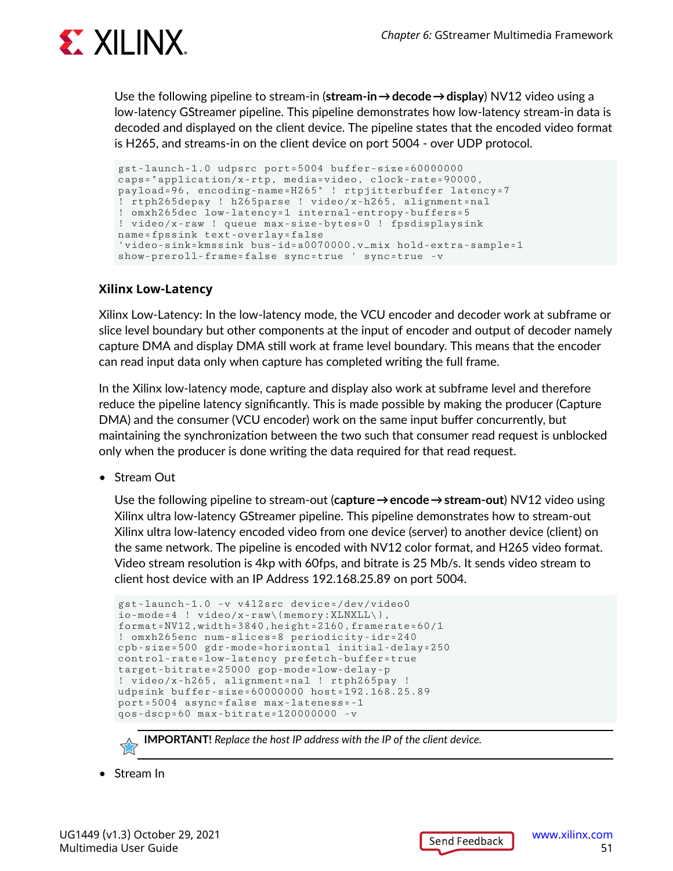

Use the following pipeline to stream-in (**stream-in → decode → display**) NV12 video using a low-latency GStreamer pipeline. This pipeline demonstrates how low-latency stream-in data is decoded and displayed on the client device. The pipeline states that the encoded video format is H265, and streams-in on the client device on port 5004 - over UDP protocol.

```
gst-launch-1.0 udpsrc port=5004 buffer-size=60000000 
caps="application/x-rtp, media=video, clock-rate=90000, 
payload=96, encoding-name=H265" ! rtpjitterbuffer latency=7 
! rtph265depay ! h265parse ! video/x-h265, alignment=nal 
! omxh265dec low-latency=1 internal-entropy-buffers=5 
! video/x-raw ! queue max-size-bytes=0 ! fpsdisplaysink 
name=fpssink text-overlay=false 
'video-sink=kmssink bus-id=a0070000.v_mix hold-extra-sample=1 
show-preroll-frame=false sync=true ' sync=true -v
```
#### **Xilinx Low-Latency**

Xilinx Low-Latency: In the low-latency mode, the VCU encoder and decoder work at subframe or slice level boundary but other components at the input of encoder and output of decoder namely capture DMA and display DMA still work at frame level boundary. This means that the encoder can read input data only when capture has completed writing the full frame.

In the Xilinx low-latency mode, capture and display also work at subframe level and therefore reduce the pipeline latency significantly. This is made possible by making the producer (Capture DMA) and the consumer (VCU encoder) work on the same input buffer concurrently, but maintaining the synchronization between the two such that consumer read request is unblocked only when the producer is done writing the data required for that read request.

• Stream Out

Use the following pipeline to stream-out (**capture → encode → stream-out**) NV12 video using Xilinx ultra low-latency GStreamer pipeline. This pipeline demonstrates how to stream-out Xilinx ultra low-latency encoded video from one device (server) to another device (client) on the same network. The pipeline is encoded with NV12 color format, and H265 video format. Video stream resolution is 4kp with 60fps, and bitrate is 25 Mb/s. It sends video stream to client host device with an IP Address 192.168.25.89 on port 5004.

```
gst-launch-1.0 -v v4l2src device=/dev/video0 
io-mode=4 ! video/x-raw\(memory:XLNXLL\), 
format=NU12, width=3840, height=2160, framerate=60/1! omxh265enc num-slices=8 periodicity-idr=240 
cpb-size=500 gdr-mode=horizontal initial-delay=250 
control-rate=low-latency prefetch-buffer=true 
target-bitrate=25000 gop-mode=low-delay-p 
! video/x-h265, alignment=nal ! rtph265pay ! 
udpsink buffer-size=60000000 host=192.168.25.89 
port=5004 async=false max-lateness=-1 
qos-dscp=60 max-bitrate=120000000 -v
```
**IMPORTANT!** *Replace the host IP address with the IP of the client device.*

• Stream In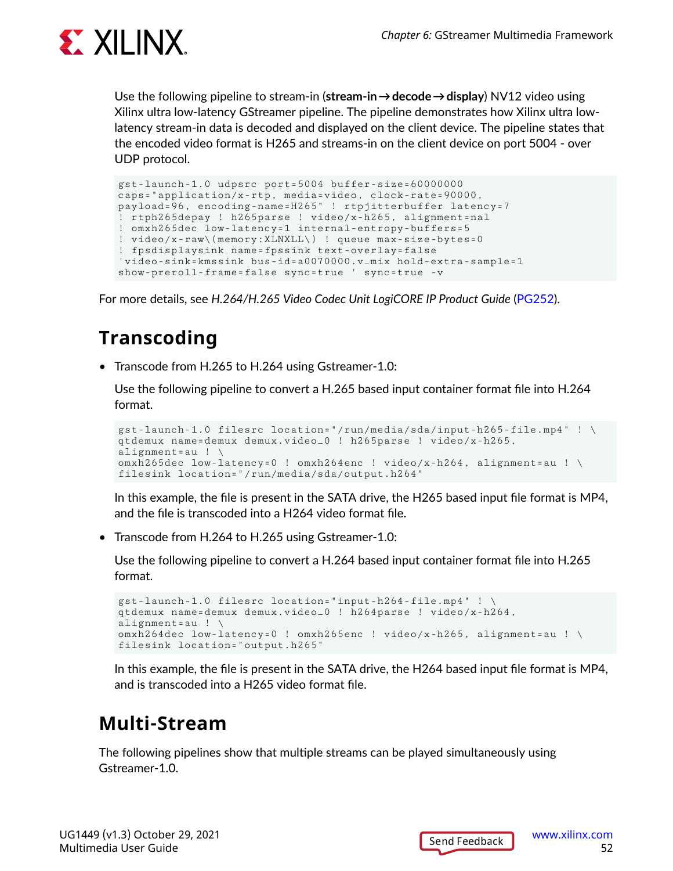

Use the following pipeline to stream-in (**stream-in → decode → display**) NV12 video using Xilinx ultra low-latency GStreamer pipeline. The pipeline demonstrates how Xilinx ultra lowlatency stream-in data is decoded and displayed on the client device. The pipeline states that the encoded video format is H265 and streams-in on the client device on port 5004 - over UDP protocol.

```
gst-launch-1.0 udpsrc port=5004 buffer-size=60000000 
caps="application/x-rtp, media=video, clock-rate=90000, 
payload=96, encoding-name=H265" ! rtpjitterbuffer latency=7 
! rtph265depay ! h265parse ! video/x-h265, alignment=nal 
! omxh265dec low-latency=1 internal-entropy-buffers=5 
! video/x-raw\(memory:XLNXLL\) ! queue max-size-bytes=0 
! fpsdisplaysink name=fpssink text-overlay=false 
'video-sink=kmssink bus-id=a0070000.v_mix hold-extra-sample=1 
show-preroll-frame=false sync=true ' sync=true -v
```
For more details, see *H.264/H.265 Video Codec Unit LogiCORE IP Product Guide* [\(PG252](https://www.xilinx.com/cgi-bin/docs/rdoc?v=latest;d=pg252-vcu.pdf)).

## **Transcoding**

• Transcode from H.265 to H.264 using Gstreamer-1.0:

Use the following pipeline to convert a H.265 based input container format file into H.264 format.

```
gst-launch-1.0 filesrc location="/run/media/sda/input-h265-file.mp4" ! \
qtdemux name=demux demux.video_0 ! h265parse ! video/x-h265, 
alignment=au ! \
omxh265dec low-latency=0 ! omxh264enc ! video/x-h264, alignment=au ! \
filesink location="/run/media/sda/output.h264"
```
In this example, the file is present in the SATA drive, the H265 based input file format is MP4, and the file is transcoded into a H264 video format file.

• Transcode from H.264 to H.265 using Gstreamer-1.0:

Use the following pipeline to convert a H.264 based input container format file into H.265 format.

```
gst-launch-1.0 filesrc location="input-h264-file.mp4" ! \
qtdemux name=demux demux.video_0 ! h264parse ! video/x-h264, 
alignment=au ! \
omxh264dec low-latency=0 ! omxh265enc ! video/x-h265, alignment=au ! \
filesink location="output.h265"
```
In this example, the file is present in the SATA drive, the H264 based input file format is MP4, and is transcoded into a H265 video format file.

## **Multi-Stream**

The following pipelines show that multiple streams can be played simultaneously using Gstreamer-1.0.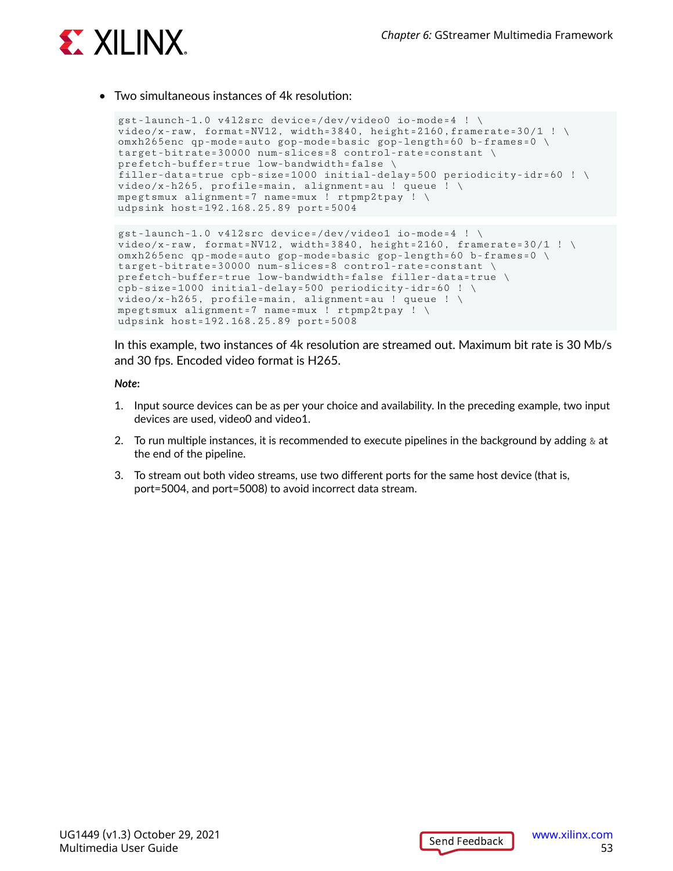

#### • Two simultaneous instances of 4k resolution:

```
gst-launch-1.0 v4l2src device=/dev/video0 io-mode=4 ! \
video/x-raw, format=NV12, width=3840, height=2160,framerate=30/1 ! \
omxh265enc qp-mode=auto gop-mode=basic gop-length=60 b-frames=0 \
target-bitrate=30000 num-slices=8 control-rate=constant \
prefetch-buffer=true low-bandwidth=false \
filler-data=true cpb-size=1000 initial-delay=500 periodicity-idr=60 ! \
video/x-h265, profile=main, alignment=au ! queue ! \
mpegtsmux alignment=7 name=mux ! rtpmp2tpay ! \
udpsink host=192.168.25.89 port=5004
gst-launch-1.0 v4l2src device=/dev/video1 io-mode=4 ! \
video/x-raw, format=NV12, width=3840, height=2160, framerate=30/1 ! \
omxh265enc qp-mode=auto gop-mode=basic gop-length=60 b-frames=0 \
target-bitrate=30000 num-slices=8 control-rate=constant \
prefetch-buffer=true low-bandwidth=false filler-data=true \
```

```
cpb-size=1000 initial-delay=500 periodicity-idr=60 ! \
video/x-h265, profile=main, alignment=au ! queue ! \
mpegtsmux alignment=7 name=mux ! rtpmp2tpay ! \
udpsink host=192.168.25.89 port=5008
```
In this example, two instances of 4k resolution are streamed out. Maximum bit rate is 30 Mb/s and 30 fps. Encoded video format is H265.

#### *Note***:**

- 1. Input source devices can be as per your choice and availability. In the preceding example, two input devices are used, video0 and video1.
- 2. To run multiple instances, it is recommended to execute pipelines in the background by adding  $\&$  at the end of the pipeline.
- 3. To stream out both video streams, use two different ports for the same host device (that is, port=5004, and port=5008) to avoid incorrect data stream.

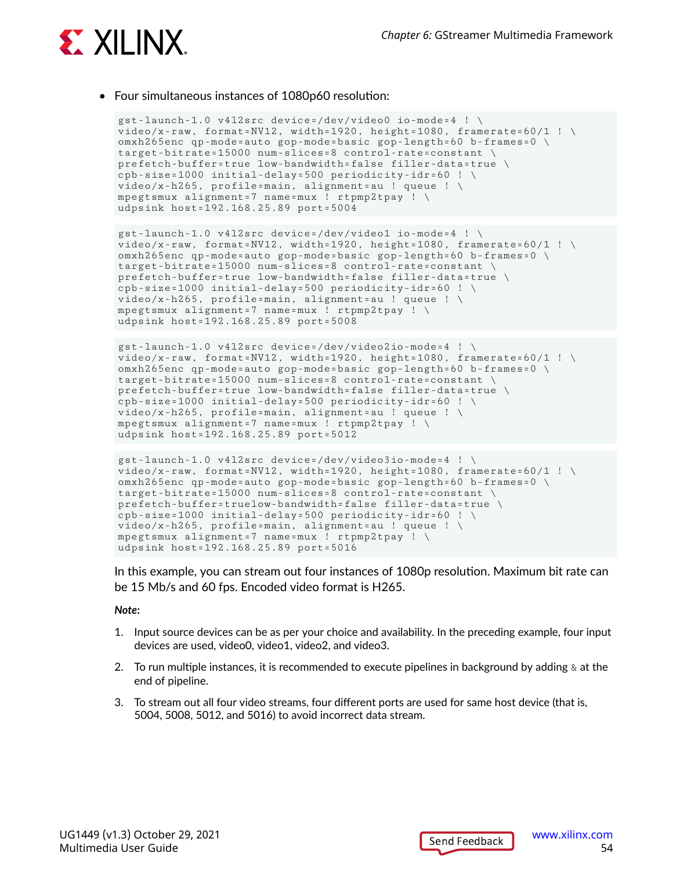

• Four simultaneous instances of 1080p60 resolution:

```
gst-launch-1.0 v4l2src device=/dev/video0 io-mode=4 ! \
video/x-raw, format=NV12, width=1920, height=1080, framerate=60/1 ! \
omxh265enc qp-mode=auto gop-mode=basic gop-length=60 b-frames=0 \
target-bitrate=15000 num-slices=8 control-rate=constant \
prefetch-buffer=true low-bandwidth=false filler-data=true \
cpb-size=1000 initial-delay=500 periodicity-idr=60 ! \
video/x-h265, profile=main, alignment=au ! queue ! \
mpegtsmux alignment=7 name=mux ! rtpmp2tpay ! \
udpsink host=192.168.25.89 port=5004
```

```
gst-launch-1.0 v4l2src device=/dev/video1 io-mode=4 ! \
video/x-raw, format=NV12, width=1920, height=1080, framerate=60/1 ! \setminusomxh265enc qp-mode=auto gop-mode=basic gop-length=60 b-frames=0 \
target-bitrate=15000 num-slices=8 control-rate=constant \
prefetch-buffer=true low-bandwidth=false filler-data=true \
cpb-size=1000 initial-delay=500 periodicity-idr=60 ! \
video/x-h265, profile=main, alignment=au ! queue ! \
mpegtsmux alignment=7 name=mux ! rtpmp2tpay ! \
udpsink host=192.168.25.89 port=5008
```

```
gst-launch-1.0 v4l2src device=/dev/video2io-mode=4 ! \
video/x-raw, format=NV12, width=1920, height=1080, framerate=60/1 ! \
omxh265enc qp-mode=auto gop-mode=basic gop-length=60 b-frames=0 \
target-bitrate=15000 num-slices=8 control-rate=constant \
prefetch-buffer=true low-bandwidth=false filler-data=true \
cpb-size=1000 initial-delay=500 periodicity-idr=60 ! \
video/x-h265, profile=main, alignment=au ! queue ! \setminusmpegtsmux alignment=7 name=mux ! rtpmp2tpay ! \
udpsink host=192.168.25.89 port=5012
```

```
gst-launch-1.0 v4l2src device=/dev/video3io-mode=4 ! \
video/x-raw, format=NV12, width=1920, height=1080, framerate=60/1 ! \setminusomxh265enc qp-mode=auto gop-mode=basic gop-length=60 b-frames=0 \
target-bitrate=15000 num-slices=8 control-rate=constant \
prefetch-buffer=truelow-bandwidth=false filler-data=true \
cpb-size=1000 initial-delay=500 periodicity-idr=60 ! \
video/x-h265, profile=main, alignment=au ! queue ! \
mpegtsmux alignment=7 name=mux ! rtpmp2tpay ! \
udpsink host=192.168.25.89 port=5016
```
In this example, you can stream out four instances of 1080p resolution. Maximum bit rate can be 15 Mb/s and 60 fps. Encoded video format is H265.

#### *Note***:**

- 1. Input source devices can be as per your choice and availability. In the preceding example, four input devices are used, video0, video1, video2, and video3.
- 2. To run multiple instances, it is recommended to execute pipelines in background by adding  $\&$  at the end of pipeline.
- 3. To stream out all four video streams, four different ports are used for same host device (that is, 5004, 5008, 5012, and 5016) to avoid incorrect data stream.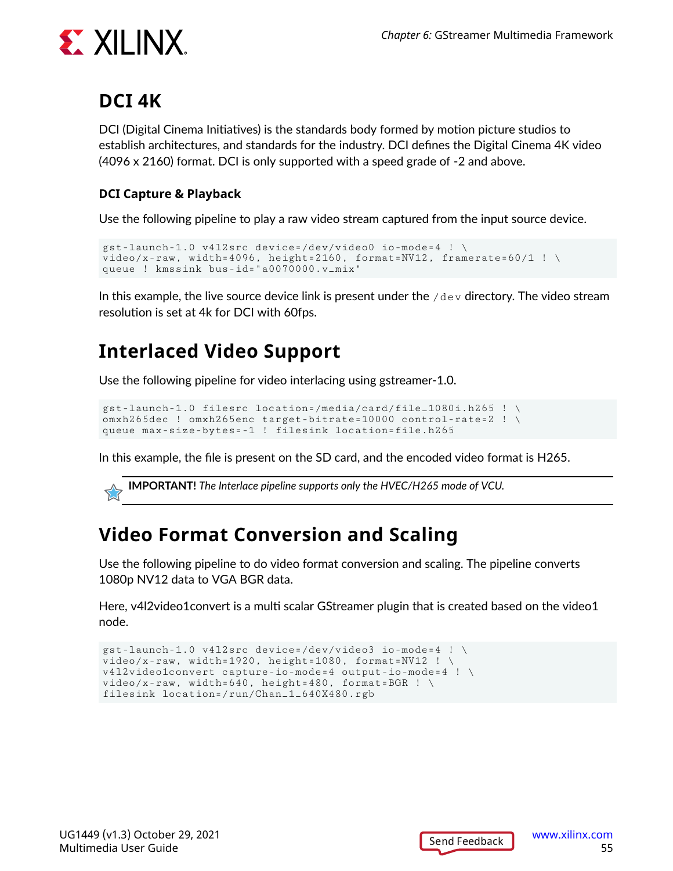

### **DCI 4K**

DCI (Digital Cinema Initiatives) is the standards body formed by motion picture studios to establish architectures, and standards for the industry. DCI defines the Digital Cinema 4K video (4096 x 2160) format. DCI is only supported with a speed grade of -2 and above.

#### **DCI Capture & Playback**

Use the following pipeline to play a raw video stream captured from the input source device.

```
gst-launch-1.0 v4l2src device=/dev/video0 io-mode=4 ! \
video/x-raw, width=4096, height=2160, format=NV12, framerate=60/1 ! \
queue ! kmssink bus-id="a0070000.v_mix"
```
In this example, the live source device link is present under the  $/$ dev directory. The video stream resolution is set at 4k for DCI with 60fps.

## **Interlaced Video Support**

Use the following pipeline for video interlacing using gstreamer-1.0.

```
gst-launch-1.0 filesrc location=/media/card/file_1080i.h265 ! \
omxh265dec ! omxh265enc target-bitrate=10000 control-rate=2 ! \
queue max-size-bytes=-1 ! filesink location=file.h265
```
In this example, the file is present on the SD card, and the encoded video format is H265.

**IMPORTANT!** *The Interlace pipeline supports only the HVEC/H265 mode of VCU.*

### **Video Format Conversion and Scaling**

Use the following pipeline to do video format conversion and scaling. The pipeline converts 1080p NV12 data to VGA BGR data.

Here, v4l2video1convert is a multi scalar GStreamer plugin that is created based on the video1 node.

```
gst-launch-1.0 v4l2src device=/dev/video3 io-mode=4 ! \
video/x-raw, width=1920, height=1080, format=NV12 ! \
v4l2video1convert capture-io-mode=4 output-io-mode=4 ! \
video/x-raw, width=640, height=480, format=BGR ! \setminusfilesink location=/run/Chan_1_640X480.rgb
```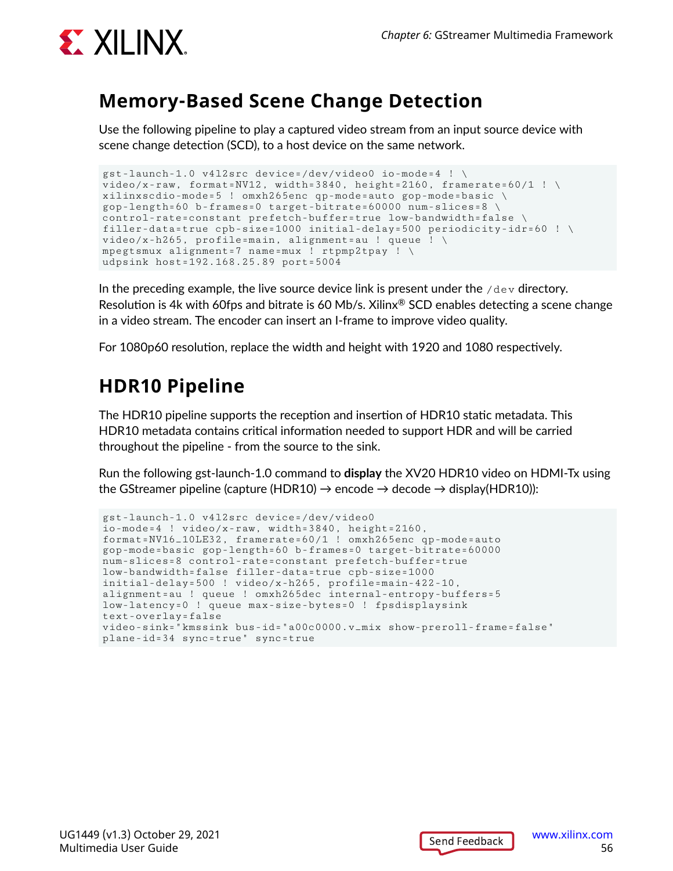

### **Memory-Based Scene Change Detection**

Use the following pipeline to play a captured video stream from an input source device with scene change detection (SCD), to a host device on the same network.

```
gst-launch-1.0 v4l2src device=/dev/video0 io-mode=4 ! \
video/x-raw, format=NV12, width=3840, height=2160, framerate=60/1 ! \
xilinxscdio-mode=5 ! omxh265enc qp-mode=auto gop-mode=basic \
gop-length=60 b-frames=0 target-bitrate=60000 num-slices=8 \
control-rate=constant prefetch-buffer=true low-bandwidth=false \
filler-data=true cpb-size=1000 initial-delay=500 periodicity-idr=60 ! \
video/x-h265, profile=main, alignment=au ! queue ! \setminusmpegtsmux alignment=7 name=mux ! rtpmp2tpay ! \
udpsink host=192.168.25.89 port=5004
```
In the preceding example, the live source device link is present under the  $/$ dev directory. Resolution is 4k with 60fps and bitrate is 60 Mb/s. Xilinx<sup>®</sup> SCD enables detecting a scene change in a video stream. The encoder can insert an I-frame to improve video quality.

For 1080p60 resolution, replace the width and height with 1920 and 1080 respectively.

## **HDR10 Pipeline**

The HDR10 pipeline supports the reception and insertion of HDR10 static metadata. This HDR10 metadata contains critical information needed to support HDR and will be carried throughout the pipeline - from the source to the sink.

Run the following gst-launch-1.0 command to **display** the XV20 HDR10 video on HDMI-Tx using the GStreamer pipeline (capture (HDR10)  $\rightarrow$  encode  $\rightarrow$  decode  $\rightarrow$  display(HDR10)):

```
gst-launch-1.0 v4l2src device=/dev/video0 
io-mode=4 ! video/x-raw, width=3840, height=2160, 
format=NV16_10LE32, framerate=60/1 ! omxh265enc qp-mode=auto 
gop-mode=basic gop-length=60 b-frames=0 target-bitrate=60000 
num-slices=8 control-rate=constant prefetch-buffer=true 
low-bandwidth=false filler-data=true cpb-size=1000 
initial-delay=500 ! video/x-h265, profile=main-422-10, 
alignment=au ! queue ! omxh265dec internal-entropy-buffers=5 
low-latency=0 ! queue max-size-bytes=0 ! fpsdisplaysink 
text-overlay=false 
video-sink="kmssink bus-id="a00c0000.v_mix show-preroll-frame=false" 
plane-id=34 sync=true" sync=true
```
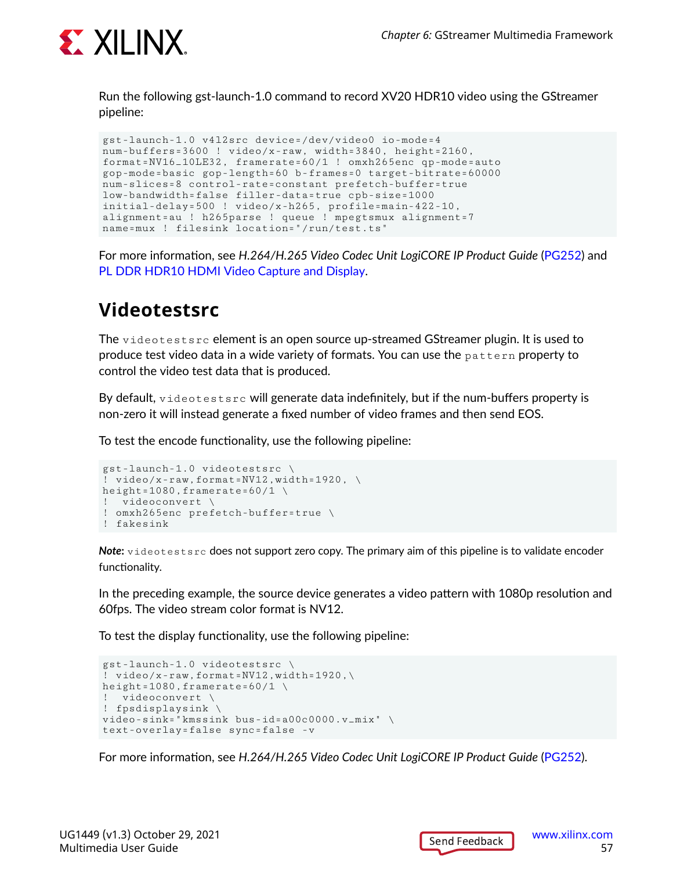

Run the following gst-launch-1.0 command to record XV20 HDR10 video using the GStreamer pipeline:

```
gst-launch-1.0 v4l2src device=/dev/video0 io-mode=4 
num-buffers=3600 ! video/x-raw, width=3840, height=2160, 
format=NV16_10LE32, framerate=60/1 ! omxh265enc qp-mode=auto 
gop-mode=basic gop-length=60 b-frames=0 target-bitrate=60000 
num-slices=8 control-rate=constant prefetch-buffer=true 
low-bandwidth=false filler-data=true cpb-size=1000 
initial-delay=500 ! video/x-h265, profile=main-422-10, 
alignment=au ! h265parse ! queue ! mpegtsmux alignment=7 
name=mux ! filesink location="/run/test.ts"
```
For more information, see *H.264/H.265 Video Codec Unit LogiCORE IP Product Guide* [\(PG252](https://www.xilinx.com/cgi-bin/docs/rdoc?v=latest;d=pg252-vcu.pdf)) and [PL DDR HDR10 HDMI Video Capture and Display](https://xilinx-wiki.atlassian.net/wiki/spaces/A/pages/2153742341/).

### **Videotestsrc**

The  $v$ ideotestsrc element is an open source up-streamed GStreamer plugin. It is used to produce test video data in a wide variety of formats. You can use the pattern property to control the video test data that is produced.

By default, videotestsrc will generate data indefinitely, but if the num-buffers property is non-zero it will instead generate a fixed number of video frames and then send EOS.

To test the encode functionality, use the following pipeline:

```
gst-launch-1.0 videotestsrc \
! video/x-raw,format=NV12,width=1920, \
height=1080, framerate=60/1 \setminus! videoconvert \
! omxh265enc prefetch-buffer=true \
! fakesink
```
*Note***:** videotestsrc does not support zero copy. The primary aim of this pipeline is to validate encoder functionality.

In the preceding example, the source device generates a video pattern with 1080p resolution and 60fps. The video stream color format is NV12.

To test the display functionality, use the following pipeline:

```
gst-launch-1.0 videotestsrc \
! video/x-raw,format=NV12,width=1920,\
height=1080, framerate=60/1 \setminus! videoconvert \
! fpsdisplaysink \
video-sink="kmssink bus-id=a00c0000.v_mix" \
text-overlay=false sync=false -v
```
For more information, see *H.264/H.265 Video Codec Unit LogiCORE IP Product Guide* [\(PG252](https://www.xilinx.com/cgi-bin/docs/rdoc?v=latest;d=pg252-vcu.pdf)).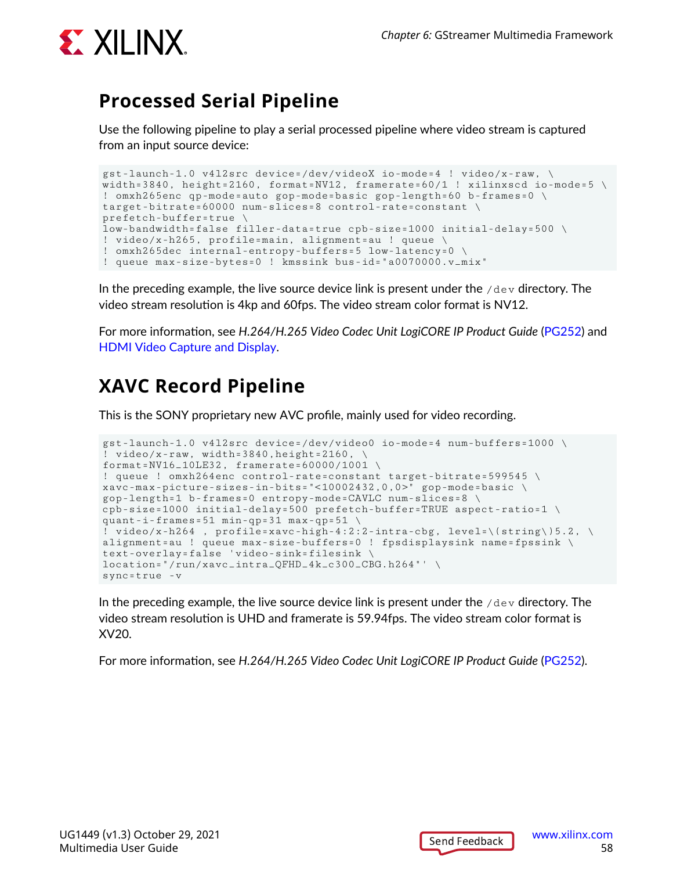

### **Processed Serial Pipeline**

Use the following pipeline to play a serial processed pipeline where video stream is captured from an input source device:

```
gst-launch-1.0 v4l2src device=/dev/videoX io-mode=4 ! video/x-raw, \
width=3840, height=2160, format=NV12, framerate=60/1 ! xilinxscd io-mode=5 \
! omxh265enc qp-mode=auto gop-mode=basic gop-length=60 b-frames=0 \
target-bitrate=60000 num-slices=8 control-rate=constant \
prefetch-buffer=true \
low-bandwidth=false filler-data=true cpb-size=1000 initial-delay=500 \
! video/x-h265, profile=main, alignment=au ! queue \
! omxh265dec internal-entropy-buffers=5 low-latency=0 \
! queue max-size-bytes=0 ! kmssink bus-id="a0070000.v_mix"
```
In the preceding example, the live source device link is present under the  $/\text{dev}$  directory. The video stream resolution is 4kp and 60fps. The video stream color format is NV12.

For more information, see *H.264/H.265 Video Codec Unit LogiCORE IP Product Guide* [\(PG252](https://www.xilinx.com/cgi-bin/docs/rdoc?v=latest;d=pg252-vcu.pdf)) and [HDMI Video Capture and Display.](https://xilinx-wiki.atlassian.net/wiki/spaces/A/pages/2153578497)

## **XAVC Record Pipeline**

This is the SONY proprietary new AVC profile, mainly used for video recording.

```
gst-launch-1.0 v4l2src device=/dev/video0 io-mode=4 num-buffers=1000 \
! video/x-raw, width=3840,height=2160, \
format=NV16_10LE32, framerate=60000/1001 \
! queue ! omxh264enc control-rate=constant target-bitrate=599545 \
xavc-max-picture-sizes-in-bits="<10002432,0,0>" gop-mode=basic \
gop-length=1 b-frames=0 entropy-mode=CAVLC num-slices=8 \
cpb-size=1000 initial-delay=500 prefetch-buffer=TRUE aspect-ratio=1 \
quant-i-frames=51 min-qp=31 max-qp=51 \
! video/x-h264 , profile=xavc-high-4:2:2-intra-cbg, level=\(string\)5.2, \
alignment=au ! queue max-size-buffers=0 ! fpsdisplaysink name=fpssink \
text-overlay=false 'video-sink=filesink \
location="/run/xavc_intra_QFHD_4k_c300_CBG.h264"' \
sync=true -v
```
In the preceding example, the live source device link is present under the  $/\text{dev}$  directory. The video stream resolution is UHD and framerate is 59.94fps. The video stream color format is XV20.

For more information, see *H.264/H.265 Video Codec Unit LogiCORE IP Product Guide* [\(PG252](https://www.xilinx.com/cgi-bin/docs/rdoc?v=latest;d=pg252-vcu.pdf)).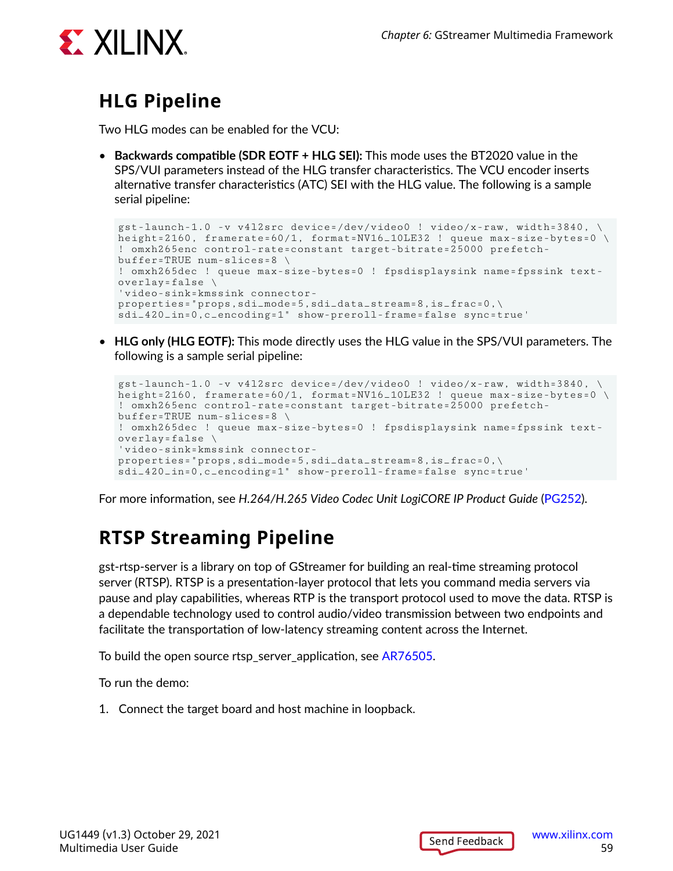

## **HLG Pipeline**

Two HLG modes can be enabled for the VCU:

• **Backwards compatible (SDR EOTF + HLG SEI):** This mode uses the BT2020 value in the SPS/VUI parameters instead of the HLG transfer characteristics. The VCU encoder inserts alternative transfer characteristics (ATC) SEI with the HLG value. The following is a sample serial pipeline:

```
gst-launch-1.0 -v v4l2src device=/dev/video0 ! video/x-raw, width=3840, \
height=2160, framerate=60/1, format=NV16_10LE32 ! queue max-size-bytes=0
! omxh265enc control-rate=constant target-bitrate=25000 prefetch-
buffer=TRUE num-slices=8 \
! omxh265dec ! queue max-size-bytes=0 ! fpsdisplaysink name=fpssink text-
overlay = false \ \ \backslash'video-sink=kmssink connector-
properties="props,sdi_mode=5,sdi_data_stream=8,is_frac=0,\
sdi_420_in=0,c_encoding=1" show-preroll-frame=false sync=true'
```
• **HLG only (HLG EOTF):** This mode directly uses the HLG value in the SPS/VUI parameters. The following is a sample serial pipeline:

```
gst-launch-1.0 -v v4l2src device=/dev/video0 ! video/x-raw, width=3840, \
height=2160, framerate=60/1, format=NV16_10LE32 ! queue max-size-bytes=0
! omxh265enc control-rate=constant target-bitrate=25000 prefetch-
buffer=TRUE num-slices=8 \
! omxh265dec ! queue max-size-bytes=0 ! fpsdisplaysink name=fpssink text-
overlay = false \ \ \backslash'video-sink=kmssink connector-
properties="props,sdi_mode=5,sdi_data_stream=8,is_frac=0,\
sdi_420_in=0,c_encoding=1" show-preroll-frame=false sync=true'
```
For more information, see *H.264/H.265 Video Codec Unit LogiCORE IP Product Guide* [\(PG252](https://www.xilinx.com/cgi-bin/docs/rdoc?v=latest;d=pg252-vcu.pdf)).

## **RTSP Streaming Pipeline**

gst-rtsp-server is a library on top of GStreamer for building an real-time streaming protocol server (RTSP). RTSP is a presentation-layer protocol that lets you command media servers via pause and play capabilities, whereas RTP is the transport protocol used to move the data. RTSP is a dependable technology used to control audio/video transmission between two endpoints and facilitate the transportation of low-latency streaming content across the Internet.

To build the open source rtsp\_server\_application, see [AR76505.](https://www.xilinx.com/support/answers/76505.html)

To run the demo:

1. Connect the target board and host machine in loopback.

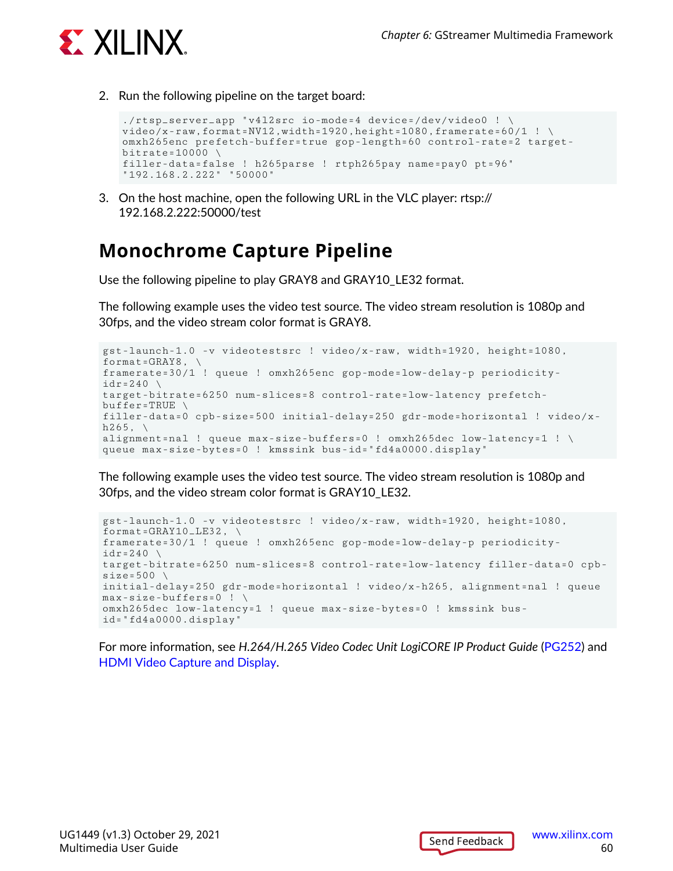

2. Run the following pipeline on the target board:

```
./rtsp_server_app "v4l2src io-mode=4 device=/dev/video0 ! \
video/x-raw,format=NV12,width=1920,height=1080,framerate=60/1 ! \setminusomxh265enc prefetch-buffer=true gop-length=60 control-rate=2 target-
bitrate=10000 \sqrt{ }filler-data=false ! h265parse ! rtph265pay name=pay0 pt=96" 
"192.168.2.222" "50000"
```
3. On the host machine, open the following URL in the VLC player: rtsp:// 192.168.2.222:50000/test

### **Monochrome Capture Pipeline**

Use the following pipeline to play GRAY8 and GRAY10\_LE32 format.

The following example uses the video test source. The video stream resolution is 1080p and 30fps, and the video stream color format is GRAY8.

```
gst-launch-1.0 -v videotestsrc ! video/x-raw, width=1920, height=1080, 
format=GRAY8, \setminusframerate=30/1 ! queue ! omxh265enc gop-mode=low-delay-p periodicity-
idr=240 \ \ \ \backslashtarget-bitrate=6250 num-slices=8 control-rate=low-latency prefetch-
buffer=TRUE \setminusfiller-data=0 cpb-size=500 initial-delay=250 gdr-mode=horizontal ! video/x-
h265, \lambdaalignment=nal ! queue max-size-buffers=0 ! omxh265dec low-latency=1 ! \
queue max-size-bytes=0 ! kmssink bus-id="fd4a0000.display"
```
The following example uses the video test source. The video stream resolution is 1080p and 30fps, and the video stream color format is GRAY10\_LE32.

```
gst-launch-1.0 -v videotestsrc ! video/x-raw, width=1920, height=1080, 
format = GRAY10_LE32, \
framerate=30/1 ! queue ! omxh265enc gop-mode=low-delay-p periodicity-
idr=240 \sqrt{ }target-bitrate=6250 num-slices=8 control-rate=low-latency filler-data=0 cpb-
size=500 \ \ \ \ \ \ \initial-delay=250 gdr-mode=horizontal ! video/x-h265, alignment=nal ! queue 
max-size-buffers=0 ! \
omxh265dec low-latency=1 ! queue max-size-bytes=0 ! kmssink bus-
id="fd4a0000.display"
```
For more information, see *H.264/H.265 Video Codec Unit LogiCORE IP Product Guide* [\(PG252](https://www.xilinx.com/cgi-bin/docs/rdoc?v=latest;d=pg252-vcu.pdf)) and [HDMI Video Capture and Display.](https://xilinx-wiki.atlassian.net/wiki/spaces/A/pages/2153578497)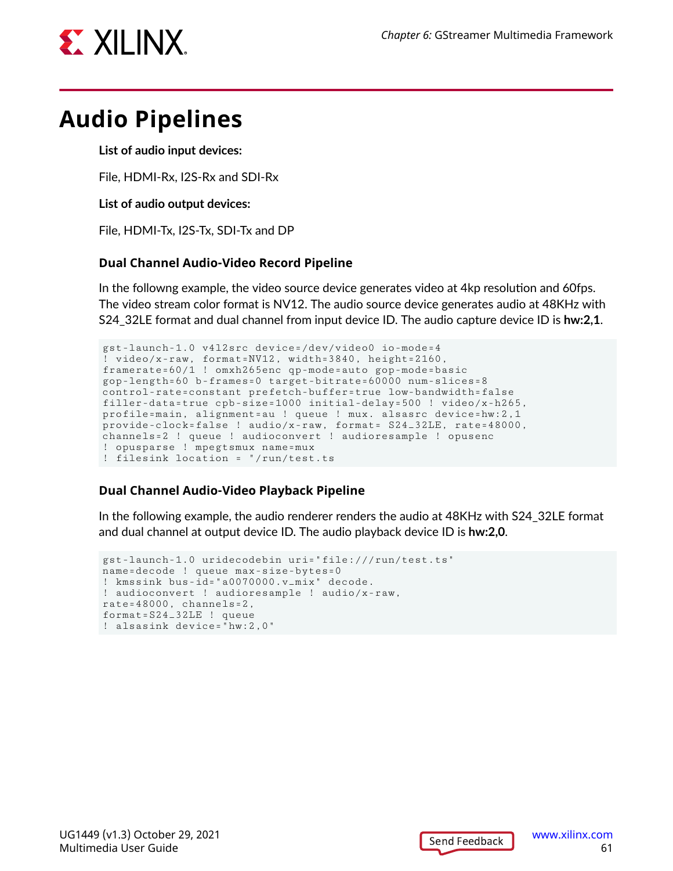

## **Audio Pipelines**

**List of audio input devices:**

File, HDMI-Rx, I2S-Rx and SDI-Rx

**List of audio output devices:**

File, HDMI-Tx, I2S-Tx, SDI-Tx and DP

#### **Dual Channel Audio-Video Record Pipeline**

In the followng example, the video source device generates video at 4kp resolution and 60fps. The video stream color format is NV12. The audio source device generates audio at 48KHz with S24\_32LE format and dual channel from input device ID. The audio capture device ID is **hw:2,1**.

```
gst-launch-1.0 v4l2src device=/dev/video0 io-mode=4 
 video/x-raw, format=NV12, width=3840, height=2160,
framerate=60/1 ! omxh265enc qp-mode=auto gop-mode=basic 
gop-length=60 b-frames=0 target-bitrate=60000 num-slices=8 
control-rate=constant prefetch-buffer=true low-bandwidth=false 
filler-data=true cpb-size=1000 initial-delay=500 ! video/x-h265, 
profile=main, alignment=au ! queue ! mux. alsasrc device=hw:2,1 
provide-clock=false ! audio/x-raw, format= S24_32LE, rate=48000, 
channels=2 ! queue ! audioconvert ! audioresample ! opusenc 
! opusparse ! mpegtsmux name=mux 
! filesink location = "/run/test.ts
```
#### **Dual Channel Audio-Video Playback Pipeline**

In the following example, the audio renderer renders the audio at 48KHz with S24\_32LE format and dual channel at output device ID. The audio playback device ID is **hw:2,0**.

```
gst-launch-1.0 uridecodebin uri="file:///run/test.ts" 
name=decode ! queue max-size-bytes=0 
! kmssink bus-id="a0070000.v_mix" decode. 
! audioconvert ! audioresample ! audio/x-raw, 
rate=48000, channels=2, 
format=S24_32LE ! queue 
! alsasink device="hw:2,0"
```
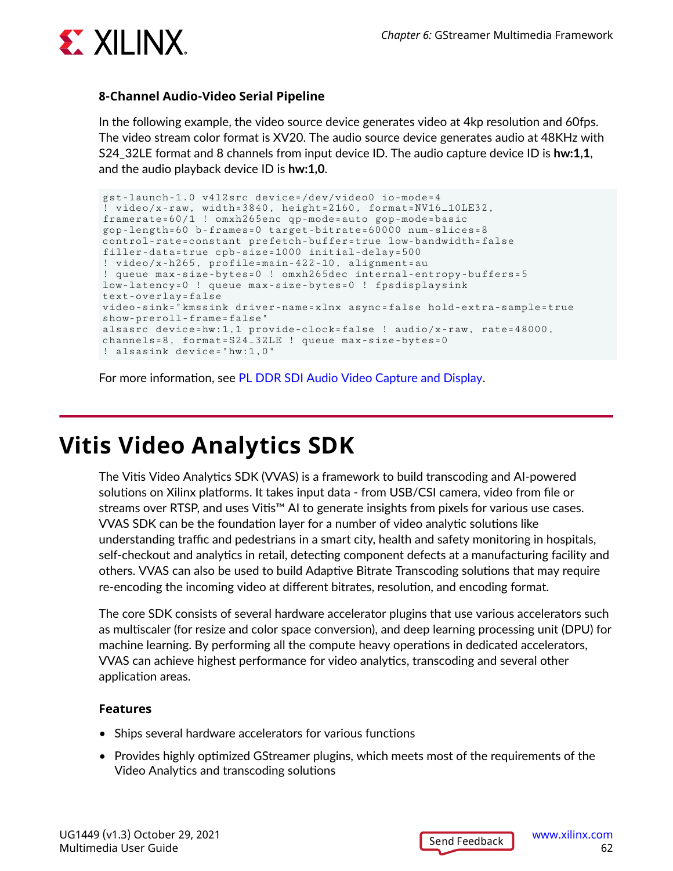

#### **8-Channel Audio-Video Serial Pipeline**

In the following example, the video source device generates video at 4kp resolution and 60fps. The video stream color format is XV20. The audio source device generates audio at 48KHz with S24\_32LE format and 8 channels from input device ID. The audio capture device ID is **hw:1,1**, and the audio playback device ID is **hw:1,0**.

```
gst-launch-1.0 v4l2src device=/dev/video0 io-mode=4 
 \sigma video/x-raw, width=3840, height=2160, format=NV16_10LE32,
framerate=60/1 ! omxh265enc qp-mode=auto gop-mode=basic 
gop-length=60 b-frames=0 target-bitrate=60000 num-slices=8 
control-rate=constant prefetch-buffer=true low-bandwidth=false 
filler-data=true cpb-size=1000 initial-delay=500 
! video/x-h265, profile=main-422-10, alignment=au 
! queue max-size-bytes=0 ! omxh265dec internal-entropy-buffers=5 
low-latency=0 ! queue max-size-bytes=0 ! fpsdisplaysink 
text-overlay=false 
video-sink="kmssink driver-name=xlnx async=false hold-extra-sample=true 
show-preroll-frame=false" 
alsasrc device=hw:1,1 provide-clock=false ! audio/x-raw, rate=48000, 
channels=8, format=S24_32LE ! queue max-size-bytes=0 
! alsasink device="hw:1,0"
```
For more information, see [PL DDR SDI Audio Video Capture and Display](https://xilinx-wiki.atlassian.net/wiki/spaces/A/pages/2153709569).

## **Vitis Video Analytics SDK**

The Vitis Video Analytics SDK (VVAS) is a framework to build transcoding and AI-powered solutions on Xilinx platforms. It takes input data - from USB/CSI camera, video from file or streams over RTSP, and uses Vitis™ AI to generate insights from pixels for various use cases. VVAS SDK can be the foundation layer for a number of video analytic solutions like understanding traffic and pedestrians in a smart city, health and safety monitoring in hospitals, self-checkout and analytics in retail, detecting component defects at a manufacturing facility and others. VVAS can also be used to build Adaptive Bitrate Transcoding solutions that may require re-encoding the incoming video at different bitrates, resolution, and encoding format.

The core SDK consists of several hardware accelerator plugins that use various accelerators such as multiscaler (for resize and color space conversion), and deep learning processing unit (DPU) for machine learning. By performing all the compute heavy operations in dedicated accelerators, VVAS can achieve highest performance for video analytics, transcoding and several other application areas.

#### **Features**

- Ships several hardware accelerators for various functions
- Provides highly optimized GStreamer plugins, which meets most of the requirements of the Video Analytics and transcoding solutions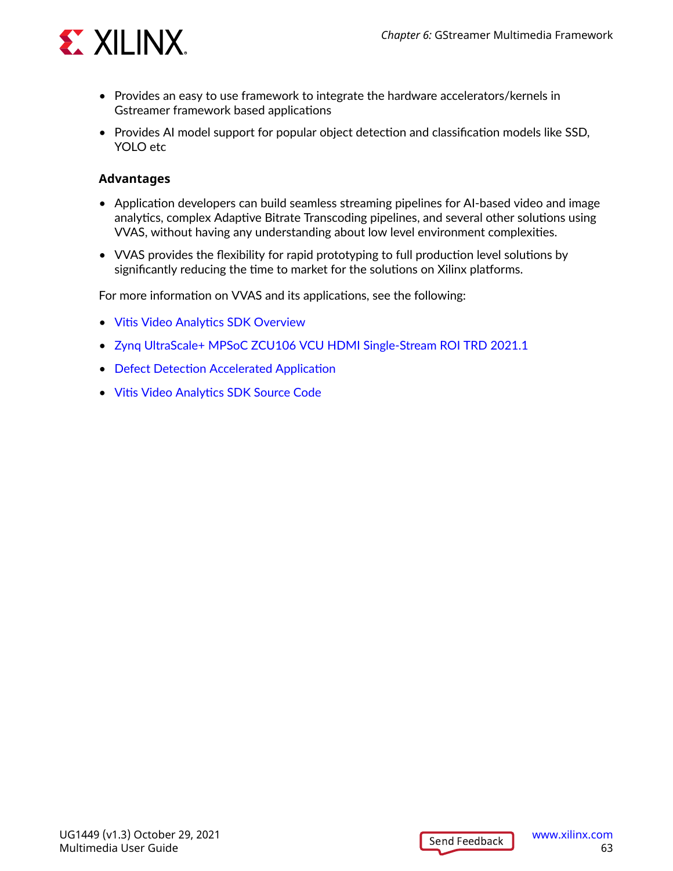

- Provides an easy to use framework to integrate the hardware accelerators/kernels in Gstreamer framework based applications
- Provides AI model support for popular object detection and classification models like SSD, YOLO etc

#### **Advantages**

- Application developers can build seamless streaming pipelines for AI-based video and image analytics, complex Adaptive Bitrate Transcoding pipelines, and several other solutions using VVAS, without having any understanding about low level environment complexities.
- VVAS provides the flexibility for rapid prototyping to full production level solutions by significantly reducing the time to market for the solutions on Xilinx platforms.

For more information on VVAS and its applications, see the following:

- [Vitis Video Analytics SDK Overview](https://xilinx.github.io/VVAS/)
- [Zynq UltraScale+ MPSoC ZCU106 VCU HDMI Single-Stream ROI TRD 2021.1](https://xilinx-wiki.atlassian.net/wiki/spaces/A/pages/1997504549/Zynq+UltraScale+MPSoC+ZCU106+VCU+HDMI+Single-Stream+ROI+TRD+2021.1)
- [Defect Detection Accelerated Application](https://www.xilinx.com/products/app-store/kria/defect-detection.html)
- [Vitis Video Analytics SDK Source Code](https://github.com/Xilinx/VVAS)

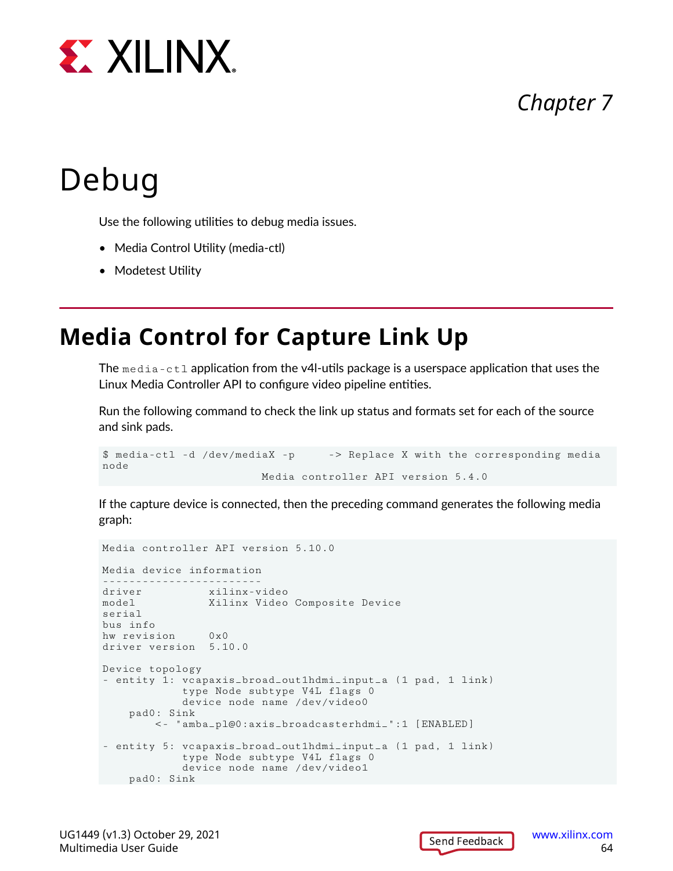

## *Chapter 7*

# Debug

Use the following utilities to debug media issues.

- Media Control Utility (media-ctl)
- Modetest Utility

## **Media Control for Capture Link Up**

The media-ctl application from the v4l-utils package is a userspace application that uses the Linux Media Controller API to configure video pipeline entities.

Run the following command to check the link up status and formats set for each of the source and sink pads.

```
$ media-ctl -d /dev/mediaX -p -> Replace X with the corresponding media 
node
                        Media controller API version 5.4.0
```
If the capture device is connected, then the preceding command generates the following media graph:

```
Media controller API version 5.10.0
Media device information
      ------------------------
driver xilinx-video
model Xilinx Video Composite Device
serial 
bus info 
hw revision 0x0
driver version 5.10.0
Device topology
- entity 1: vcapaxis_broad_out1hdmi_input_a (1 pad, 1 link)
             type Node subtype V4L flags 0
             device node name /dev/video0
     pad0: Sink
         <- "amba_pl@0:axis_broadcasterhdmi_":1 [ENABLED]
- entity 5: vcapaxis_broad_out1hdmi_input_a (1 pad, 1 link)
             type Node subtype V4L flags 0
             device node name /dev/video1
    pad0: Sink
```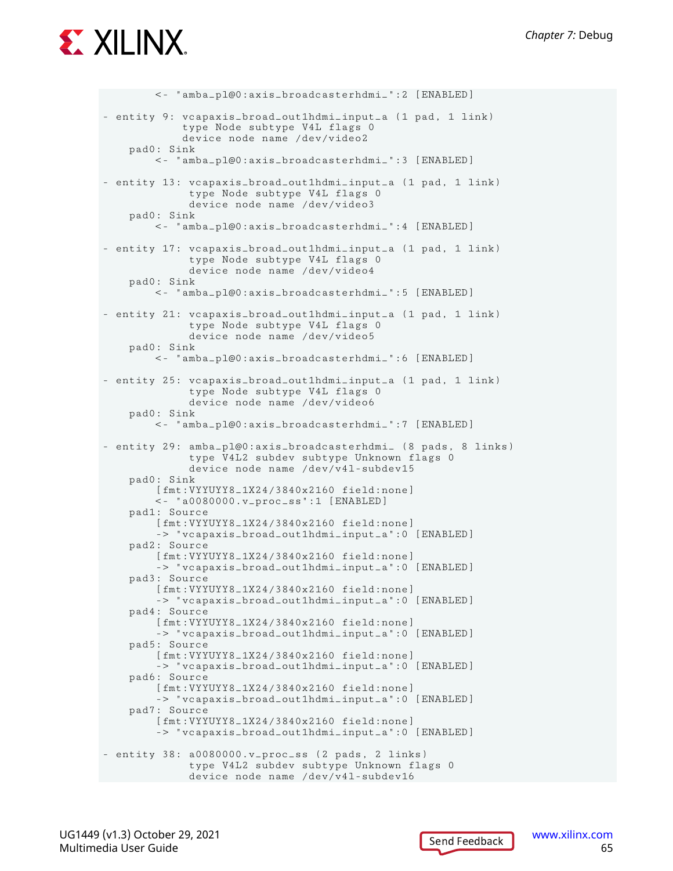# **EX XILINX.**

```
 <- "amba_pl@0:axis_broadcasterhdmi_":2 [ENABLED]
- entity 9: vcapaxis_broad_out1hdmi_input_a (1 pad, 1 link)
             type Node subtype V4L flags 0
             device node name /dev/video2
     pad0: Sink
         <- "amba_pl@0:axis_broadcasterhdmi_":3 [ENABLED]
- entity 13: vcapaxis_broad_out1hdmi_input_a (1 pad, 1 link)
              type Node subtype V4L flags 0
              device node name /dev/video3
     pad0: Sink
         <- "amba_pl@0:axis_broadcasterhdmi_":4 [ENABLED]
- entity 17: vcapaxis_broad_out1hdmi_input_a (1 pad, 1 link)
              type Node subtype V4L flags 0
              device node name /dev/video4
     pad0: Sink
         <- "amba_pl@0:axis_broadcasterhdmi_":5 [ENABLED]
- entity 21: vcapaxis_broad_out1hdmi_input_a (1 pad, 1 link)
              type Node subtype V4L flags 0
              device node name /dev/video5
     pad0: Sink
         <- "amba_pl@0:axis_broadcasterhdmi_":6 [ENABLED]
- entity 25: vcapaxis_broad_out1hdmi_input_a (1 pad, 1 link)
              type Node subtype V4L flags 0
              device node name /dev/video6
     pad0: Sink
         <- "amba_pl@0:axis_broadcasterhdmi_":7 [ENABLED]
- entity 29: amba_pl@0:axis_broadcasterhdmi_ (8 pads, 8 links)
              type V4L2 subdev subtype Unknown flags 0
              device node name /dev/v4l-subdev15
     pad0: Sink
         [fmt:VYYUYY8_1X24/3840x2160 field:none]
         <- "a0080000.v_proc_ss":1 [ENABLED]
     pad1: Source
         [fmt:VYYUYY8_1X24/3840x2160 field:none]
         -> "vcapaxis_broad_out1hdmi_input_a":0 [ENABLED]
     pad2: Source
         [fmt:VYYUYY8_1X24/3840x2160 field:none]
         -> "vcapaxis_broad_out1hdmi_input_a":0 [ENABLED]
     pad3: Source
         [fmt:VYYUYY8_1X24/3840x2160 field:none]
         -> "vcapaxis_broad_out1hdmi_input_a":0 [ENABLED]
     pad4: Source
         [fmt:VYYUYY8_1X24/3840x2160 field:none]
         -> "vcapaxis_broad_out1hdmi_input_a":0 [ENABLED]
     pad5: Source
         [fmt:VYYUYY8_1X24/3840x2160 field:none]
         -> "vcapaxis_broad_out1hdmi_input_a":0 [ENABLED]
     pad6: Source
         [fmt:VYYUYY8_1X24/3840x2160 field:none]
         -> "vcapaxis_broad_out1hdmi_input_a":0 [ENABLED]
     pad7: Source
         [fmt:VYYUYY8_1X24/3840x2160 field:none]
         -> "vcapaxis_broad_out1hdmi_input_a":0 [ENABLED]
- entity 38: a0080000.v_proc_ss (2 pads, 2 links)
              type V4L2 subdev subtype Unknown flags 0
              device node name /dev/v4l-subdev16
```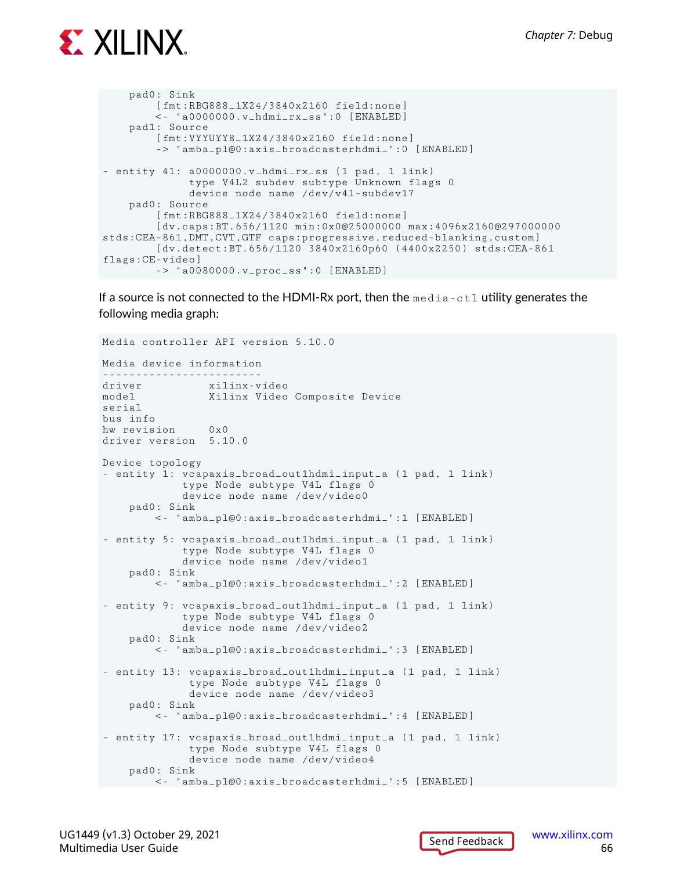

```
 pad0: Sink
         [fmt:RBG888_1X24/3840x2160 field:none]
         <- "a0000000.v_hdmi_rx_ss":0 [ENABLED]
     pad1: Source
         [fmt:VYYUYY8_1X24/3840x2160 field:none]
         -> "amba_pl@0:axis_broadcasterhdmi_":0 [ENABLED]
- entity 41: a0000000.v_hdmi_rx_ss (1 pad, 1 link)
              type V4L2 subdev subtype Unknown flags 0
              device node name /dev/v4l-subdev17
     pad0: Source
         [fmt:RBG888_1X24/3840x2160 field:none]
         [dv.caps:BT.656/1120 min:0x0@25000000 max:4096x2160@297000000 
stds:CEA-861,DMT,CVT,GTF caps:progressive,reduced-blanking,custom]
         [dv.detect:BT.656/1120 3840x2160p60 (4400x2250) stds:CEA-861 
flags:CE-video]
         -> "a0080000.v_proc_ss":0 [ENABLED]
```
If a source is not connected to the HDMI-Rx port, then the  $\text{median}-\text{ct1}$  utility generates the following media graph:

```
Media controller API version 5.10.0
Media device information
------------------------
driver xilinx-video
model Xilinx Video Composite Device
serial 
bus info 
hw revision 0x0
driver version 5.10.0
Device topology
- entity 1: vcapaxis_broad_out1hdmi_input_a (1 pad, 1 link)
             type Node subtype V4L flags 0
             device node name /dev/video0
     pad0: Sink
         <- "amba_pl@0:axis_broadcasterhdmi_":1 [ENABLED]
- entity 5: vcapaxis_broad_out1hdmi_input_a (1 pad, 1 link)
             type Node subtype V4L flags 0
             device node name /dev/video1
     pad0: Sink
         <- "amba_pl@0:axis_broadcasterhdmi_":2 [ENABLED]
- entity 9: vcapaxis_broad_out1hdmi_input_a (1 pad, 1 link)
             type Node subtype V4L flags 0
             device node name /dev/video2
     pad0: Sink
         <- "amba_pl@0:axis_broadcasterhdmi_":3 [ENABLED]
- entity 13: vcapaxis_broad_out1hdmi_input_a (1 pad, 1 link)
              type Node subtype V4L flags 0
              device node name /dev/video3
     pad0: Sink
         <- "amba_pl@0:axis_broadcasterhdmi_":4 [ENABLED]
- entity 17: vcapaxis_broad_out1hdmi_input_a (1 pad, 1 link)
              type Node subtype V4L flags 0
              device node name /dev/video4
     pad0: Sink
        <- "amba_pl@0:axis_broadcasterhdmi_":5 [ENABLED]
```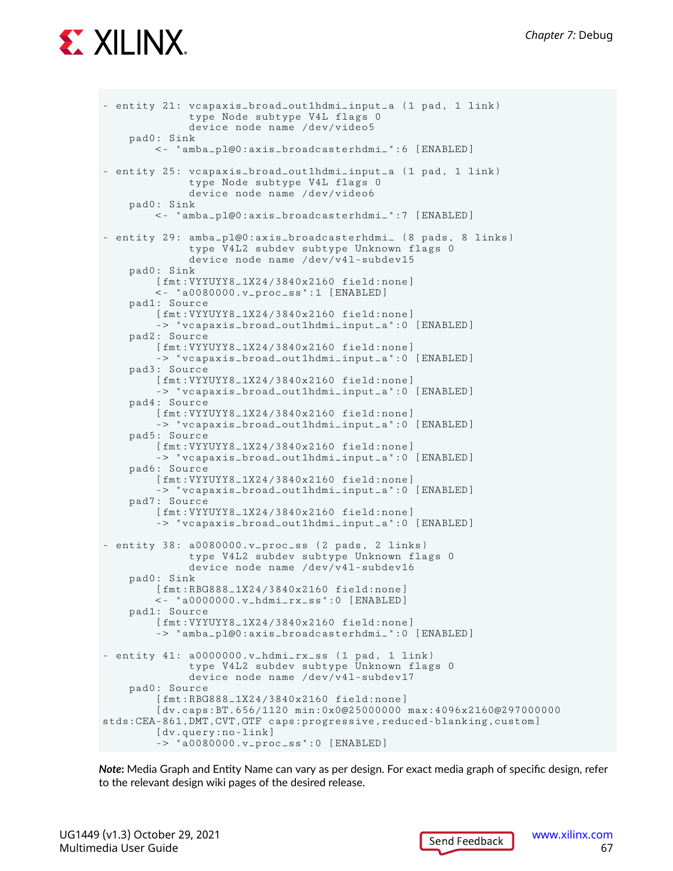

```
- entity 21: vcapaxis_broad_out1hdmi_input_a (1 pad, 1 link)
              type Node subtype V4L flags 0
              device node name /dev/video5
     pad0: Sink
         <- "amba_pl@0:axis_broadcasterhdmi_":6 [ENABLED]
- entity 25: vcapaxis_broad_out1hdmi_input_a (1 pad, 1 link)
              type Node subtype V4L flags 0
              device node name /dev/video6
     pad0: Sink
         <- "amba_pl@0:axis_broadcasterhdmi_":7 [ENABLED]
- entity 29: amba_pl@0:axis_broadcasterhdmi_ (8 pads, 8 links)
              type V4L2 subdev subtype Unknown flags 0
              device node name /dev/v4l-subdev15
     pad0: Sink
         [fmt:VYYUYY8_1X24/3840x2160 field:none]
         <- "a0080000.v_proc_ss":1 [ENABLED]
     pad1: Source
         [fmt:VYYUYY8_1X24/3840x2160 field:none]
         -> "vcapaxis_broad_out1hdmi_input_a":0 [ENABLED]
     pad2: Source
         [fmt:VYYUYY8_1X24/3840x2160 field:none]
         -> "vcapaxis_broad_out1hdmi_input_a":0 [ENABLED]
     pad3: Source
         [fmt:VYYUYY8_1X24/3840x2160 field:none]
         -> "vcapaxis_broad_out1hdmi_input_a":0 [ENABLED]
     pad4: Source
         [fmt:VYYUYY8_1X24/3840x2160 field:none]
         -> "vcapaxis_broad_out1hdmi_input_a":0 [ENABLED]
     pad5: Source
         [fmt:VYYUYY8_1X24/3840x2160 field:none]
         -> "vcapaxis_broad_out1hdmi_input_a":0 [ENABLED]
     pad6: Source
         [fmt:VYYUYY8_1X24/3840x2160 field:none]
         -> "vcapaxis_broad_out1hdmi_input_a":0 [ENABLED]
     pad7: Source
         [fmt:VYYUYY8_1X24/3840x2160 field:none]
         -> "vcapaxis_broad_out1hdmi_input_a":0 [ENABLED]
- entity 38: a0080000.v_proc_ss (2 pads, 2 links)
              type V4L2 subdev subtype Unknown flags 0
              device node name /dev/v4l-subdev16
     pad0: Sink
         [fmt:RBG888_1X24/3840x2160 field:none]
         <- "a0000000.v_hdmi_rx_ss":0 [ENABLED]
     pad1: Source
         [fmt:VYYUYY8_1X24/3840x2160 field:none]
         -> "amba_pl@0:axis_broadcasterhdmi_":0 [ENABLED]
- entity 41: a0000000.v_hdmi_rx_ss (1 pad, 1 link)
              type V4L2 subdev subtype Unknown flags 0
              device node name /dev/v4l-subdev17
     pad0: Source
         [fmt:RBG888_1X24/3840x2160 field:none]
         [dv.caps:BT.656/1120 min:0x0@25000000 max:4096x2160@297000000 
stds:CEA-861,DMT,CVT,GTF caps:progressive,reduced-blanking,custom]
         [dv.query:no-link]
         -> "a0080000.v_proc_ss":0 [ENABLED]
```
*Note***:** Media Graph and Entity Name can vary as per design. For exact media graph of specific design, refer to the relevant design wiki pages of the desired release.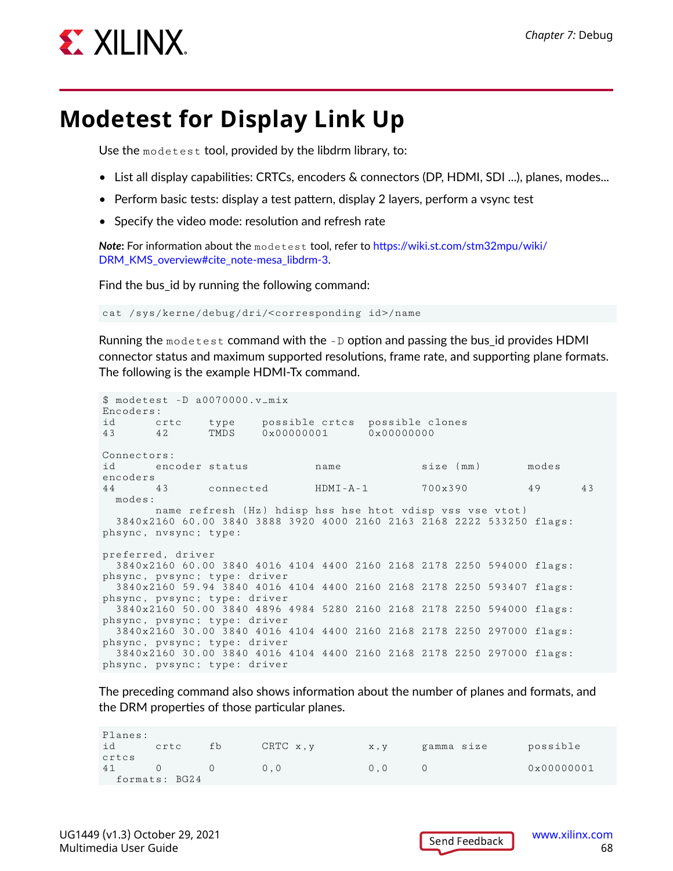

## **Modetest for Display Link Up**

Use the modetest tool, provided by the libdrm library, to:

- List all display capabilities: CRTCs, encoders & connectors (DP, HDMI, SDI ...), planes, modes...
- Perform basic tests: display a test pattern, display 2 layers, perform a vsync test
- Specify the video mode: resolution and refresh rate

*Note***:** For information about the modetest tool, refer to [https://wiki.st.com/stm32mpu/wiki/](https://wiki.st.com/stm32mpu/wiki/DRM_KMS_overview#cite_note-mesa_libdrm-3) [DRM\\_KMS\\_overview#cite\\_note-mesa\\_libdrm-3.](https://wiki.st.com/stm32mpu/wiki/DRM_KMS_overview#cite_note-mesa_libdrm-3)

Find the bus id by running the following command:

cat /sys/kerne/debug/dri/<corresponding id>/name

Running the modetest command with the  $-D$  option and passing the bus id provides HDMI connector status and maximum supported resolutions, frame rate, and supporting plane formats. The following is the example HDMI-Tx command.

\$ modetest -D a0070000.v\_mix Encoders: id crtc type possible crtcs possible clones<br>43 42 TMDS  $0 \times 00000001$   $0 \times 00000000$  $0 \times 00000001$ Connectors: id encoder status name size (mm) modes encoders 44 43 connected HDMI-A-1 700x390 49 43 modes: name refresh (Hz) hdisp hss hse htot vdisp vss vse vtot) 3840x2160 60.00 3840 3888 3920 4000 2160 2163 2168 2222 533250 flags: phsync, nvsync; type: preferred, driver 3840x2160 60.00 3840 4016 4104 4400 2160 2168 2178 2250 594000 flags: phsync, pvsync; type: driver 3840x2160 59.94 3840 4016 4104 4400 2160 2168 2178 2250 593407 flags: phsync, pvsync; type: driver 3840x2160 50.00 3840 4896 4984 5280 2160 2168 2178 2250 594000 flags: phsync, pvsync; type: driver 3840x2160 30.00 3840 4016 4104 4400 2160 2168 2178 2250 297000 flags: phsync, pvsync; type: driver 3840x2160 30.00 3840 4016 4104 4400 2160 2168 2178 2250 297000 flags: phsync, pvsync; type: driver

The preceding command also shows information about the number of planes and formats, and the DRM properties of those particular planes.

| Planes:<br>id | crtc          | fb | CRTC x, y | x , v | gamma size | possible            |
|---------------|---------------|----|-----------|-------|------------|---------------------|
| crtcs         |               |    |           |       |            |                     |
| 41            |               |    | 0.0       | 0.0   |            | $0 \times 00000001$ |
|               | formats: BG24 |    |           |       |            |                     |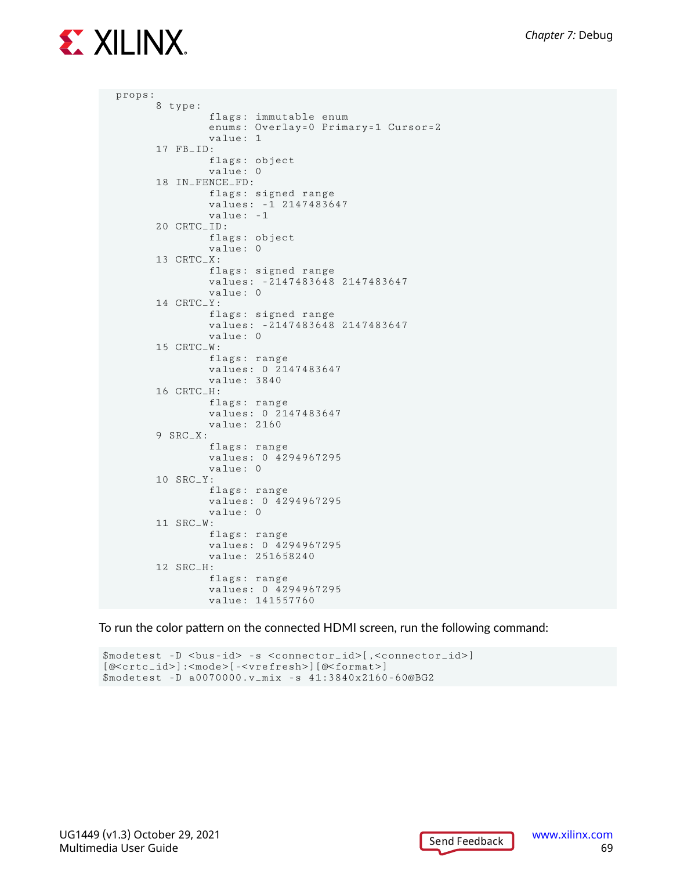

```
 props:
         8 type:
 flags: immutable enum
 enums: Overlay=0 Primary=1 Cursor=2
                 value: 1
         17 FB_ID:
                 flags: object
                 value: 0
         18 IN_FENCE_FD:
                 flags: signed range
                 values: -1 2147483647
                 value: -1
         20 CRTC_ID:
                 flags: object
                 value: 0
         13 CRTC_X:
                 flags: signed range
                 values: -2147483648 2147483647
                 value: 0
         14 CRTC_Y:
                 flags: signed range
                 values: -2147483648 2147483647
                 value: 0
         15 CRTC_W:
                 flags: range
                 values: 0 2147483647
                 value: 3840
         16 CRTC_H:
                 flags: range
                 values: 0 2147483647
                 value: 2160
         9 SRC_X:
                 flags: range
                 values: 0 4294967295
                 value: 0
         10 SRC_Y:
                 flags: range
                 values: 0 4294967295
                 value: 0
         11 SRC_W:
                 flags: range
                 values: 0 4294967295
                 value: 251658240
         12 SRC_H:
                 flags: range
                 values: 0 4294967295
                 value: 141557760
```
To run the color pattern on the connected HDMI screen, run the following command:

 $$modetest -D < bus-id> -s < component>crcnn}$  ,  $]$ [@<crtc\_id>]:<mode>[-<vrefresh>][@<format>] \$modetest -D a0070000.v\_mix -s 41:3840x2160-60@BG2

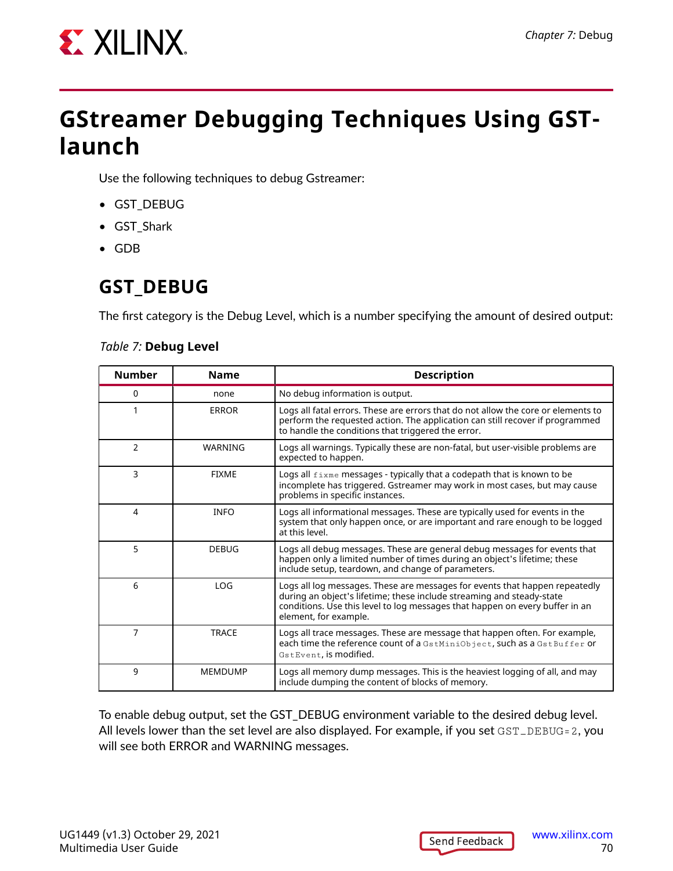

## **GStreamer Debugging Techniques Using GSTlaunch**

Use the following techniques to debug Gstreamer:

- GST\_DEBUG
- GST\_Shark
- GDB

## **GST\_DEBUG**

The first category is the Debug Level, which is a number specifying the amount of desired output:

#### *Table 7:* **Debug Level**

| <b>Number</b>  | <b>Name</b>    | <b>Description</b>                                                                                                                                                                                                                                            |  |
|----------------|----------------|---------------------------------------------------------------------------------------------------------------------------------------------------------------------------------------------------------------------------------------------------------------|--|
| 0              | none           | No debug information is output.                                                                                                                                                                                                                               |  |
|                | <b>ERROR</b>   | Logs all fatal errors. These are errors that do not allow the core or elements to<br>perform the requested action. The application can still recover if programmed<br>to handle the conditions that triggered the error.                                      |  |
| $\overline{2}$ | WARNING        | Logs all warnings. Typically these are non-fatal, but user-visible problems are<br>expected to happen.                                                                                                                                                        |  |
| 3              | <b>FIXME</b>   | Logs all $f_{\text{ixme}}$ messages - typically that a codepath that is known to be<br>incomplete has triggered. Gstreamer may work in most cases, but may cause<br>problems in specific instances.                                                           |  |
| 4              | <b>INFO</b>    | Logs all informational messages. These are typically used for events in the<br>system that only happen once, or are important and rare enough to be logged<br>at this level.                                                                                  |  |
| 5              | <b>DEBUG</b>   | Logs all debug messages. These are general debug messages for events that<br>happen only a limited number of times during an object's lifetime; these<br>include setup, teardown, and change of parameters.                                                   |  |
| 6              | LOG            | Logs all log messages. These are messages for events that happen repeatedly<br>during an object's lifetime; these include streaming and steady-state<br>conditions. Use this level to log messages that happen on every buffer in an<br>element, for example. |  |
| 7              | <b>TRACE</b>   | Logs all trace messages. These are message that happen often. For example,<br>each time the reference count of a GstMiniObject, such as a GstBuffer or<br>GstEvent, is modified.                                                                              |  |
| 9              | <b>MEMDUMP</b> | Logs all memory dump messages. This is the heaviest logging of all, and may<br>include dumping the content of blocks of memory.                                                                                                                               |  |

To enable debug output, set the GST\_DEBUG environment variable to the desired debug level. All levels lower than the set level are also displayed. For example, if you set  $\texttt{GST\_DEBUG=2}$ , you will see both ERROR and WARNING messages.

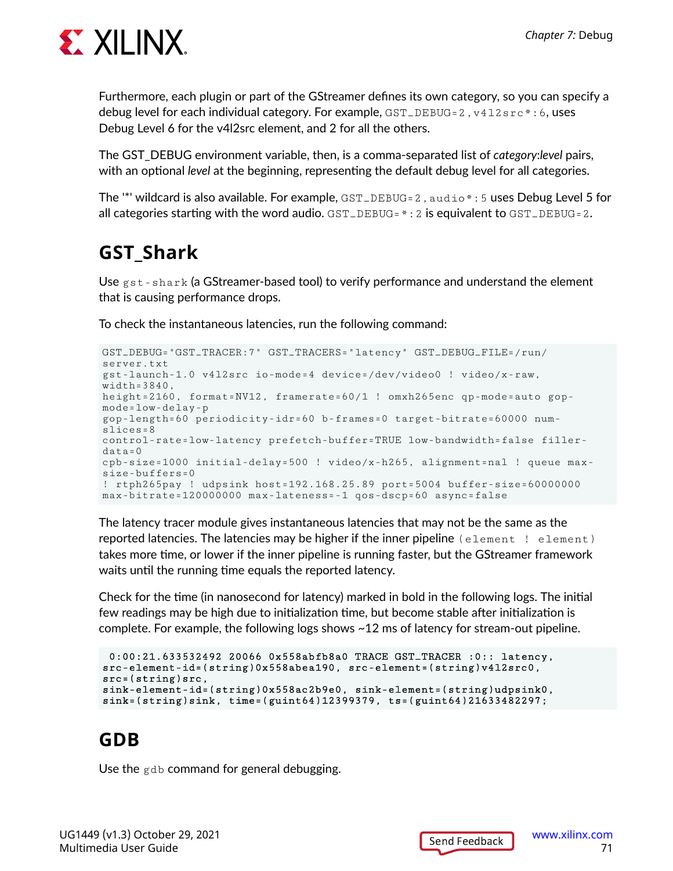

Furthermore, each plugin or part of the GStreamer defines its own category, so you can specify a debug level for each individual category. For example,  $GST$  DEBUG=2,  $v412$ src\*:6, uses Debug Level 6 for the v4l2src element, and 2 for all the others.

The GST\_DEBUG environment variable, then, is a comma-separated list of *category*:*level* pairs, with an optional *level* at the beginning, representing the default debug level for all categories.

The '\*' wildcard is also available. For example, GST\_DEBUG=2, audio \*: 5 uses Debug Level 5 for all categories starting with the word audio.  $GST$   $_DEBUG = * : 2$  is equivalent to  $GST$   $_DEBUG = 2$ .

## **GST\_Shark**

Use  $g_{\text{st}}$ -shark (a GStreamer-based tool) to verify performance and understand the element that is causing performance drops.

To check the instantaneous latencies, run the following command:

```
GST_DEBUG="GST_TRACER:7" GST_TRACERS="latency" GST_DEBUG_FILE=/run/
server.txt
gst-launch-1.0 v4l2src io-mode=4 device=/dev/video0 ! video/x-raw, 
width=3840,
height=2160, format=NV12, framerate=60/1 ! omxh265enc qp-mode=auto gop-
mode=low-delay-p
gop-length=60 periodicity-idr=60 b-frames=0 target-bitrate=60000 num-
slices=8
control-rate=low-latency prefetch-buffer=TRUE low-bandwidth=false filler-
data+a=0cpb-size=1000 initial-delay=500 ! video/x-h265, alignment=nal ! queue max-
size-buffers=0
! rtph265pay ! udpsink host=192.168.25.89 port=5004 buffer-size=60000000
max-bitrate=120000000 max-lateness=-1 qos-dscp=60 async=false
```
The latency tracer module gives instantaneous latencies that may not be the same as the reported latencies. The latencies may be higher if the inner pipeline (element ! element) takes more time, or lower if the inner pipeline is running faster, but the GStreamer framework waits until the running time equals the reported latency.

Check for the time (in nanosecond for latency) marked in bold in the following logs. The initial few readings may be high due to initialization time, but become stable after initialization is complete. For example, the following logs shows ~12 ms of latency for stream-out pipeline.

```
 0:00:21.633532492 20066 0x558abfb8a0 TRACE GST_TRACER :0:: latency,
src-element-id=(string)0x558abea190, src-element=(string)v4l2src0, 
src=(string)src,
sink-element-id=(string)0x558ac2b9e0, sink-element=(string)udpsink0,
sink=(string)sink, time=(guint64)12399379, ts=(guint64)21633482297;
```
### **GDB**

Use the gdb command for general debugging.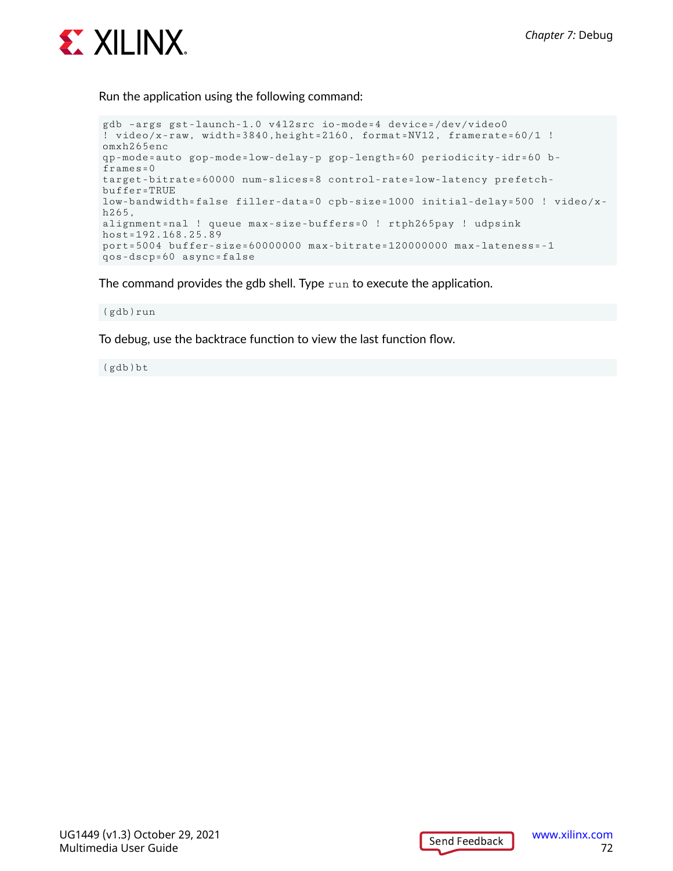

Run the application using the following command:

```
gdb –args gst-launch-1.0 v4l2src io-mode=4 device=/dev/video0 
! video/x-raw, width=3840,height=2160, format=NV12, framerate=60/1 !
omxh265enc 
qp-mode=auto gop-mode=low-delay-p gop-length=60 periodicity-idr=60 b-
frames=0target-bitrate=60000 num-slices=8 control-rate=low-latency prefetch-
buffer=TRUE 
low-bandwidth=false filler-data=0 cpb-size=1000 initial-delay=500 ! video/x-
h265, 
alignment=nal ! queue max-size-buffers=0 ! rtph265pay ! udpsink 
host=192.168.25.89 
port=5004 buffer-size=60000000 max-bitrate=120000000 max-lateness=-1 
qos-dscp=60 async=false
```
The command provides the gdb shell. Type run to execute the application.

(gdb)run

To debug, use the backtrace function to view the last function flow.

(gdb)bt

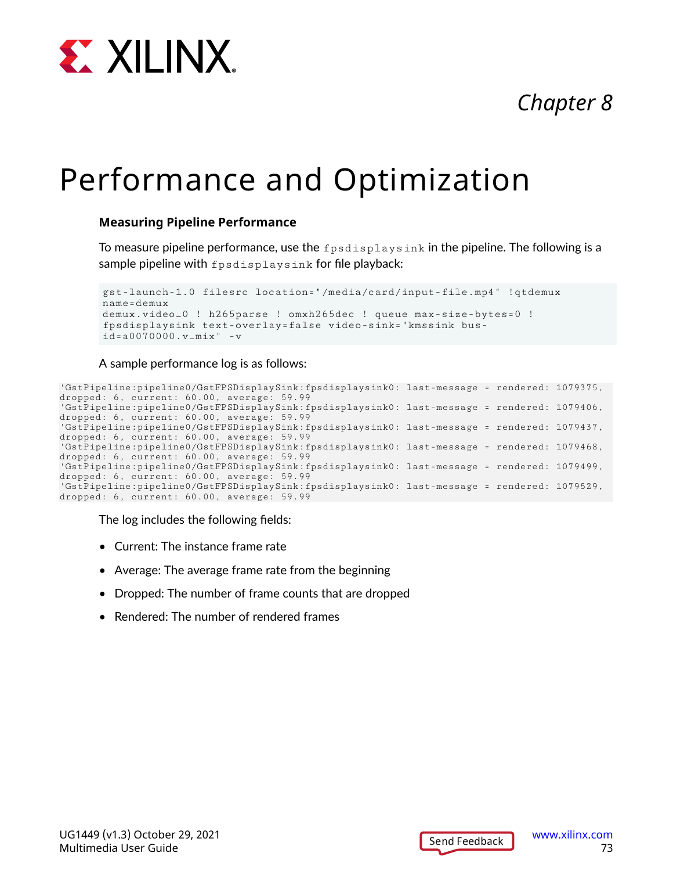

# *Chapter 8*

# Performance and Optimization

### **Measuring Pipeline Performance**

To measure pipeline performance, use the  $f$   $ps$  displays ink in the pipeline. The following is a sample pipeline with fpsdisplaysink for file playback:

```
gst-launch-1.0 filesrc location="/media/card/input-file.mp4" !qtdemux 
name=demux
demux.video_0 ! h265parse ! omxh265dec ! queue max-size-bytes=0 ! 
fpsdisplaysink text-overlay=false video-sink="kmssink bus-
id=a0070000.v_mix" -v
```
#### A sample performance log is as follows:

```
'GstPipeline:pipeline0/GstFPSDisplaySink:fpsdisplaysink0: last-message = rendered: 1079375, 
dropped: 6, current: 60.00, average: 59.99
'GstPipeline:pipeline0/GstFPSDisplaySink:fpsdisplaysink0: last-message = rendered: 1079406, 
dropped: 6, current: 60.00, average: 59.99
'GstPipeline:pipeline0/GstFPSDisplaySink:fpsdisplaysink0: last-message = rendered: 1079437, 
dropped: 6, current: 60.00, average: 59.99
'GstPipeline:pipeline0/GstFPSDisplaySink:fpsdisplaysink0: last-message = rendered: 1079468, 
dropped: 6, current: 60.00, average: 59.99
'GstPipeline:pipeline0/GstFPSDisplaySink:fpsdisplaysink0: last-message = rendered: 1079499, 
dropped: 6, current: 60.00, average: 59.99
'GstPipeline:pipeline0/GstFPSDisplaySink:fpsdisplaysink0: last-message = rendered: 1079529, 
dropped: 6, current: 60.00, average: 59.99
```
The log includes the following fields:

- Current: The instance frame rate
- Average: The average frame rate from the beginning
- Dropped: The number of frame counts that are dropped
- Rendered: The number of rendered frames

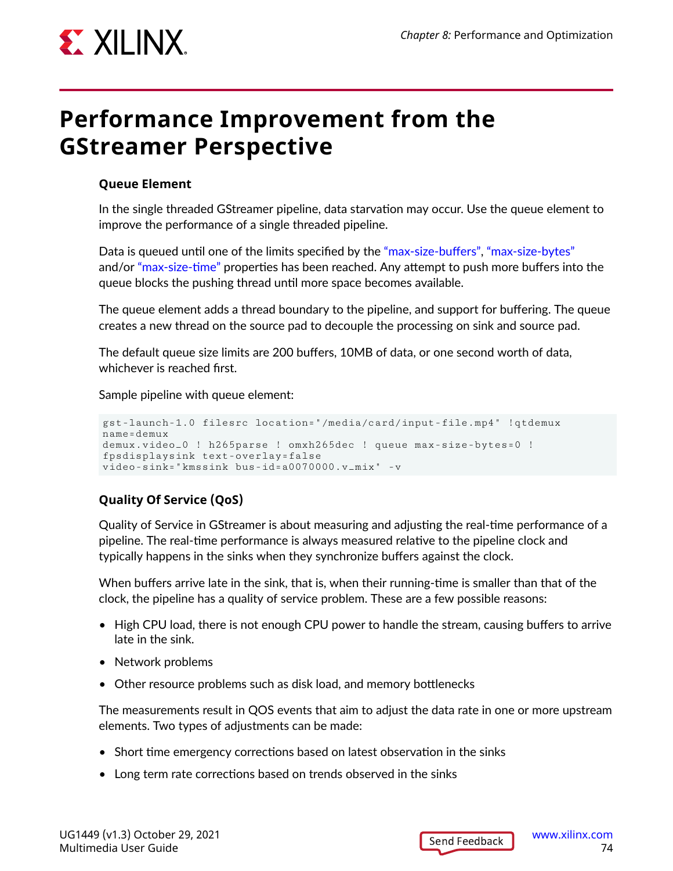

## **Performance Improvement from the GStreamer Perspective**

### **Queue Element**

In the single threaded GStreamer pipeline, data starvation may occur. Use the queue element to improve the performance of a single threaded pipeline.

Data is queued until one of the limits specified by the ["max-size-buffers",](https://gstreamer.freedesktop.org/data/doc/gstreamer/head/gstreamer-plugins/html/gstreamer-plugins-queue.html#GstQueue--max-size-buffers) ["max-size-bytes"](https://gstreamer.freedesktop.org/data/doc/gstreamer/head/gstreamer-plugins/html/gstreamer-plugins-queue.html#GstQueue--max-size-bytes) and/or ["max-size-time"](https://gstreamer.freedesktop.org/data/doc/gstreamer/head/gstreamer-plugins/html/gstreamer-plugins-queue.html#GstQueue--max-size-time) properties has been reached. Any attempt to push more buffers into the queue blocks the pushing thread until more space becomes available.

The queue element adds a thread boundary to the pipeline, and support for buffering. The queue creates a new thread on the source pad to decouple the processing on sink and source pad.

The default queue size limits are 200 buffers, 10MB of data, or one second worth of data, whichever is reached first.

Sample pipeline with queue element:

```
gst-launch-1.0 filesrc location="/media/card/input-file.mp4" !qtdemux 
name=demux
demux.video_0 ! h265parse ! omxh265dec ! queue max-size-bytes=0 ! 
fpsdisplaysink text-overlay=false 
video-sink="kmssink bus-id=a0070000.v_mix" -v
```
### **Quality Of Service (QoS)**

Quality of Service in GStreamer is about measuring and adjusting the real-time performance of a pipeline. The real-time performance is always measured relative to the pipeline clock and typically happens in the sinks when they synchronize buffers against the clock.

When buffers arrive late in the sink, that is, when their running-time is smaller than that of the clock, the pipeline has a quality of service problem. These are a few possible reasons:

- High CPU load, there is not enough CPU power to handle the stream, causing buffers to arrive late in the sink.
- Network problems
- Other resource problems such as disk load, and memory bottlenecks

The measurements result in QOS events that aim to adjust the data rate in one or more upstream elements. Two types of adjustments can be made:

- Short time emergency corrections based on latest observation in the sinks
- Long term rate corrections based on trends observed in the sinks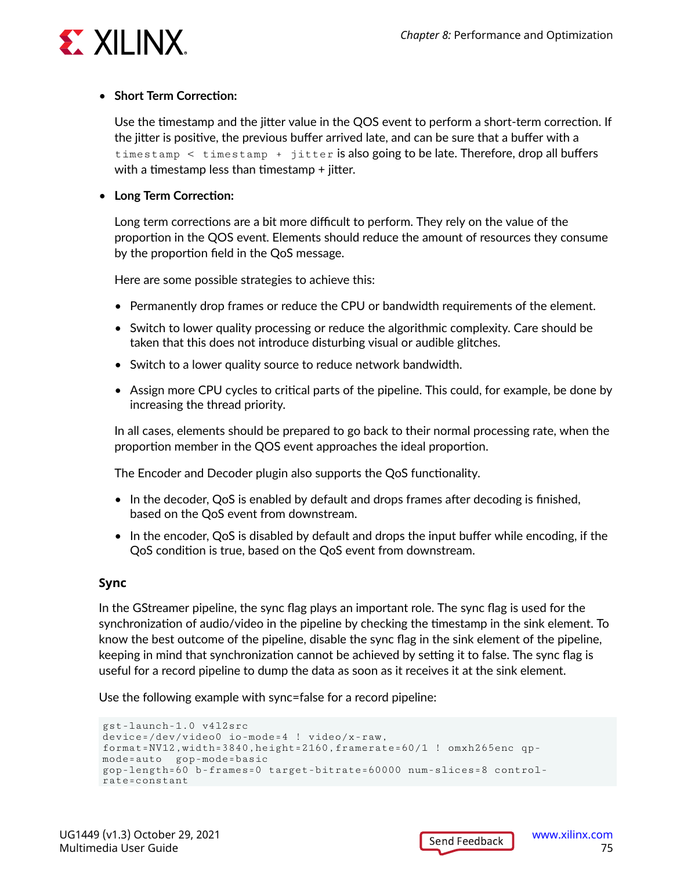

#### • **Short Term Correction:**

Use the timestamp and the jitter value in the QOS event to perform a short-term correction. If the jitter is positive, the previous buffer arrived late, and can be sure that a buffer with a timestamp < timestamp + jitter is also going to be late. Therefore, drop all buffers with a timestamp less than timestamp  $+$  jitter.

### • **Long Term Correction:**

Long term corrections are a bit more difficult to perform. They rely on the value of the proportion in the QOS event. Elements should reduce the amount of resources they consume by the proportion field in the QoS message.

Here are some possible strategies to achieve this:

- Permanently drop frames or reduce the CPU or bandwidth requirements of the element.
- Switch to lower quality processing or reduce the algorithmic complexity. Care should be taken that this does not introduce disturbing visual or audible glitches.
- Switch to a lower quality source to reduce network bandwidth.
- Assign more CPU cycles to critical parts of the pipeline. This could, for example, be done by increasing the thread priority.

In all cases, elements should be prepared to go back to their normal processing rate, when the proportion member in the QOS event approaches the ideal proportion.

The Encoder and Decoder plugin also supports the QoS functionality.

- In the decoder, QoS is enabled by default and drops frames after decoding is finished, based on the QoS event from downstream.
- In the encoder, QoS is disabled by default and drops the input buffer while encoding, if the QoS condition is true, based on the QoS event from downstream.

### **Sync**

In the GStreamer pipeline, the sync flag plays an important role. The sync flag is used for the synchronization of audio/video in the pipeline by checking the timestamp in the sink element. To know the best outcome of the pipeline, disable the sync flag in the sink element of the pipeline, keeping in mind that synchronization cannot be achieved by setting it to false. The sync flag is useful for a record pipeline to dump the data as soon as it receives it at the sink element.

Use the following example with sync=false for a record pipeline:

```
gst-launch-1.0 v4l2src
device=/dev/video0 io-mode=4 ! video/x-raw, 
format=NV12,width=3840,height=2160,framerate=60/1 ! omxh265enc qp-
mode=auto gop-mode=basic
gop-length=60 b-frames=0 target-bitrate=60000 num-slices=8 control-
rate=constant
```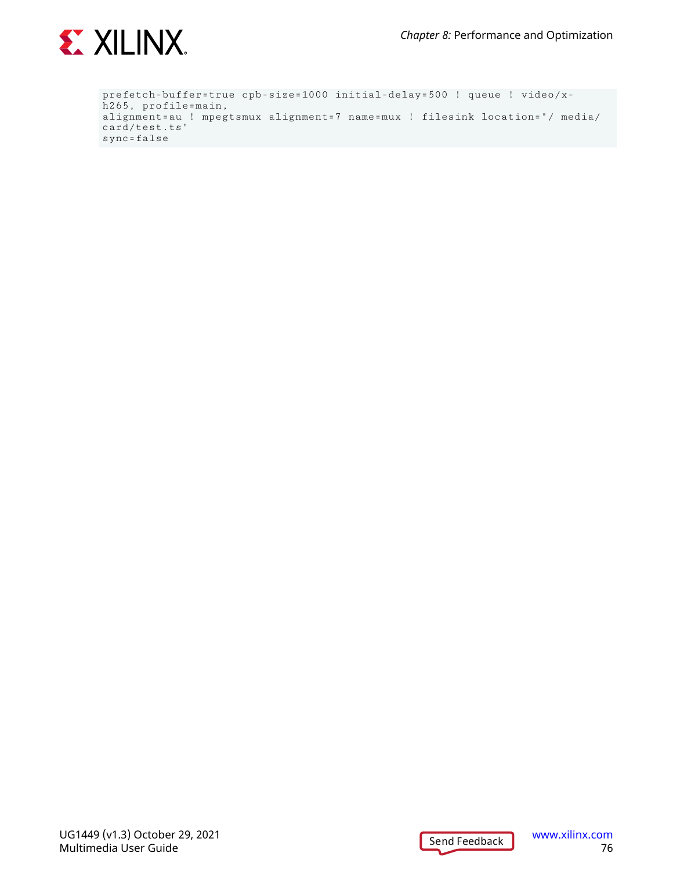

prefetch-buffer=true cpb-size=1000 initial-delay=500 ! queue ! video/xh265, profile=main, alignment=au ! mpegtsmux alignment=7 name=mux ! filesink location="/ media/ card/test.ts" sync=false

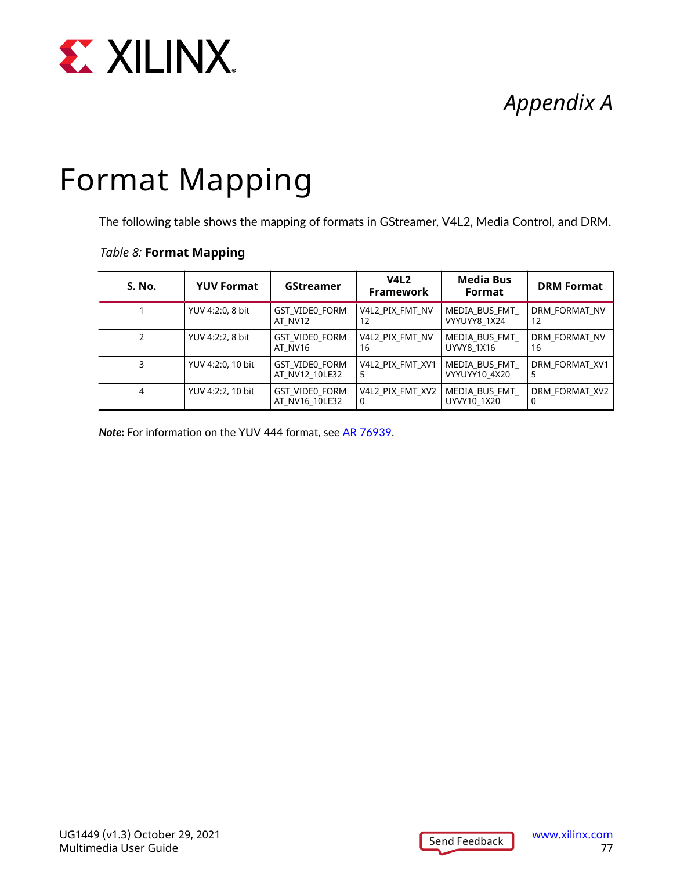

# *Appendix A*

# Format Mapping

The following table shows the mapping of formats in GStreamer, V4L2, Media Control, and DRM.

### *Table 8:* **Format Mapping**

| <b>S. No.</b> | <b>YUV Format</b> | <b>GStreamer</b>                        | V4L <sub>2</sub><br>Framework | <b>Media Bus</b><br>Format     | <b>DRM Format</b>   |
|---------------|-------------------|-----------------------------------------|-------------------------------|--------------------------------|---------------------|
|               | YUV 4:2:0, 8 bit  | <b>GST VIDE0 FORM</b><br>AT NV12        | V4L2 PIX FMT NV<br>12         | MEDIA BUS FMT<br>VYYUYY8 1X24  | DRM FORMAT NV<br>12 |
|               | YUV 4:2:2, 8 bit  | <b>GST VIDE0 FORM</b><br>AT NV16        | V4L2 PIX FMT NV<br>16         | MEDIA BUS FMT<br>UYVY8 1X16    | DRM FORMAT NV<br>16 |
|               | YUV 4:2:0, 10 bit | <b>GST VIDE0 FORM</b><br>AT NV12 10LE32 | V4L2 PIX FMT XV1<br>5         | MEDIA BUS FMT<br>VYYUYY10 4X20 | DRM FORMAT XV1      |
| 4             | YUV 4:2:2, 10 bit | <b>GST VIDE0 FORM</b><br>AT NV16 10LE32 | V4L2 PIX FMT XV2<br>0         | MEDIA BUS FMT<br>UYVY10 1X20   | DRM FORMAT XV2      |

*Note***:** For information on the YUV 444 format, see [AR 76939](https://support.xilinx.com/s/article/2021-2-Zynq-UltraScale-MPSoC-VCU-Does-Xilinx-VCU-solution-support-YUV-4-4-4-video-format?language=en_US).

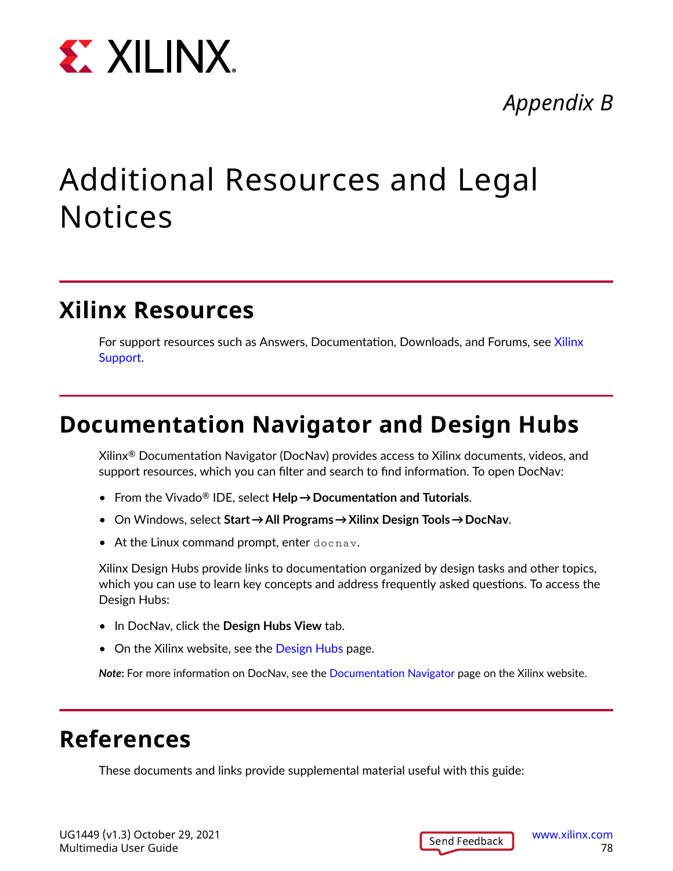

## *Appendix B*

# Additional Resources and Legal Notices

### **Xilinx Resources**

For support resources such as Answers, Documentation, Downloads, and Forums, see [Xilinx](https://www.xilinx.com/support) [Support.](https://www.xilinx.com/support)

### **Documentation Navigator and Design Hubs**

Xilinx $\mathcal{R}$  Documentation Navigator (DocNav) provides access to Xilinx documents, videos, and support resources, which you can filter and search to find information. To open DocNav:

- From the Vivado® IDE, select **Help → Documentation and Tutorials**.
- On Windows, select **Start → All Programs → Xilinx Design Tools → DocNav**.
- At the Linux command prompt, enter docnav.

Xilinx Design Hubs provide links to documentation organized by design tasks and other topics, which you can use to learn key concepts and address frequently asked questions. To access the Design Hubs:

- In DocNav, click the **Design Hubs View** tab.
- On the Xilinx website, see the [Design Hubs](https://www.xilinx.com/cgi-bin/docs/ndoc?t=design+hubs) page.

*Note***:** For more information on DocNav, see the [Documentation Navigator](https://www.xilinx.com/cgi-bin/docs/rdoc?t=docnav) page on the Xilinx website.

### **References**

These documents and links provide supplemental material useful with this guide: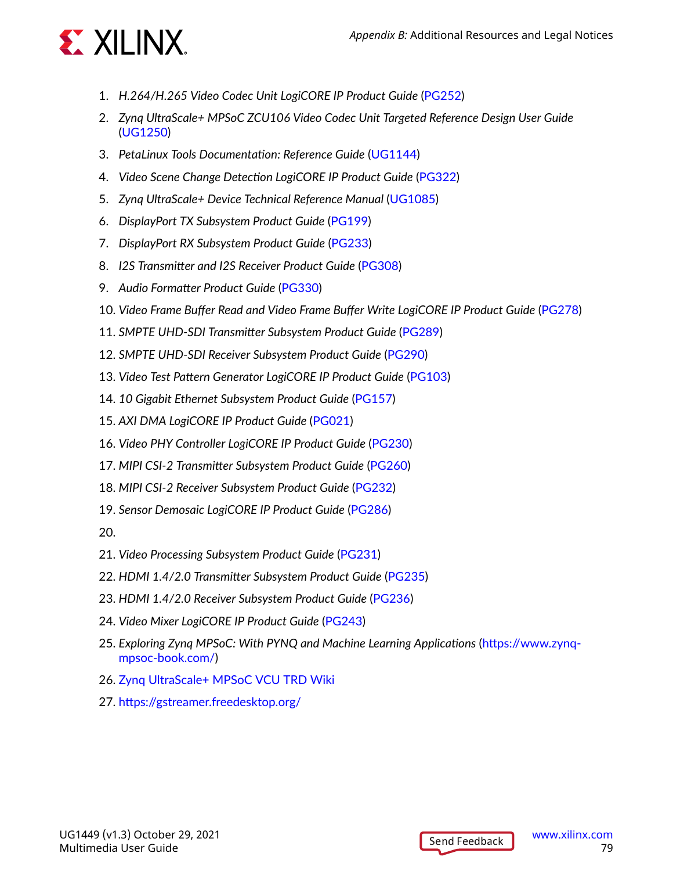

- 1. *H.264/H.265 Video Codec Unit LogiCORE IP Product Guide* [\(PG252\)](https://www.xilinx.com/cgi-bin/docs/rdoc?v=latest;d=pg252-vcu.pdf)
- 2. *Zynq UltraScale+ MPSoC ZCU106 Video Codec Unit Targeted Reference Design User Guide* ([UG1250\)](https://www.xilinx.com/cgi-bin/docs/bkdoc?k=zcu106;v=latest;d=ug1250-zcu106-vcu-trd.pdf)
- 3. *PetaLinux Tools Documentation: Reference Guide* ([UG1144](https://www.xilinx.com/cgi-bin/docs/rdoc?v=latest;d=ug1144-petalinux-tools-reference-guide.pdf))
- 4. *Video Scene Change Detection LogiCORE IP Product Guide* ([PG322](https://www.xilinx.com/cgi-bin/docs/ipdoc?c=v_scenechange;v=latest;d=pg322-v-scenechange-detect.pdf))
- 5. *Zynq UltraScale+ Device Technical Reference Manual* ([UG1085](https://www.xilinx.com/cgi-bin/docs/ndoc?t=user_guides;d=ug1085-zynq-ultrascale-trm.pdf))
- 6. *DisplayPort TX Subsystem Product Guide* [\(PG199\)](https://www.xilinx.com/cgi-bin/docs/ipdoc?c=dp_tx_subsystem;v=latest;d=pg199-displayport-tx-subsystem.pdf)
- 7. *DisplayPort RX Subsystem Product Guide* ([PG233](https://www.xilinx.com/cgi-bin/docs/ipdoc?c=dp_rx_subsystem;v=latest;d=pg233-displayport-rx-subsystem.pdf))
- 8. *I2S Transmitter and I2S Receiver Product Guide* ([PG308\)](https://www.xilinx.com/cgi-bin/docs/ipdoc?c=i2s;v=1_0;d=pg308-i2s.pdf)
- 9. *Audio Formatter Product Guide* [\(PG330](https://www.xilinx.com/cgi-bin/docs/ipdoc?c=audio_formatter;v=latest;d=pg330-audio-formatter.pdf))
- 10. *Video Frame Buffer Read and Video Frame Buffer Write LogiCORE IP Product Guide* ([PG278\)](https://www.xilinx.com/cgi-bin/docs/ipdoc?c=v_frmbuf;v=latest;d=pg278-v-frmbuf.pdf)
- 11. *SMPTE UHD-SDI Transmitter Subsystem Product Guide* [\(PG289\)](https://www.xilinx.com/cgi-bin/docs/ipdoc?c=v_smpte_uhdsdi_tx_ss;v=latest;d=pg289-v-smpte-uhdsdi-tx-ss.pdf)
- 12. *SMPTE UHD-SDI Receiver Subsystem Product Guide* ([PG290](https://www.xilinx.com/cgi-bin/docs/ipdoc?c=v_smpte_uhdsdi_rx_ss;v=latest;d=pg290-v-smpte-uhdsdi-rx-ss.pdf))
- 13. *Video Test Pattern Generator LogiCORE IP Product Guide* [\(PG103](https://www.xilinx.com/cgi-bin/docs/ipdoc?c=v_tpg;v=latest;d=pg103-v-tpg.pdf))
- 14. *10 Gigabit Ethernet Subsystem Product Guide* [\(PG157\)](https://www.xilinx.com/cgi-bin/docs/ipdoc?c=axi_10g_ethernet;v=latest;d=pg157-axi-10g-ethernet.pdf)
- 15. *AXI DMA LogiCORE IP Product Guide* ([PG021\)](https://www.xilinx.com/cgi-bin/docs/ipdoc?c=axi_dma;v=latest;d=pg021_axi_dma.pdf)
- 16. *Video PHY Controller LogiCORE IP Product Guide* [\(PG230](https://www.xilinx.com/cgi-bin/docs/ipdoc?c=vid_phy_controller;v=latest;d=pg230-vid-phy-controller.pdf))
- 17. *MIPI CSI-2 Transmitter Subsystem Product Guide* ([PG260\)](https://www.xilinx.com/cgi-bin/docs/ipdoc?c=mipi_csi2_tx_subsystem;v=v2_2;d=pg260-mipi-csi2-tx.pdf)
- 18. *MIPI CSI-2 Receiver Subsystem Product Guide* [\(PG232](https://www.xilinx.com/cgi-bin/docs/ipdoc?c=mipi_csi2_rx_subsystem;v=latest;d=pg232-mipi-csi2-rx.pdf))
- 19. *Sensor Demosaic LogiCORE IP Product Guide* [\(PG286](https://www.xilinx.com/cgi-bin/docs/ipdoc?c=v_demosaic;v=latest;d=pg286-v-demosaic.pdf))
- 20.
- 21. *Video Processing Subsystem Product Guide* ([PG231\)](https://www.xilinx.com/cgi-bin/docs/ipdoc?c=v_proc_ss;v=latest;d=pg231-v-proc-ss.pdf)
- 22. *HDMI 1.4/2.0 Transmitter Subsystem Product Guide* [\(PG235\)](https://www.xilinx.com/cgi-bin/docs/ipdoc?c=v_hdmi_tx_ss;v=latest;d=pg235-v-hdmi-tx-ss.pdf)
- 23. *HDMI 1.4/2.0 Receiver Subsystem Product Guide* ([PG236](https://www.xilinx.com/cgi-bin/docs/ipdoc?c=v_hdmi_rx_ss;v=latest;d=pg236-v-hdmi-rx-ss.pdf))
- 24. *Video Mixer LogiCORE IP Product Guide* [\(PG243\)](https://www.xilinx.com/cgi-bin/docs/ipdoc?c=v_mix;v=latest;d=pg243-v-mix.pdf)
- 25. *Exploring Zynq MPSoC: With PYNQ and Machine Learning Applications* ([https://www.zynq](https://www.zynq-mpsoc-book.com/)[mpsoc-book.com/\)](https://www.zynq-mpsoc-book.com/)
- 26. [Zynq UltraScale+ MPSoC VCU TRD Wiki](https://xilinx-wiki.atlassian.net/wiki/spaces/A/pages/18841711/Zynq+UltraScale+MPSoC+VCU+TRD)
- 27. <https://gstreamer.freedesktop.org/>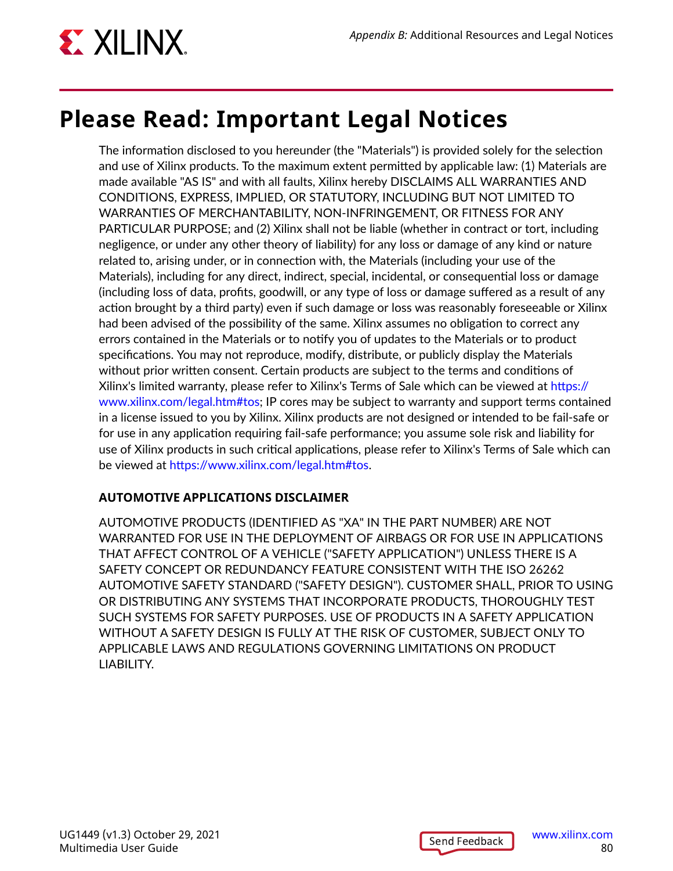

## **Please Read: Important Legal Notices**

The information disclosed to you hereunder (the "Materials") is provided solely for the selection and use of Xilinx products. To the maximum extent permitted by applicable law: (1) Materials are made available "AS IS" and with all faults, Xilinx hereby DISCLAIMS ALL WARRANTIES AND CONDITIONS, EXPRESS, IMPLIED, OR STATUTORY, INCLUDING BUT NOT LIMITED TO WARRANTIES OF MERCHANTABILITY, NON-INFRINGEMENT, OR FITNESS FOR ANY PARTICULAR PURPOSE; and (2) Xilinx shall not be liable (whether in contract or tort, including negligence, or under any other theory of liability) for any loss or damage of any kind or nature related to, arising under, or in connection with, the Materials (including your use of the Materials), including for any direct, indirect, special, incidental, or consequential loss or damage (including loss of data, profits, goodwill, or any type of loss or damage suffered as a result of any action brought by a third party) even if such damage or loss was reasonably foreseeable or Xilinx had been advised of the possibility of the same. Xilinx assumes no obligation to correct any errors contained in the Materials or to notify you of updates to the Materials or to product specifications. You may not reproduce, modify, distribute, or publicly display the Materials without prior written consent. Certain products are subject to the terms and conditions of Xilinx's limited warranty, please refer to Xilinx's Terms of Sale which can be viewed at [https://](https://www.xilinx.com/legal.htm#tos) [www.xilinx.com/legal.htm#tos](https://www.xilinx.com/legal.htm#tos); IP cores may be subject to warranty and support terms contained in a license issued to you by Xilinx. Xilinx products are not designed or intended to be fail-safe or for use in any application requiring fail-safe performance; you assume sole risk and liability for use of Xilinx products in such critical applications, please refer to Xilinx's Terms of Sale which can be viewed at [https://www.xilinx.com/legal.htm#tos.](https://www.xilinx.com/legal.htm#tos)

### **AUTOMOTIVE APPLICATIONS DISCLAIMER**

AUTOMOTIVE PRODUCTS (IDENTIFIED AS "XA" IN THE PART NUMBER) ARE NOT WARRANTED FOR USE IN THE DEPLOYMENT OF AIRBAGS OR FOR USE IN APPLICATIONS THAT AFFECT CONTROL OF A VEHICLE ("SAFETY APPLICATION") UNLESS THERE IS A SAFETY CONCEPT OR REDUNDANCY FEATURE CONSISTENT WITH THE ISO 26262 AUTOMOTIVE SAFETY STANDARD ("SAFETY DESIGN"). CUSTOMER SHALL, PRIOR TO USING OR DISTRIBUTING ANY SYSTEMS THAT INCORPORATE PRODUCTS, THOROUGHLY TEST SUCH SYSTEMS FOR SAFETY PURPOSES. USE OF PRODUCTS IN A SAFETY APPLICATION WITHOUT A SAFETY DESIGN IS FULLY AT THE RISK OF CUSTOMER, SUBJECT ONLY TO APPLICABLE LAWS AND REGULATIONS GOVERNING LIMITATIONS ON PRODUCT LIABILITY.